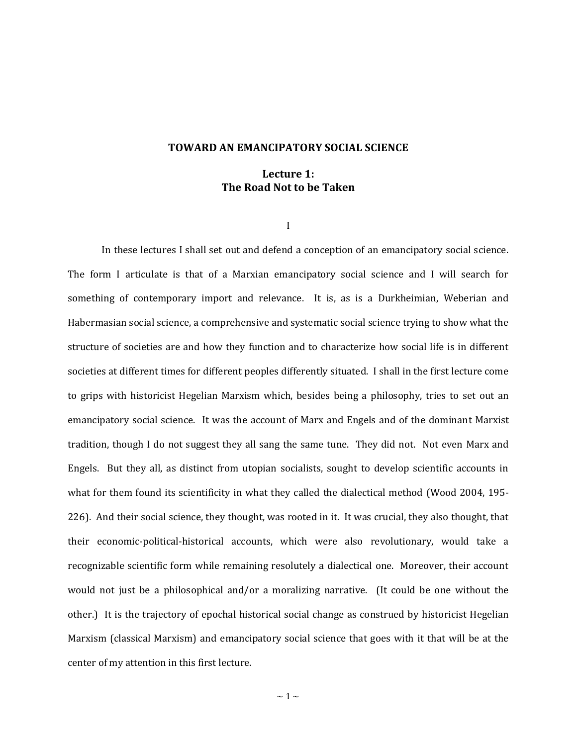## **TOWARD AN EMANCIPATORY SOCIAL SCIENCE**

## **Lecture 1: The Road Not to be Taken**

I

In these lectures I shall set out and defend a conception of an emancipatory social science. The form I articulate is that of a Marxian emancipatory social science and I will search for something of contemporary import and relevance. It is, as is a Durkheimian, Weberian and Habermasian social science, a comprehensive and systematic social science trying to show what the structure of societies are and how they function and to characterize how social life is in different societies at different times for different peoples differently situated. I shall in the first lecture come to grips with historicist Hegelian Marxism which, besides being a philosophy, tries to set out an emancipatory social science. It was the account of Marx and Engels and of the dominant Marxist tradition, though I do not suggest they all sang the same tune. They did not. Not even Marx and Engels. But they all, as distinct from utopian socialists, sought to develop scientific accounts in what for them found its scientificity in what they called the dialectical method (Wood 2004, 195- 226). And their social science, they thought, was rooted in it. It was crucial, they also thought, that their economic-political-historical accounts, which were also revolutionary, would take a recognizable scientific form while remaining resolutely a dialectical one. Moreover, their account would not just be a philosophical and/or a moralizing narrative. (It could be one without the other.) It is the trajectory of epochal historical social change as construed by historicist Hegelian Marxism (classical Marxism) and emancipatory social science that goes with it that will be at the center of my attention in this first lecture.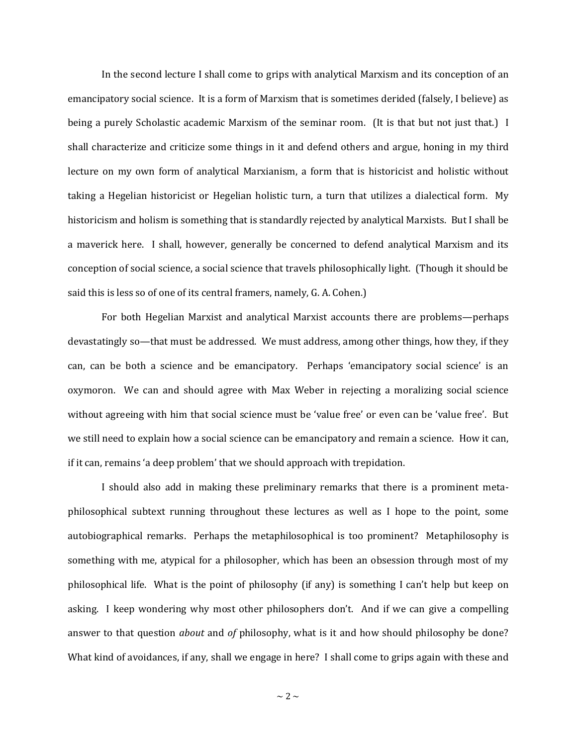In the second lecture I shall come to grips with analytical Marxism and its conception of an emancipatory social science. It is a form of Marxism that is sometimes derided (falsely, I believe) as being a purely Scholastic academic Marxism of the seminar room. (It is that but not just that.) I shall characterize and criticize some things in it and defend others and argue, honing in my third lecture on my own form of analytical Marxianism, a form that is historicist and holistic without taking a Hegelian historicist or Hegelian holistic turn, a turn that utilizes a dialectical form. My historicism and holism is something that is standardly rejected by analytical Marxists. But I shall be a maverick here. I shall, however, generally be concerned to defend analytical Marxism and its conception of social science, a social science that travels philosophically light. (Though it should be said this is less so of one of its central framers, namely, G. A. Cohen.)

For both Hegelian Marxist and analytical Marxist accounts there are problems—perhaps devastatingly so—that must be addressed. We must address, among other things, how they, if they can, can be both a science and be emancipatory. Perhaps 'emancipatory social science' is an oxymoron. We can and should agree with Max Weber in rejecting a moralizing social science without agreeing with him that social science must be 'value free' or even can be 'value free'. But we still need to explain how a social science can be emancipatory and remain a science. How it can, if it can, remains 'a deep problem' that we should approach with trepidation.

I should also add in making these preliminary remarks that there is a prominent metaphilosophical subtext running throughout these lectures as well as I hope to the point, some autobiographical remarks. Perhaps the metaphilosophical is too prominent? Metaphilosophy is something with me, atypical for a philosopher, which has been an obsession through most of my philosophical life. What is the point of philosophy (if any) is something I can't help but keep on asking. I keep wondering why most other philosophers don't. And if we can give a compelling answer to that question *about* and *of* philosophy, what is it and how should philosophy be done? What kind of avoidances, if any, shall we engage in here? I shall come to grips again with these and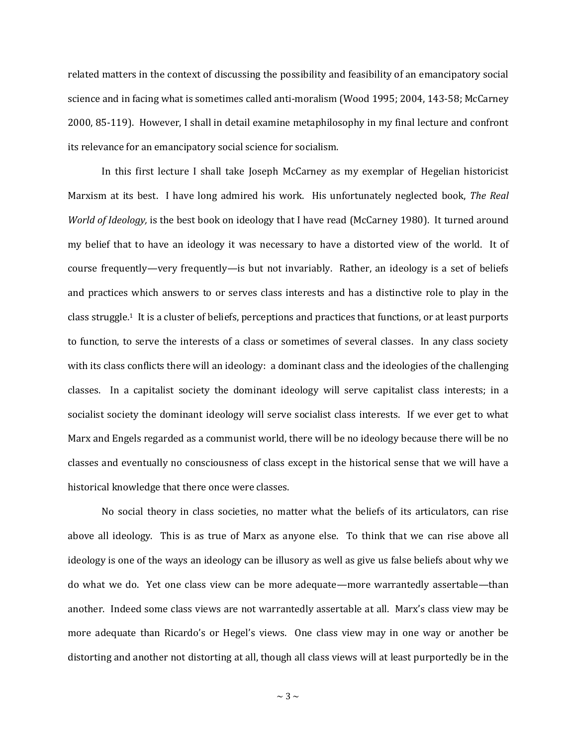related matters in the context of discussing the possibility and feasibility of an emancipatory social science and in facing what is sometimes called anti-moralism (Wood 1995; 2004, 143-58; McCarney 2000, 85-119). However, I shall in detail examine metaphilosophy in my final lecture and confront its relevance for an emancipatory social science for socialism.

In this first lecture I shall take Joseph McCarney as my exemplar of Hegelian historicist Marxism at its best. I have long admired his work. His unfortunately neglected book, *The Real World of Ideology,* is the best book on ideology that I have read (McCarney 1980). It turned around my belief that to have an ideology it was necessary to have a distorted view of the world. It of course frequently—very frequently—is but not invariably. Rather, an ideology is a set of beliefs and practices which answers to or serves class interests and has a distinctive role to play in the class struggle.1 It is a cluster of beliefs, perceptions and practices that functions, or at least purports to function, to serve the interests of a class or sometimes of several classes. In any class society with its class conflicts there will an ideology: a dominant class and the ideologies of the challenging classes. In a capitalist society the dominant ideology will serve capitalist class interests; in a socialist society the dominant ideology will serve socialist class interests. If we ever get to what Marx and Engels regarded as a communist world, there will be no ideology because there will be no classes and eventually no consciousness of class except in the historical sense that we will have a historical knowledge that there once were classes.

No social theory in class societies, no matter what the beliefs of its articulators, can rise above all ideology. This is as true of Marx as anyone else. To think that we can rise above all ideology is one of the ways an ideology can be illusory as well as give us false beliefs about why we do what we do. Yet one class view can be more adequate—more warrantedly assertable—than another. Indeed some class views are not warrantedly assertable at all. Marx's class view may be more adequate than Ricardo's or Hegel's views. One class view may in one way or another be distorting and another not distorting at all, though all class views will at least purportedly be in the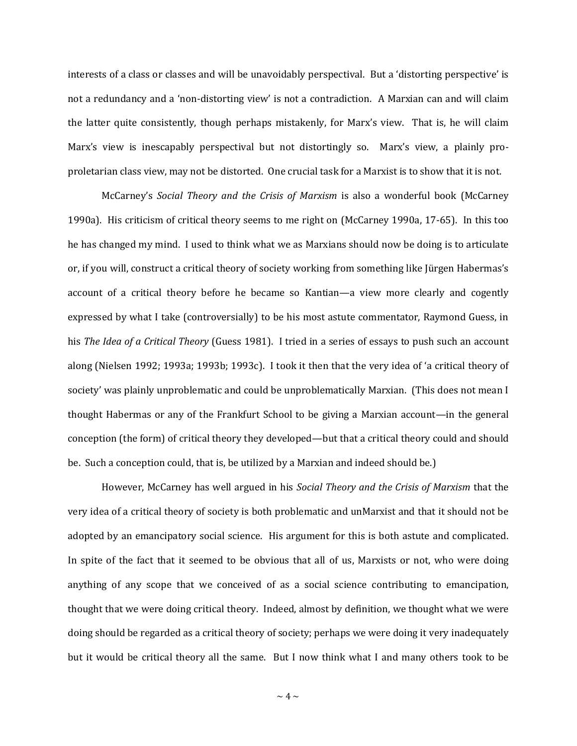interests of a class or classes and will be unavoidably perspectival. But a 'distorting perspective' is not a redundancy and a 'non-distorting view' is not a contradiction. A Marxian can and will claim the latter quite consistently, though perhaps mistakenly, for Marx's view. That is, he will claim Marx's view is inescapably perspectival but not distortingly so. Marx's view, a plainly proproletarian class view, may not be distorted. One crucial task for a Marxist is to show that it is not.

McCarney's *Social Theory and the Crisis of Marxism* is also a wonderful book (McCarney 1990a). His criticism of critical theory seems to me right on (McCarney 1990a, 17-65). In this too he has changed my mind. I used to think what we as Marxians should now be doing is to articulate or, if you will, construct a critical theory of society working from something like Jürgen Habermas's account of a critical theory before he became so Kantian—a view more clearly and cogently expressed by what I take (controversially) to be his most astute commentator, Raymond Guess, in his *The Idea of a Critical Theory* (Guess 1981). I tried in a series of essays to push such an account along (Nielsen 1992; 1993a; 1993b; 1993c). I took it then that the very idea of 'a critical theory of society' was plainly unproblematic and could be unproblematically Marxian. (This does not mean I thought Habermas or any of the Frankfurt School to be giving a Marxian account—in the general conception (the form) of critical theory they developed—but that a critical theory could and should be. Such a conception could, that is, be utilized by a Marxian and indeed should be.)

However, McCarney has well argued in his *Social Theory and the Crisis of Marxism* that the very idea of a critical theory of society is both problematic and unMarxist and that it should not be adopted by an emancipatory social science. His argument for this is both astute and complicated. In spite of the fact that it seemed to be obvious that all of us, Marxists or not, who were doing anything of any scope that we conceived of as a social science contributing to emancipation, thought that we were doing critical theory. Indeed, almost by definition, we thought what we were doing should be regarded as a critical theory of society; perhaps we were doing it very inadequately but it would be critical theory all the same. But I now think what I and many others took to be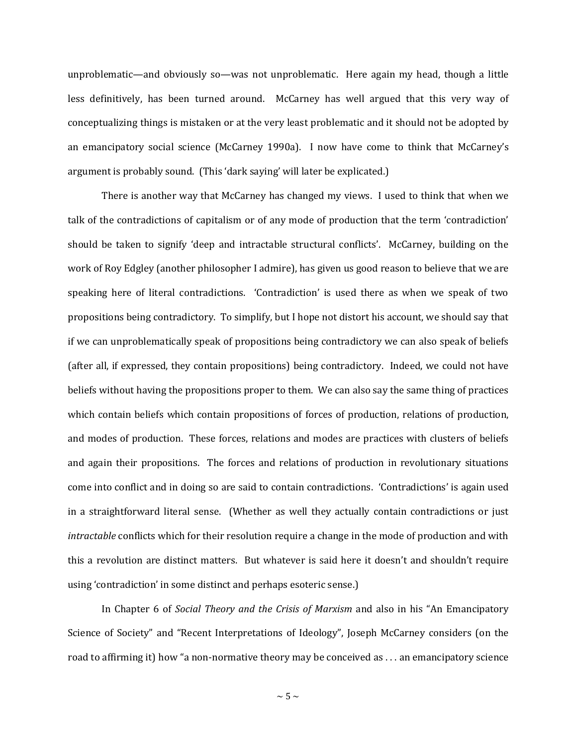unproblematic—and obviously so—was not unproblematic. Here again my head, though a little less definitively, has been turned around. McCarney has well argued that this very way of conceptualizing things is mistaken or at the very least problematic and it should not be adopted by an emancipatory social science (McCarney 1990a). I now have come to think that McCarney's argument is probably sound. (This 'dark saying' will later be explicated.)

There is another way that McCarney has changed my views. I used to think that when we talk of the contradictions of capitalism or of any mode of production that the term 'contradiction' should be taken to signify 'deep and intractable structural conflicts'. McCarney, building on the work of Roy Edgley (another philosopher I admire), has given us good reason to believe that we are speaking here of literal contradictions. 'Contradiction' is used there as when we speak of two propositions being contradictory. To simplify, but I hope not distort his account, we should say that if we can unproblematically speak of propositions being contradictory we can also speak of beliefs (after all, if expressed, they contain propositions) being contradictory. Indeed, we could not have beliefs without having the propositions proper to them. We can also say the same thing of practices which contain beliefs which contain propositions of forces of production, relations of production, and modes of production. These forces, relations and modes are practices with clusters of beliefs and again their propositions. The forces and relations of production in revolutionary situations come into conflict and in doing so are said to contain contradictions. 'Contradictions' is again used in a straightforward literal sense. (Whether as well they actually contain contradictions or just *intractable* conflicts which for their resolution require a change in the mode of production and with this a revolution are distinct matters. But whatever is said here it doesn't and shouldn't require using 'contradiction' in some distinct and perhaps esoteric sense.)

In Chapter 6 of *Social Theory and the Crisis of Marxism* and also in his "An Emancipatory Science of Society" and "Recent Interpretations of Ideology", Joseph McCarney considers (on the road to affirming it) how "a non-normative theory may be conceived as . . . an emancipatory science

 $\sim$  5  $\sim$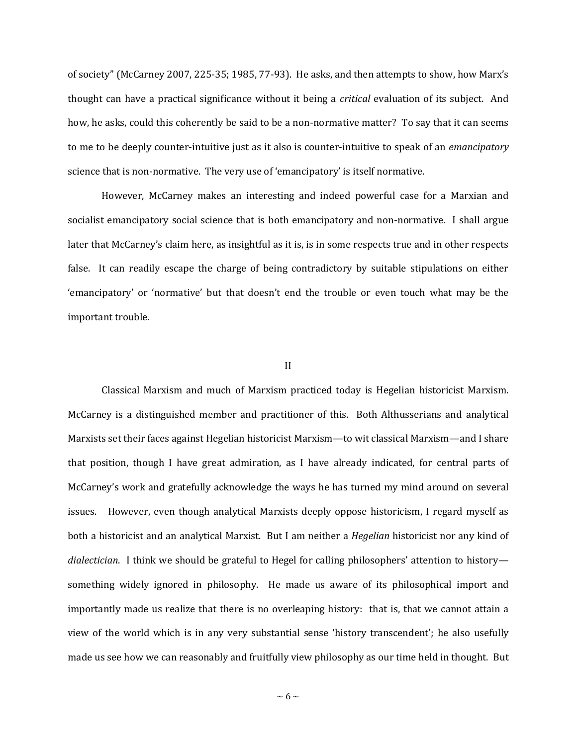of society" (McCarney 2007, 225-35; 1985, 77-93). He asks, and then attempts to show, how Marx's thought can have a practical significance without it being a *critical* evaluation of its subject. And how, he asks, could this coherently be said to be a non-normative matter? To say that it can seems to me to be deeply counter-intuitive just as it also is counter-intuitive to speak of an *emancipatory*  science that is non-normative. The very use of 'emancipatory' is itself normative.

However, McCarney makes an interesting and indeed powerful case for a Marxian and socialist emancipatory social science that is both emancipatory and non-normative. I shall argue later that McCarney's claim here, as insightful as it is, is in some respects true and in other respects false. It can readily escape the charge of being contradictory by suitable stipulations on either 'emancipatory' or 'normative' but that doesn't end the trouble or even touch what may be the important trouble.

## II

Classical Marxism and much of Marxism practiced today is Hegelian historicist Marxism. McCarney is a distinguished member and practitioner of this. Both Althusserians and analytical Marxists set their faces against Hegelian historicist Marxism—to wit classical Marxism—and I share that position, though I have great admiration, as I have already indicated, for central parts of McCarney's work and gratefully acknowledge the ways he has turned my mind around on several issues. However, even though analytical Marxists deeply oppose historicism, I regard myself as both a historicist and an analytical Marxist. But I am neither a *Hegelian* historicist nor any kind of *dialectician*. I think we should be grateful to Hegel for calling philosophers' attention to history something widely ignored in philosophy. He made us aware of its philosophical import and importantly made us realize that there is no overleaping history: that is, that we cannot attain a view of the world which is in any very substantial sense 'history transcendent'; he also usefully made us see how we can reasonably and fruitfully view philosophy as our time held in thought. But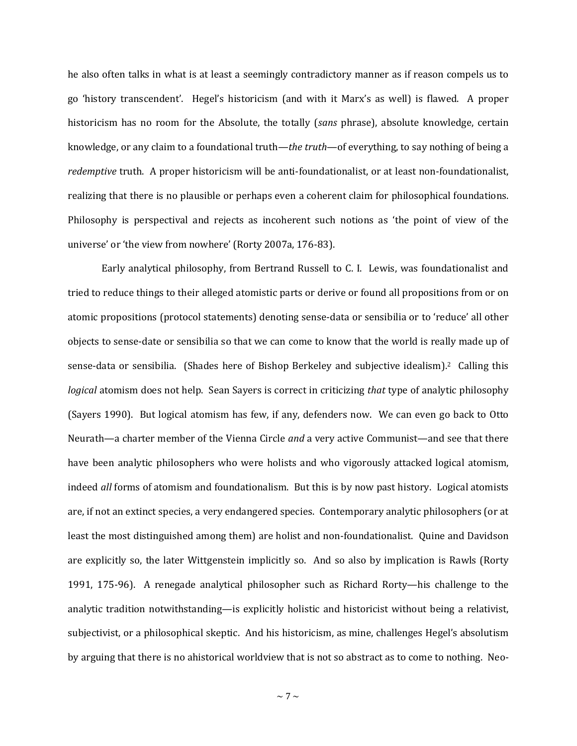he also often talks in what is at least a seemingly contradictory manner as if reason compels us to go 'history transcendent'. Hegel's historicism (and with it Marx's as well) is flawed. A proper historicism has no room for the Absolute, the totally (*sans* phrase), absolute knowledge, certain knowledge, or any claim to a foundational truth—*the truth*—of everything, to say nothing of being a *redemptive* truth. A proper historicism will be anti-foundationalist, or at least non-foundationalist, realizing that there is no plausible or perhaps even a coherent claim for philosophical foundations. Philosophy is perspectival and rejects as incoherent such notions as 'the point of view of the universe' or 'the view from nowhere' (Rorty 2007a, 176-83).

Early analytical philosophy, from Bertrand Russell to C. I. Lewis, was foundationalist and tried to reduce things to their alleged atomistic parts or derive or found all propositions from or on atomic propositions (protocol statements) denoting sense-data or sensibilia or to 'reduce' all other objects to sense-date or sensibilia so that we can come to know that the world is really made up of sense-data or sensibilia. (Shades here of Bishop Berkeley and subjective idealism).2 Calling this *logical* atomism does not help. Sean Sayers is correct in criticizing *that* type of analytic philosophy (Sayers 1990). But logical atomism has few, if any, defenders now. We can even go back to Otto Neurath—a charter member of the Vienna Circle *and* a very active Communist—and see that there have been analytic philosophers who were holists and who vigorously attacked logical atomism, indeed *all* forms of atomism and foundationalism. But this is by now past history. Logical atomists are, if not an extinct species, a very endangered species. Contemporary analytic philosophers (or at least the most distinguished among them) are holist and non-foundationalist. Quine and Davidson are explicitly so, the later Wittgenstein implicitly so. And so also by implication is Rawls (Rorty 1991, 175-96). A renegade analytical philosopher such as Richard Rorty—his challenge to the analytic tradition notwithstanding—is explicitly holistic and historicist without being a relativist, subjectivist, or a philosophical skeptic. And his historicism, as mine, challenges Hegel's absolutism by arguing that there is no ahistorical worldview that is not so abstract as to come to nothing. Neo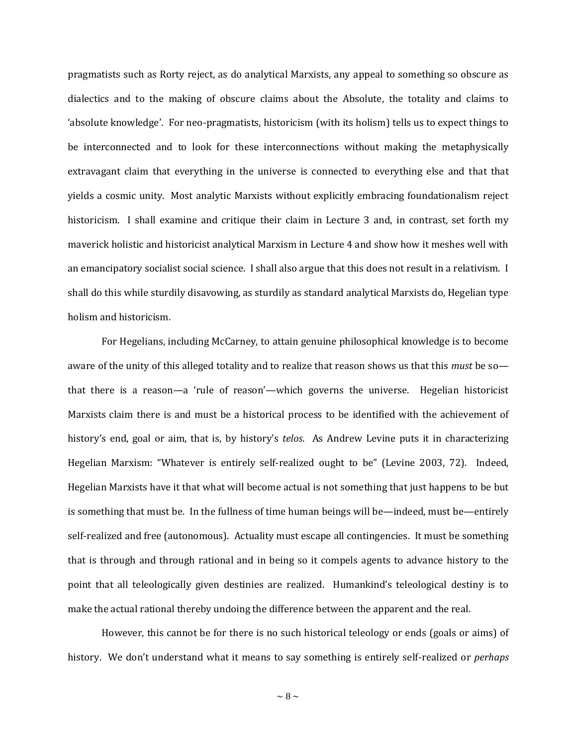pragmatists such as Rorty reject, as do analytical Marxists, any appeal to something so obscure as dialectics and to the making of obscure claims about the Absolute, the totality and claims to 'absolute knowledge'. For neo-pragmatists, historicism (with its holism) tells us to expect things to be interconnected and to look for these interconnections without making the metaphysically extravagant claim that everything in the universe is connected to everything else and that that yields a cosmic unity. Most analytic Marxists without explicitly embracing foundationalism reject historicism. I shall examine and critique their claim in Lecture 3 and, in contrast, set forth my maverick holistic and historicist analytical Marxism in Lecture 4 and show how it meshes well with an emancipatory socialist social science. I shall also argue that this does not result in a relativism. I shall do this while sturdily disavowing, as sturdily as standard analytical Marxists do, Hegelian type holism and historicism.

For Hegelians, including McCarney, to attain genuine philosophical knowledge is to become aware of the unity of this alleged totality and to realize that reason shows us that this *must* be so that there is a reason—a 'rule of reason'—which governs the universe. Hegelian historicist Marxists claim there is and must be a historical process to be identified with the achievement of history's end, goal or aim, that is, by history's *telos*. As Andrew Levine puts it in characterizing Hegelian Marxism: "Whatever is entirely self-realized ought to be" (Levine 2003, 72). Indeed, Hegelian Marxists have it that what will become actual is not something that just happens to be but is something that must be. In the fullness of time human beings will be—indeed, must be—entirely self-realized and free (autonomous). Actuality must escape all contingencies. It must be something that is through and through rational and in being so it compels agents to advance history to the point that all teleologically given destinies are realized. Humankind's teleological destiny is to make the actual rational thereby undoing the difference between the apparent and the real.

However, this cannot be for there is no such historical teleology or ends (goals or aims) of history. We don't understand what it means to say something is entirely self-realized or *perhaps* 

 $\sim$  8  $\sim$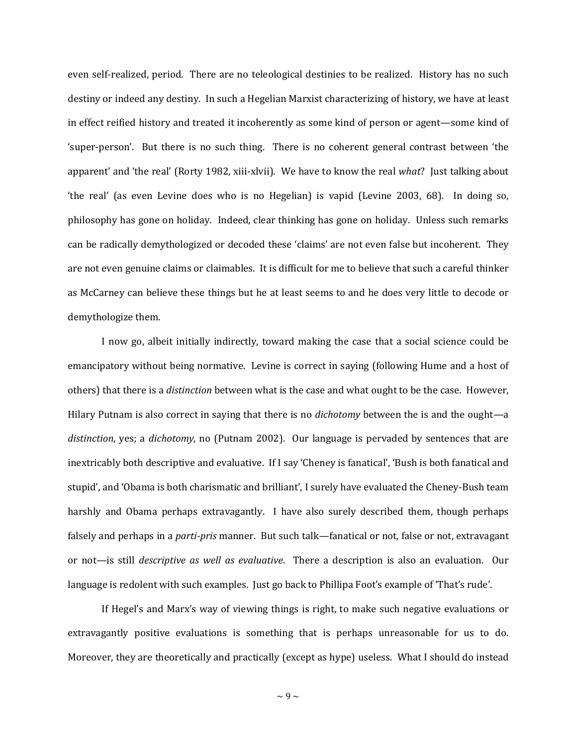even self-realized, period. There are no teleological destinies to be realized. History has no such destiny or indeed any destiny. In such a Hegelian Marxist characterizing of history, we have at least in effect reified history and treated it incoherently as some kind of person or agent—some kind of 'super-person'. But there is no such thing. There is no coherent general contrast between 'the apparent' and 'the real' (Rorty 1982, xiii-xlvii). We have to know the real *what*? Just talking about 'the real' (as even Levine does who is no Hegelian) is vapid (Levine 2003, 68). In doing so, philosophy has gone on holiday. Indeed, clear thinking has gone on holiday. Unless such remarks can be radically demythologized or decoded these 'claims' are not even false but incoherent. They are not even genuine claims or claimables. It is difficult for me to believe that such a careful thinker as McCarney can believe these things but he at least seems to and he does very little to decode or demythologize them.

I now go, albeit initially indirectly, toward making the case that a social science could be emancipatory without being normative. Levine is correct in saying (following Hume and a host of others) that there is a *distinction* between what is the case and what ought to be the case. However, Hilary Putnam is also correct in saying that there is no *dichotomy* between the is and the ought—a *distinction*, yes; a *dichotomy*, no (Putnam 2002). Our language is pervaded by sentences that are inextricably both descriptive and evaluative. If I say 'Cheney is fanatical', 'Bush is both fanatical and stupid', and 'Obama is both charismatic and brilliant', I surely have evaluated the Cheney-Bush team harshly and Obama perhaps extravagantly. I have also surely described them, though perhaps falsely and perhaps in a *parti-pris* manner. But such talk—fanatical or not, false or not, extravagant or not—is still *descriptive as well as evaluative*. There a description is also an evaluation. Our language is redolent with such examples. Just go back to Phillipa Foot's example of 'That's rude'.

If Hegel's and Marx's way of viewing things is right, to make such negative evaluations or extravagantly positive evaluations is something that is perhaps unreasonable for us to do. Moreover, they are theoretically and practically (except as hype) useless. What I should do instead

 $\sim$  9  $\sim$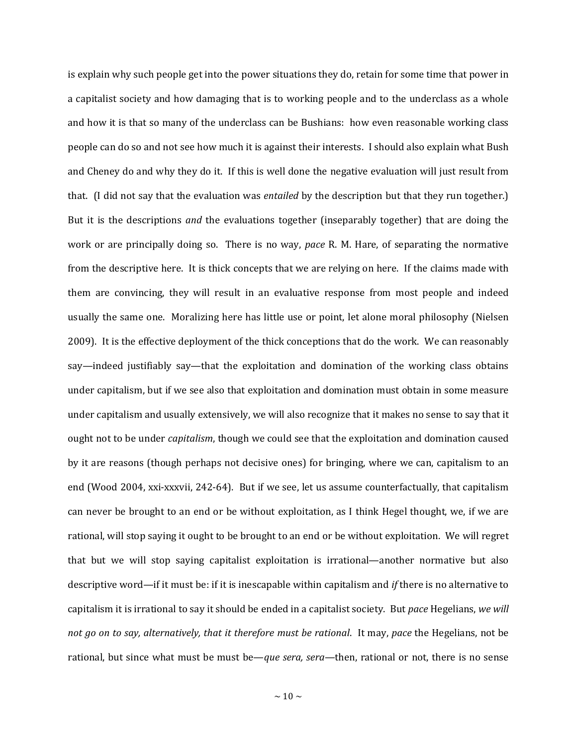is explain why such people get into the power situations they do, retain for some time that power in a capitalist society and how damaging that is to working people and to the underclass as a whole and how it is that so many of the underclass can be Bushians: how even reasonable working class people can do so and not see how much it is against their interests. I should also explain what Bush and Cheney do and why they do it. If this is well done the negative evaluation will just result from that. (I did not say that the evaluation was *entailed* by the description but that they run together.) But it is the descriptions *and* the evaluations together (inseparably together) that are doing the work or are principally doing so. There is no way, *pace* R. M. Hare, of separating the normative from the descriptive here. It is thick concepts that we are relying on here. If the claims made with them are convincing, they will result in an evaluative response from most people and indeed usually the same one. Moralizing here has little use or point, let alone moral philosophy (Nielsen 2009). It is the effective deployment of the thick conceptions that do the work. We can reasonably say—indeed justifiably say—that the exploitation and domination of the working class obtains under capitalism, but if we see also that exploitation and domination must obtain in some measure under capitalism and usually extensively, we will also recognize that it makes no sense to say that it ought not to be under *capitalism*, though we could see that the exploitation and domination caused by it are reasons (though perhaps not decisive ones) for bringing, where we can, capitalism to an end (Wood 2004, xxi-xxxvii, 242-64). But if we see, let us assume counterfactually, that capitalism can never be brought to an end or be without exploitation, as I think Hegel thought, we, if we are rational, will stop saying it ought to be brought to an end or be without exploitation. We will regret that but we will stop saying capitalist exploitation is irrational—another normative but also descriptive word—if it must be: if it is inescapable within capitalism and *if* there is no alternative to capitalism it is irrational to say it should be ended in a capitalist society. But *pace* Hegelians, *we will not go on to say, alternatively, that it therefore must be rational*. It may, *pace* the Hegelians, not be rational, but since what must be must be—*que sera, sera—*then, rational or not, there is no sense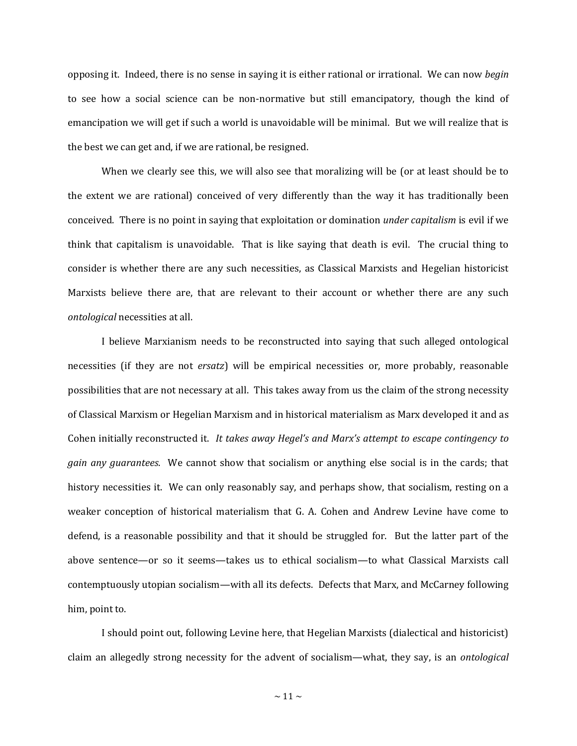opposing it. Indeed, there is no sense in saying it is either rational or irrational. We can now *begin* to see how a social science can be non-normative but still emancipatory, though the kind of emancipation we will get if such a world is unavoidable will be minimal. But we will realize that is the best we can get and, if we are rational, be resigned.

When we clearly see this, we will also see that moralizing will be (or at least should be to the extent we are rational) conceived of very differently than the way it has traditionally been conceived. There is no point in saying that exploitation or domination *under capitalism* is evil if we think that capitalism is unavoidable. That is like saying that death is evil. The crucial thing to consider is whether there are any such necessities, as Classical Marxists and Hegelian historicist Marxists believe there are, that are relevant to their account or whether there are any such *ontological* necessities at all.

I believe Marxianism needs to be reconstructed into saying that such alleged ontological necessities (if they are not *ersatz*) will be empirical necessities or, more probably, reasonable possibilities that are not necessary at all. This takes away from us the claim of the strong necessity of Classical Marxism or Hegelian Marxism and in historical materialism as Marx developed it and as Cohen initially reconstructed it. *It takes away Hegel's and Marx's attempt to escape contingency to gain any guarantees*. We cannot show that socialism or anything else social is in the cards; that history necessities it. We can only reasonably say, and perhaps show, that socialism, resting on a weaker conception of historical materialism that G. A. Cohen and Andrew Levine have come to defend, is a reasonable possibility and that it should be struggled for. But the latter part of the above sentence—or so it seems—takes us to ethical socialism—to what Classical Marxists call contemptuously utopian socialism—with all its defects. Defects that Marx, and McCarney following him, point to.

I should point out, following Levine here, that Hegelian Marxists (dialectical and historicist) claim an allegedly strong necessity for the advent of socialism—what, they say, is an *ontological*

 $\sim$  11  $\sim$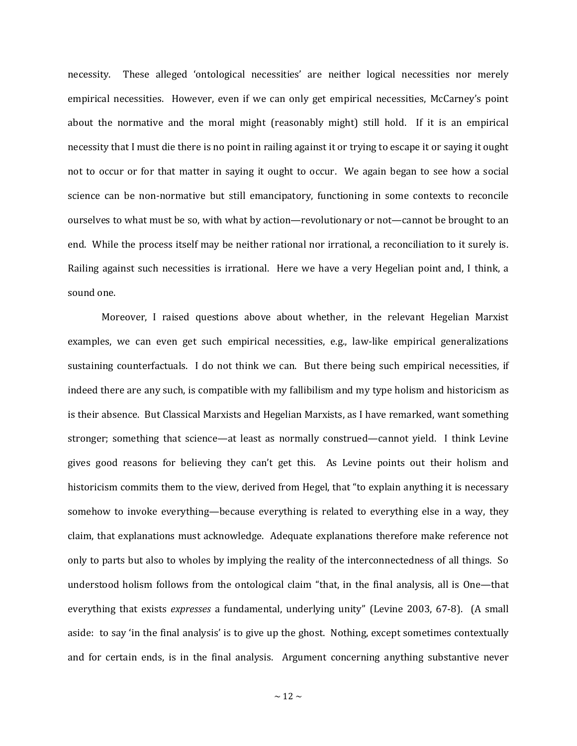necessity. These alleged 'ontological necessities' are neither logical necessities nor merely empirical necessities. However, even if we can only get empirical necessities, McCarney's point about the normative and the moral might (reasonably might) still hold. If it is an empirical necessity that I must die there is no point in railing against it or trying to escape it or saying it ought not to occur or for that matter in saying it ought to occur. We again began to see how a social science can be non-normative but still emancipatory, functioning in some contexts to reconcile ourselves to what must be so, with what by action—revolutionary or not—cannot be brought to an end. While the process itself may be neither rational nor irrational, a reconciliation to it surely is. Railing against such necessities is irrational. Here we have a very Hegelian point and, I think, a sound one.

Moreover, I raised questions above about whether, in the relevant Hegelian Marxist examples, we can even get such empirical necessities, e.g., law-like empirical generalizations sustaining counterfactuals. I do not think we can. But there being such empirical necessities, if indeed there are any such, is compatible with my fallibilism and my type holism and historicism as is their absence. But Classical Marxists and Hegelian Marxists, as I have remarked, want something stronger; something that science—at least as normally construed—cannot yield. I think Levine gives good reasons for believing they can't get this. As Levine points out their holism and historicism commits them to the view, derived from Hegel, that "to explain anything it is necessary somehow to invoke everything—because everything is related to everything else in a way, they claim, that explanations must acknowledge. Adequate explanations therefore make reference not only to parts but also to wholes by implying the reality of the interconnectedness of all things. So understood holism follows from the ontological claim "that, in the final analysis, all is One—that everything that exists *expresses* a fundamental, underlying unity" (Levine 2003, 67-8). (A small aside: to say 'in the final analysis' is to give up the ghost. Nothing, except sometimes contextually and for certain ends, is in the final analysis. Argument concerning anything substantive never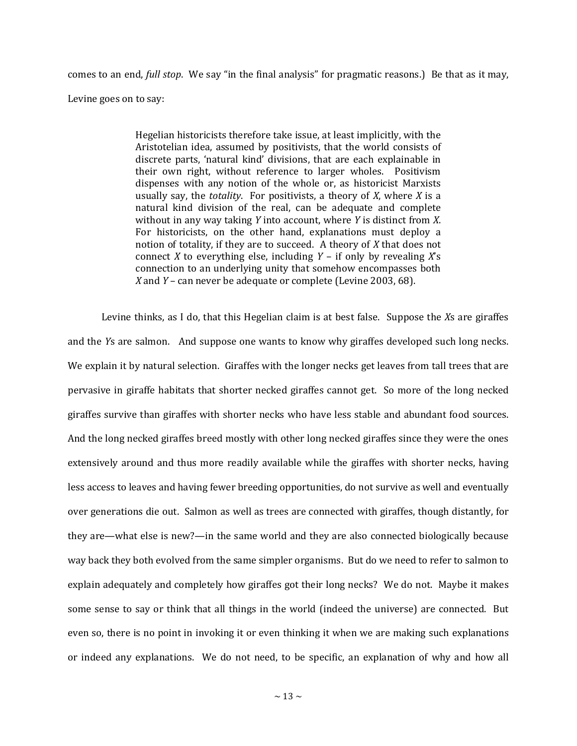comes to an end, *full stop*. We say "in the final analysis" for pragmatic reasons.) Be that as it may, Levine goes on to say:

> Hegelian historicists therefore take issue, at least implicitly, with the Aristotelian idea, assumed by positivists, that the world consists of discrete parts, 'natural kind' divisions, that are each explainable in their own right, without reference to larger wholes. Positivism dispenses with any notion of the whole or, as historicist Marxists usually say, the *totality*. For positivists, a theory of *X*, where *X* is a natural kind division of the real, can be adequate and complete without in any way taking *Y* into account, where *Y* is distinct from *X*. For historicists, on the other hand, explanations must deploy a notion of totality, if they are to succeed. A theory of *X* that does not connect *X* to everything else, including *Y* – if only by revealing *X*'s connection to an underlying unity that somehow encompasses both *X* and *Y* – can never be adequate or complete (Levine 2003, 68).

Levine thinks, as I do, that this Hegelian claim is at best false. Suppose the *X*s are giraffes and the *Y*s are salmon. And suppose one wants to know why giraffes developed such long necks. We explain it by natural selection. Giraffes with the longer necks get leaves from tall trees that are pervasive in giraffe habitats that shorter necked giraffes cannot get. So more of the long necked giraffes survive than giraffes with shorter necks who have less stable and abundant food sources. And the long necked giraffes breed mostly with other long necked giraffes since they were the ones extensively around and thus more readily available while the giraffes with shorter necks, having less access to leaves and having fewer breeding opportunities, do not survive as well and eventually over generations die out. Salmon as well as trees are connected with giraffes, though distantly, for they are—what else is new?—in the same world and they are also connected biologically because way back they both evolved from the same simpler organisms. But do we need to refer to salmon to explain adequately and completely how giraffes got their long necks? We do not. Maybe it makes some sense to say or think that all things in the world (indeed the universe) are connected. But even so, there is no point in invoking it or even thinking it when we are making such explanations or indeed any explanations. We do not need, to be specific, an explanation of why and how all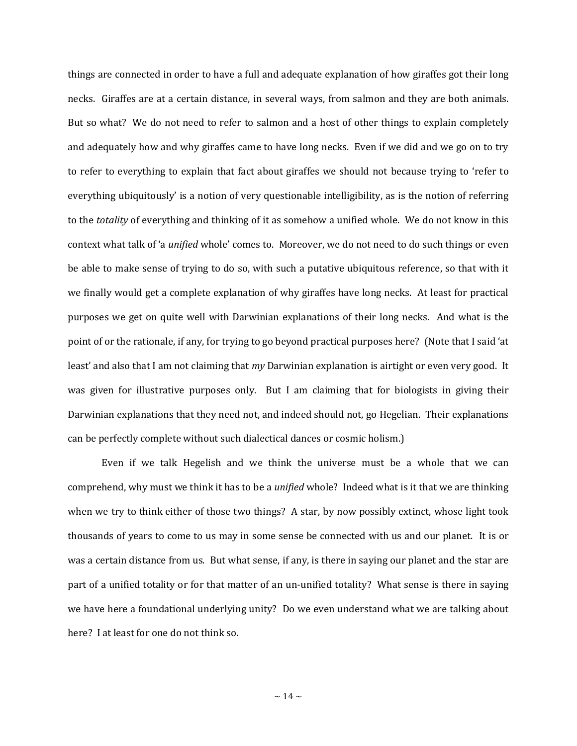things are connected in order to have a full and adequate explanation of how giraffes got their long necks. Giraffes are at a certain distance, in several ways, from salmon and they are both animals. But so what? We do not need to refer to salmon and a host of other things to explain completely and adequately how and why giraffes came to have long necks. Even if we did and we go on to try to refer to everything to explain that fact about giraffes we should not because trying to 'refer to everything ubiquitously' is a notion of very questionable intelligibility, as is the notion of referring to the *totality* of everything and thinking of it as somehow a unified whole. We do not know in this context what talk of 'a *unified* whole' comes to. Moreover, we do not need to do such things or even be able to make sense of trying to do so, with such a putative ubiquitous reference, so that with it we finally would get a complete explanation of why giraffes have long necks. At least for practical purposes we get on quite well with Darwinian explanations of their long necks. And what is the point of or the rationale, if any, for trying to go beyond practical purposes here? (Note that I said 'at least' and also that I am not claiming that *my* Darwinian explanation is airtight or even very good. It was given for illustrative purposes only. But I am claiming that for biologists in giving their Darwinian explanations that they need not, and indeed should not, go Hegelian. Their explanations can be perfectly complete without such dialectical dances or cosmic holism.)

Even if we talk Hegelish and we think the universe must be a whole that we can comprehend, why must we think it has to be a *unified* whole? Indeed what is it that we are thinking when we try to think either of those two things? A star, by now possibly extinct, whose light took thousands of years to come to us may in some sense be connected with us and our planet. It is or was a certain distance from us. But what sense, if any, is there in saying our planet and the star are part of a unified totality or for that matter of an un-unified totality? What sense is there in saying we have here a foundational underlying unity? Do we even understand what we are talking about here? I at least for one do not think so.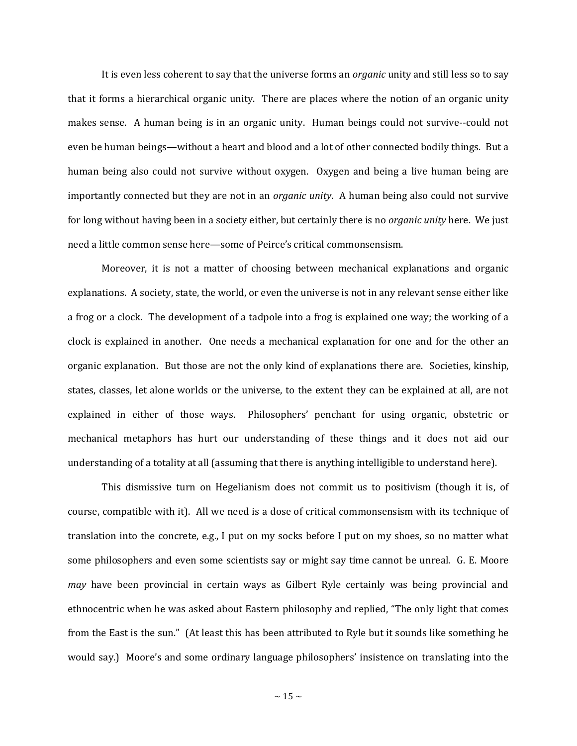It is even less coherent to say that the universe forms an *organic* unity and still less so to say that it forms a hierarchical organic unity. There are places where the notion of an organic unity makes sense. A human being is in an organic unity. Human beings could not survive--could not even be human beings—without a heart and blood and a lot of other connected bodily things. But a human being also could not survive without oxygen. Oxygen and being a live human being are importantly connected but they are not in an *organic unity*. A human being also could not survive for long without having been in a society either, but certainly there is no *organic unity* here. We just need a little common sense here—some of Peirce's critical commonsensism.

Moreover, it is not a matter of choosing between mechanical explanations and organic explanations. A society, state, the world, or even the universe is not in any relevant sense either like a frog or a clock. The development of a tadpole into a frog is explained one way; the working of a clock is explained in another. One needs a mechanical explanation for one and for the other an organic explanation. But those are not the only kind of explanations there are. Societies, kinship, states, classes, let alone worlds or the universe, to the extent they can be explained at all, are not explained in either of those ways. Philosophers' penchant for using organic, obstetric or mechanical metaphors has hurt our understanding of these things and it does not aid our understanding of a totality at all (assuming that there is anything intelligible to understand here).

This dismissive turn on Hegelianism does not commit us to positivism (though it is, of course, compatible with it). All we need is a dose of critical commonsensism with its technique of translation into the concrete, e.g., I put on my socks before I put on my shoes, so no matter what some philosophers and even some scientists say or might say time cannot be unreal. G. E. Moore *may* have been provincial in certain ways as Gilbert Ryle certainly was being provincial and ethnocentric when he was asked about Eastern philosophy and replied, "The only light that comes from the East is the sun." (At least this has been attributed to Ryle but it sounds like something he would say.) Moore's and some ordinary language philosophers' insistence on translating into the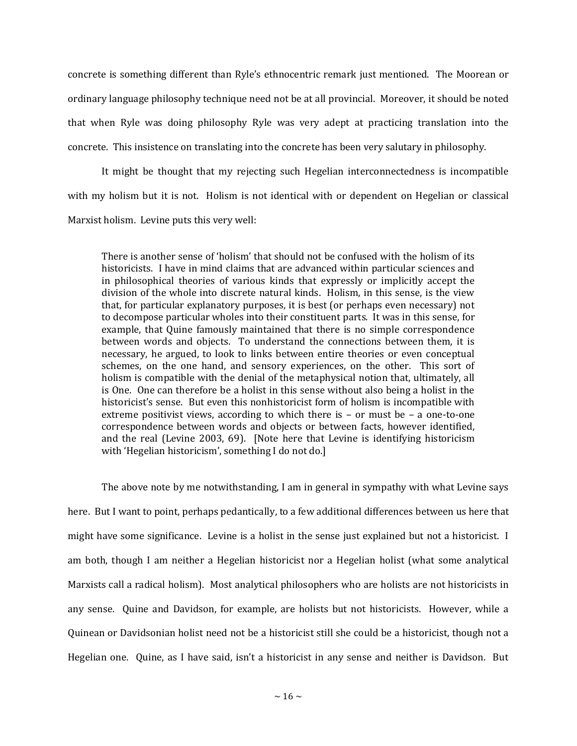concrete is something different than Ryle's ethnocentric remark just mentioned. The Moorean or ordinary language philosophy technique need not be at all provincial. Moreover, it should be noted that when Ryle was doing philosophy Ryle was very adept at practicing translation into the concrete. This insistence on translating into the concrete has been very salutary in philosophy.

It might be thought that my rejecting such Hegelian interconnectedness is incompatible with my holism but it is not. Holism is not identical with or dependent on Hegelian or classical Marxist holism. Levine puts this very well:

There is another sense of 'holism' that should not be confused with the holism of its historicists. I have in mind claims that are advanced within particular sciences and in philosophical theories of various kinds that expressly or implicitly accept the division of the whole into discrete natural kinds. Holism, in this sense, is the view that, for particular explanatory purposes, it is best (or perhaps even necessary) not to decompose particular wholes into their constituent parts. It was in this sense, for example, that Quine famously maintained that there is no simple correspondence between words and objects. To understand the connections between them, it is necessary, he argued, to look to links between entire theories or even conceptual schemes, on the one hand, and sensory experiences, on the other. This sort of holism is compatible with the denial of the metaphysical notion that, ultimately, all is One. One can therefore be a holist in this sense without also being a holist in the historicist's sense. But even this nonhistoricist form of holism is incompatible with extreme positivist views, according to which there is – or must be – a one-to-one correspondence between words and objects or between facts, however identified, and the real (Levine 2003, 69). [Note here that Levine is identifying historicism with 'Hegelian historicism', something I do not do.]

The above note by me notwithstanding, I am in general in sympathy with what Levine says here. But I want to point, perhaps pedantically, to a few additional differences between us here that might have some significance. Levine is a holist in the sense just explained but not a historicist. I am both, though I am neither a Hegelian historicist nor a Hegelian holist (what some analytical Marxists call a radical holism). Most analytical philosophers who are holists are not historicists in any sense. Quine and Davidson, for example, are holists but not historicists. However, while a Quinean or Davidsonian holist need not be a historicist still she could be a historicist, though not a Hegelian one. Quine, as I have said, isn't a historicist in any sense and neither is Davidson. But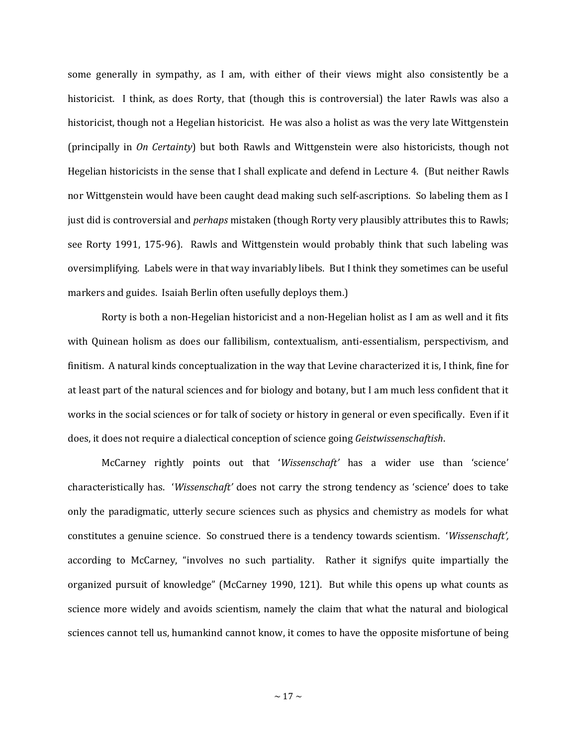some generally in sympathy, as I am, with either of their views might also consistently be a historicist. I think, as does Rorty, that (though this is controversial) the later Rawls was also a historicist, though not a Hegelian historicist. He was also a holist as was the very late Wittgenstein (principally in *On Certainty*) but both Rawls and Wittgenstein were also historicists, though not Hegelian historicists in the sense that I shall explicate and defend in Lecture 4. (But neither Rawls nor Wittgenstein would have been caught dead making such self-ascriptions. So labeling them as I just did is controversial and *perhaps* mistaken (though Rorty very plausibly attributes this to Rawls; see Rorty 1991, 175-96). Rawls and Wittgenstein would probably think that such labeling was oversimplifying. Labels were in that way invariably libels. But I think they sometimes can be useful markers and guides. Isaiah Berlin often usefully deploys them.)

Rorty is both a non-Hegelian historicist and a non-Hegelian holist as I am as well and it fits with Quinean holism as does our fallibilism, contextualism, anti-essentialism, perspectivism, and finitism. A natural kinds conceptualization in the way that Levine characterized it is, I think, fine for at least part of the natural sciences and for biology and botany, but I am much less confident that it works in the social sciences or for talk of society or history in general or even specifically. Even if it does, it does not require a dialectical conception of science going *Geistwissenschaftish*.

McCarney rightly points out that '*Wissenschaft'* has a wider use than 'science' characteristically has. '*Wissenschaft'* does not carry the strong tendency as 'science' does to take only the paradigmatic, utterly secure sciences such as physics and chemistry as models for what constitutes a genuine science. So construed there is a tendency towards scientism. '*Wissenschaft',* according to McCarney, "involves no such partiality. Rather it signifys quite impartially the organized pursuit of knowledge" (McCarney 1990, 121). But while this opens up what counts as science more widely and avoids scientism, namely the claim that what the natural and biological sciences cannot tell us, humankind cannot know, it comes to have the opposite misfortune of being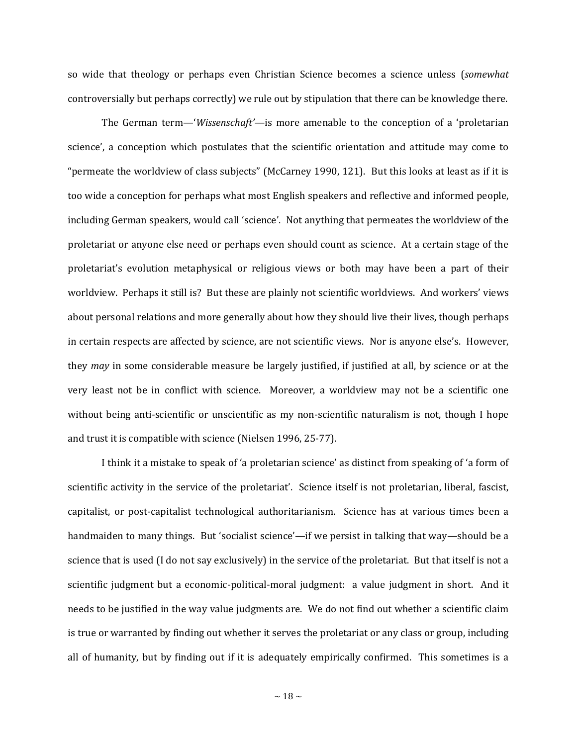so wide that theology or perhaps even Christian Science becomes a science unless (*somewhat* controversially but perhaps correctly) we rule out by stipulation that there can be knowledge there.

The German term—'*Wissenschaft'—*is more amenable to the conception of a 'proletarian science', a conception which postulates that the scientific orientation and attitude may come to "permeate the worldview of class subjects" (McCarney 1990, 121). But this looks at least as if it is too wide a conception for perhaps what most English speakers and reflective and informed people, including German speakers, would call 'science'. Not anything that permeates the worldview of the proletariat or anyone else need or perhaps even should count as science. At a certain stage of the proletariat's evolution metaphysical or religious views or both may have been a part of their worldview. Perhaps it still is? But these are plainly not scientific worldviews. And workers' views about personal relations and more generally about how they should live their lives, though perhaps in certain respects are affected by science, are not scientific views. Nor is anyone else's. However, they *may* in some considerable measure be largely justified, if justified at all, by science or at the very least not be in conflict with science. Moreover, a worldview may not be a scientific one without being anti-scientific or unscientific as my non-scientific naturalism is not, though I hope and trust it is compatible with science (Nielsen 1996, 25-77).

I think it a mistake to speak of 'a proletarian science' as distinct from speaking of 'a form of scientific activity in the service of the proletariat'. Science itself is not proletarian, liberal, fascist, capitalist, or post-capitalist technological authoritarianism. Science has at various times been a handmaiden to many things. But 'socialist science'—if we persist in talking that way—should be a science that is used (I do not say exclusively) in the service of the proletariat. But that itself is not a scientific judgment but a economic-political-moral judgment: a value judgment in short. And it needs to be justified in the way value judgments are. We do not find out whether a scientific claim is true or warranted by finding out whether it serves the proletariat or any class or group, including all of humanity, but by finding out if it is adequately empirically confirmed. This sometimes is a

 $\sim$  18  $\sim$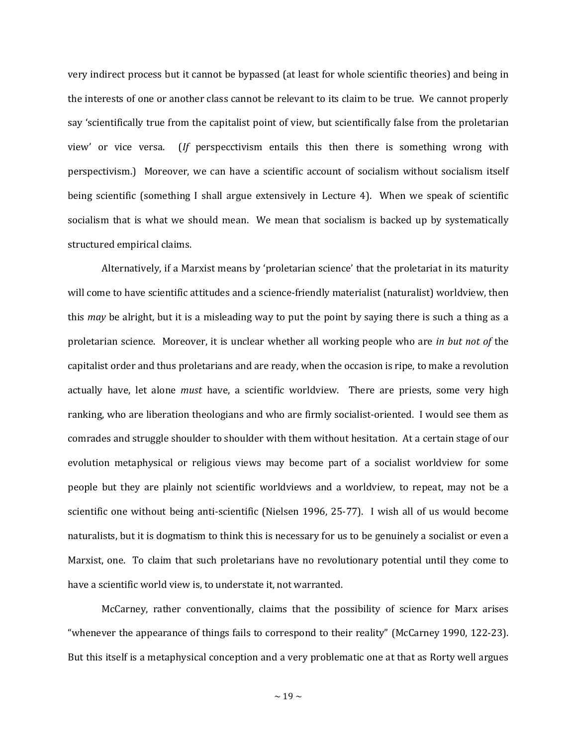very indirect process but it cannot be bypassed (at least for whole scientific theories) and being in the interests of one or another class cannot be relevant to its claim to be true. We cannot properly say 'scientifically true from the capitalist point of view, but scientifically false from the proletarian view' or vice versa. (*If* perspecctivism entails this then there is something wrong with perspectivism.) Moreover, we can have a scientific account of socialism without socialism itself being scientific (something I shall argue extensively in Lecture 4). When we speak of scientific socialism that is what we should mean. We mean that socialism is backed up by systematically structured empirical claims.

Alternatively, if a Marxist means by 'proletarian science' that the proletariat in its maturity will come to have scientific attitudes and a science-friendly materialist (naturalist) worldview, then this *may* be alright, but it is a misleading way to put the point by saying there is such a thing as a proletarian science. Moreover, it is unclear whether all working people who are *in but not of* the capitalist order and thus proletarians and are ready, when the occasion is ripe, to make a revolution actually have, let alone *must* have, a scientific worldview. There are priests, some very high ranking, who are liberation theologians and who are firmly socialist-oriented. I would see them as comrades and struggle shoulder to shoulder with them without hesitation. At a certain stage of our evolution metaphysical or religious views may become part of a socialist worldview for some people but they are plainly not scientific worldviews and a worldview, to repeat, may not be a scientific one without being anti-scientific (Nielsen 1996, 25-77). I wish all of us would become naturalists, but it is dogmatism to think this is necessary for us to be genuinely a socialist or even a Marxist, one. To claim that such proletarians have no revolutionary potential until they come to have a scientific world view is, to understate it, not warranted.

McCarney, rather conventionally, claims that the possibility of science for Marx arises "whenever the appearance of things fails to correspond to their reality" (McCarney 1990, 122-23). But this itself is a metaphysical conception and a very problematic one at that as Rorty well argues

 $\sim$  19  $\sim$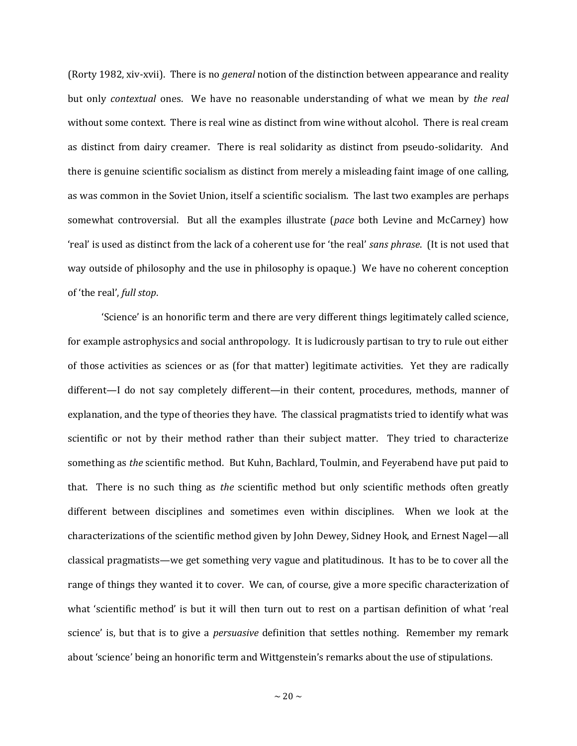(Rorty 1982, xiv-xvii). There is no *general* notion of the distinction between appearance and reality but only *contextual* ones. We have no reasonable understanding of what we mean by *the real* without some context. There is real wine as distinct from wine without alcohol. There is real cream as distinct from dairy creamer. There is real solidarity as distinct from pseudo-solidarity. And there is genuine scientific socialism as distinct from merely a misleading faint image of one calling, as was common in the Soviet Union, itself a scientific socialism. The last two examples are perhaps somewhat controversial. But all the examples illustrate (*pace* both Levine and McCarney) how 'real' is used as distinct from the lack of a coherent use for 'the real' *sans phrase*. (It is not used that way outside of philosophy and the use in philosophy is opaque.) We have no coherent conception of 'the real', *full stop*.

'Science' is an honorific term and there are very different things legitimately called science, for example astrophysics and social anthropology. It is ludicrously partisan to try to rule out either of those activities as sciences or as (for that matter) legitimate activities. Yet they are radically different—I do not say completely different—in their content, procedures, methods, manner of explanation, and the type of theories they have. The classical pragmatists tried to identify what was scientific or not by their method rather than their subject matter. They tried to characterize something as *the* scientific method. But Kuhn, Bachlard, Toulmin, and Feyerabend have put paid to that. There is no such thing as *the* scientific method but only scientific methods often greatly different between disciplines and sometimes even within disciplines. When we look at the characterizations of the scientific method given by John Dewey, Sidney Hook, and Ernest Nagel—all classical pragmatists—we get something very vague and platitudinous. It has to be to cover all the range of things they wanted it to cover. We can, of course, give a more specific characterization of what 'scientific method' is but it will then turn out to rest on a partisan definition of what 'real science' is, but that is to give a *persuasive* definition that settles nothing. Remember my remark about 'science' being an honorific term and Wittgenstein's remarks about the use of stipulations.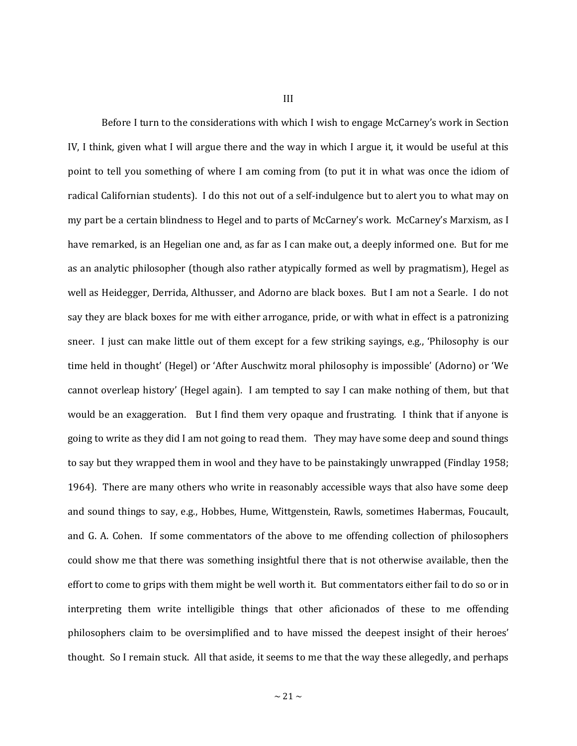III

Before I turn to the considerations with which I wish to engage McCarney's work in Section IV, I think, given what I will argue there and the way in which I argue it, it would be useful at this point to tell you something of where I am coming from (to put it in what was once the idiom of radical Californian students). I do this not out of a self-indulgence but to alert you to what may on my part be a certain blindness to Hegel and to parts of McCarney's work. McCarney's Marxism, as I have remarked, is an Hegelian one and, as far as I can make out, a deeply informed one. But for me as an analytic philosopher (though also rather atypically formed as well by pragmatism), Hegel as well as Heidegger, Derrida, Althusser, and Adorno are black boxes. But I am not a Searle. I do not say they are black boxes for me with either arrogance, pride, or with what in effect is a patronizing sneer. I just can make little out of them except for a few striking sayings, e.g., 'Philosophy is our time held in thought' (Hegel) or 'After Auschwitz moral philosophy is impossible' (Adorno) or 'We cannot overleap history' (Hegel again). I am tempted to say I can make nothing of them, but that would be an exaggeration. But I find them very opaque and frustrating. I think that if anyone is going to write as they did I am not going to read them. They may have some deep and sound things to say but they wrapped them in wool and they have to be painstakingly unwrapped (Findlay 1958; 1964). There are many others who write in reasonably accessible ways that also have some deep and sound things to say, e.g., Hobbes, Hume, Wittgenstein, Rawls, sometimes Habermas, Foucault, and G. A. Cohen. If some commentators of the above to me offending collection of philosophers could show me that there was something insightful there that is not otherwise available, then the effort to come to grips with them might be well worth it. But commentators either fail to do so or in interpreting them write intelligible things that other aficionados of these to me offending philosophers claim to be oversimplified and to have missed the deepest insight of their heroes' thought. So I remain stuck. All that aside, it seems to me that the way these allegedly, and perhaps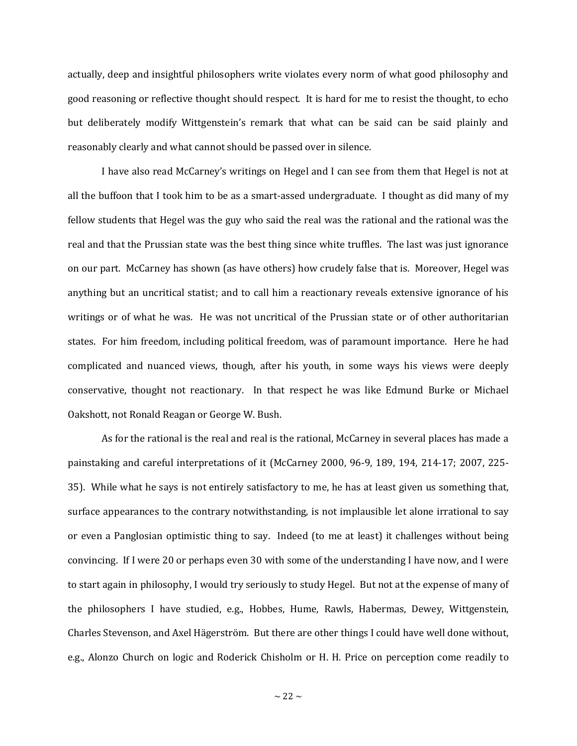actually, deep and insightful philosophers write violates every norm of what good philosophy and good reasoning or reflective thought should respect. It is hard for me to resist the thought, to echo but deliberately modify Wittgenstein's remark that what can be said can be said plainly and reasonably clearly and what cannot should be passed over in silence.

I have also read McCarney's writings on Hegel and I can see from them that Hegel is not at all the buffoon that I took him to be as a smart-assed undergraduate. I thought as did many of my fellow students that Hegel was the guy who said the real was the rational and the rational was the real and that the Prussian state was the best thing since white truffles. The last was just ignorance on our part. McCarney has shown (as have others) how crudely false that is. Moreover, Hegel was anything but an uncritical statist; and to call him a reactionary reveals extensive ignorance of his writings or of what he was. He was not uncritical of the Prussian state or of other authoritarian states. For him freedom, including political freedom, was of paramount importance. Here he had complicated and nuanced views, though, after his youth, in some ways his views were deeply conservative, thought not reactionary. In that respect he was like Edmund Burke or Michael Oakshott, not Ronald Reagan or George W. Bush.

As for the rational is the real and real is the rational, McCarney in several places has made a painstaking and careful interpretations of it (McCarney 2000, 96-9, 189, 194, 214-17; 2007, 225- 35). While what he says is not entirely satisfactory to me, he has at least given us something that, surface appearances to the contrary notwithstanding, is not implausible let alone irrational to say or even a Panglosian optimistic thing to say. Indeed (to me at least) it challenges without being convincing. If I were 20 or perhaps even 30 with some of the understanding I have now, and I were to start again in philosophy, I would try seriously to study Hegel. But not at the expense of many of the philosophers I have studied, e.g., Hobbes, Hume, Rawls, Habermas, Dewey, Wittgenstein, Charles Stevenson, and Axel Hägerström. But there are other things I could have well done without, e.g., Alonzo Church on logic and Roderick Chisholm or H. H. Price on perception come readily to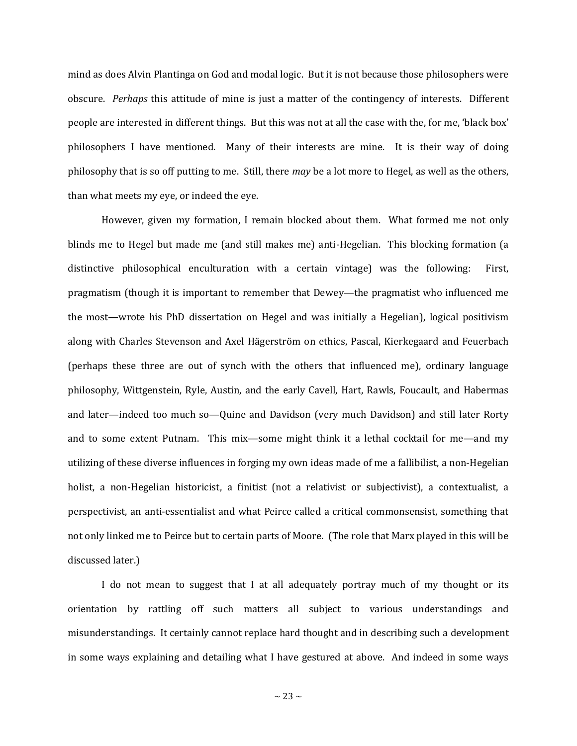mind as does Alvin Plantinga on God and modal logic. But it is not because those philosophers were obscure. *Perhaps* this attitude of mine is just a matter of the contingency of interests. Different people are interested in different things. But this was not at all the case with the, for me, 'black box' philosophers I have mentioned. Many of their interests are mine. It is their way of doing philosophy that is so off putting to me. Still, there *may* be a lot more to Hegel, as well as the others, than what meets my eye, or indeed the eye.

However, given my formation, I remain blocked about them. What formed me not only blinds me to Hegel but made me (and still makes me) anti-Hegelian. This blocking formation (a distinctive philosophical enculturation with a certain vintage) was the following: First, pragmatism (though it is important to remember that Dewey—the pragmatist who influenced me the most—wrote his PhD dissertation on Hegel and was initially a Hegelian), logical positivism along with Charles Stevenson and Axel Hägerström on ethics, Pascal, Kierkegaard and Feuerbach (perhaps these three are out of synch with the others that influenced me), ordinary language philosophy, Wittgenstein, Ryle, Austin, and the early Cavell, Hart, Rawls, Foucault, and Habermas and later—indeed too much so—Quine and Davidson (very much Davidson) and still later Rorty and to some extent Putnam. This mix—some might think it a lethal cocktail for me—and my utilizing of these diverse influences in forging my own ideas made of me a fallibilist, a non-Hegelian holist, a non-Hegelian historicist, a finitist (not a relativist or subjectivist), a contextualist, a perspectivist, an anti-essentialist and what Peirce called a critical commonsensist, something that not only linked me to Peirce but to certain parts of Moore. (The role that Marx played in this will be discussed later.)

I do not mean to suggest that I at all adequately portray much of my thought or its orientation by rattling off such matters all subject to various understandings and misunderstandings. It certainly cannot replace hard thought and in describing such a development in some ways explaining and detailing what I have gestured at above. And indeed in some ways

 $\sim$  23  $\sim$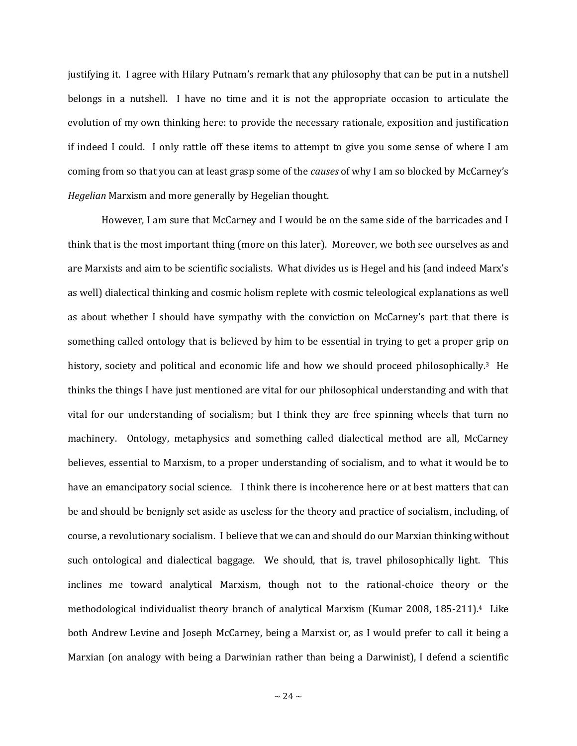justifying it. I agree with Hilary Putnam's remark that any philosophy that can be put in a nutshell belongs in a nutshell. I have no time and it is not the appropriate occasion to articulate the evolution of my own thinking here: to provide the necessary rationale, exposition and justification if indeed I could. I only rattle off these items to attempt to give you some sense of where I am coming from so that you can at least grasp some of the *causes* of why I am so blocked by McCarney's *Hegelian* Marxism and more generally by Hegelian thought.

However, I am sure that McCarney and I would be on the same side of the barricades and I think that is the most important thing (more on this later). Moreover, we both see ourselves as and are Marxists and aim to be scientific socialists. What divides us is Hegel and his (and indeed Marx's as well) dialectical thinking and cosmic holism replete with cosmic teleological explanations as well as about whether I should have sympathy with the conviction on McCarney's part that there is something called ontology that is believed by him to be essential in trying to get a proper grip on history, society and political and economic life and how we should proceed philosophically.<sup>3</sup> He thinks the things I have just mentioned are vital for our philosophical understanding and with that vital for our understanding of socialism; but I think they are free spinning wheels that turn no machinery. Ontology, metaphysics and something called dialectical method are all, McCarney believes, essential to Marxism, to a proper understanding of socialism, and to what it would be to have an emancipatory social science. I think there is incoherence here or at best matters that can be and should be benignly set aside as useless for the theory and practice of socialism, including, of course, a revolutionary socialism. I believe that we can and should do our Marxian thinking without such ontological and dialectical baggage. We should, that is, travel philosophically light. This inclines me toward analytical Marxism, though not to the rational-choice theory or the methodological individualist theory branch of analytical Marxism (Kumar 2008, 185-211). <sup>4</sup> Like both Andrew Levine and Joseph McCarney, being a Marxist or, as I would prefer to call it being a Marxian (on analogy with being a Darwinian rather than being a Darwinist), I defend a scientific

 $\sim$  24  $\sim$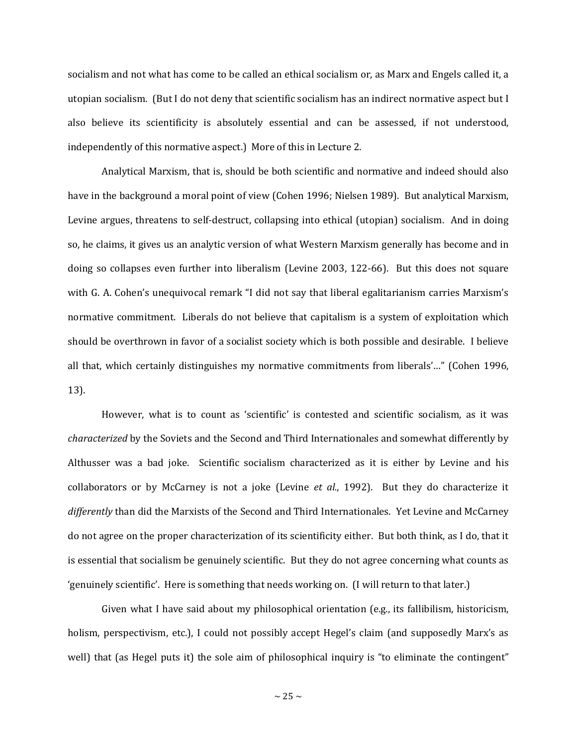socialism and not what has come to be called an ethical socialism or, as Marx and Engels called it, a utopian socialism. (But I do not deny that scientific socialism has an indirect normative aspect but I also believe its scientificity is absolutely essential and can be assessed, if not understood, independently of this normative aspect.) More of this in Lecture 2.

Analytical Marxism, that is, should be both scientific and normative and indeed should also have in the background a moral point of view (Cohen 1996; Nielsen 1989). But analytical Marxism, Levine argues, threatens to self-destruct, collapsing into ethical (utopian) socialism. And in doing so, he claims, it gives us an analytic version of what Western Marxism generally has become and in doing so collapses even further into liberalism (Levine 2003, 122-66). But this does not square with G. A. Cohen's unequivocal remark "I did not say that liberal egalitarianism carries Marxism's normative commitment. Liberals do not believe that capitalism is a system of exploitation which should be overthrown in favor of a socialist society which is both possible and desirable. I believe all that, which certainly distinguishes my normative commitments from liberals'…" (Cohen 1996, 13).

However, what is to count as 'scientific' is contested and scientific socialism, as it was *characterized* by the Soviets and the Second and Third Internationales and somewhat differently by Althusser was a bad joke. Scientific socialism characterized as it is either by Levine and his collaborators or by McCarney is not a joke (Levine *et al.*, 1992). But they do characterize it *differently* than did the Marxists of the Second and Third Internationales. Yet Levine and McCarney do not agree on the proper characterization of its scientificity either. But both think, as I do, that it is essential that socialism be genuinely scientific. But they do not agree concerning what counts as 'genuinely scientific'. Here is something that needs working on. (I will return to that later.)

Given what I have said about my philosophical orientation (e.g., its fallibilism, historicism, holism, perspectivism, etc.), I could not possibly accept Hegel's claim (and supposedly Marx's as well) that (as Hegel puts it) the sole aim of philosophical inquiry is "to eliminate the contingent"

 $\sim$  25  $\sim$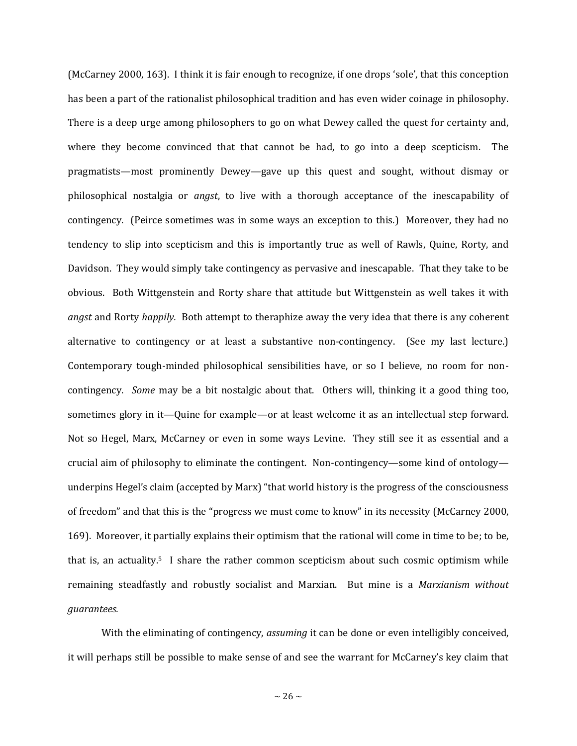(McCarney 2000, 163). I think it is fair enough to recognize, if one drops 'sole', that this conception has been a part of the rationalist philosophical tradition and has even wider coinage in philosophy. There is a deep urge among philosophers to go on what Dewey called the quest for certainty and, where they become convinced that that cannot be had, to go into a deep scepticism. The pragmatists—most prominently Dewey—gave up this quest and sought, without dismay or philosophical nostalgia or *angst*, to live with a thorough acceptance of the inescapability of contingency. (Peirce sometimes was in some ways an exception to this.) Moreover, they had no tendency to slip into scepticism and this is importantly true as well of Rawls, Quine, Rorty, and Davidson. They would simply take contingency as pervasive and inescapable. That they take to be obvious. Both Wittgenstein and Rorty share that attitude but Wittgenstein as well takes it with *angst* and Rorty *happily.* Both attempt to theraphize away the very idea that there is any coherent alternative to contingency or at least a substantive non-contingency. (See my last lecture.) Contemporary tough-minded philosophical sensibilities have, or so I believe, no room for noncontingency. *Some* may be a bit nostalgic about that. Others will, thinking it a good thing too, sometimes glory in it—Quine for example—or at least welcome it as an intellectual step forward. Not so Hegel, Marx, McCarney or even in some ways Levine. They still see it as essential and a crucial aim of philosophy to eliminate the contingent. Non-contingency—some kind of ontology underpins Hegel's claim (accepted by Marx) "that world history is the progress of the consciousness of freedom" and that this is the "progress we must come to know" in its necessity (McCarney 2000, 169). Moreover, it partially explains their optimism that the rational will come in time to be; to be, that is, an actuality.<sup>5</sup> I share the rather common scepticism about such cosmic optimism while remaining steadfastly and robustly socialist and Marxian. But mine is a *Marxianism without guarantees.*

With the eliminating of contingency, *assuming* it can be done or even intelligibly conceived, it will perhaps still be possible to make sense of and see the warrant for McCarney's key claim that

 $\sim$  26  $\sim$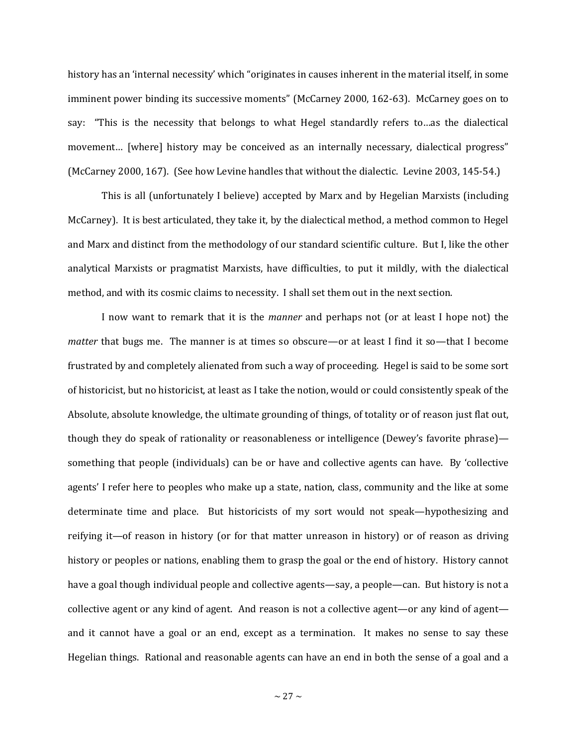history has an 'internal necessity' which "originates in causes inherent in the material itself, in some imminent power binding its successive moments" (McCarney 2000, 162-63). McCarney goes on to say: "This is the necessity that belongs to what Hegel standardly refers to…as the dialectical movement… [where] history may be conceived as an internally necessary, dialectical progress" (McCarney 2000, 167). (See how Levine handles that without the dialectic. Levine 2003, 145-54.)

This is all (unfortunately I believe) accepted by Marx and by Hegelian Marxists (including McCarney). It is best articulated, they take it, by the dialectical method, a method common to Hegel and Marx and distinct from the methodology of our standard scientific culture. But I, like the other analytical Marxists or pragmatist Marxists, have difficulties, to put it mildly, with the dialectical method, and with its cosmic claims to necessity. I shall set them out in the next section.

I now want to remark that it is the *manner* and perhaps not (or at least I hope not) the *matter* that bugs me. The manner is at times so obscure—or at least I find it so—that I become frustrated by and completely alienated from such a way of proceeding. Hegel is said to be some sort of historicist, but no historicist, at least as I take the notion, would or could consistently speak of the Absolute, absolute knowledge, the ultimate grounding of things, of totality or of reason just flat out, though they do speak of rationality or reasonableness or intelligence (Dewey's favorite phrase) something that people (individuals) can be or have and collective agents can have. By 'collective agents' I refer here to peoples who make up a state, nation, class, community and the like at some determinate time and place. But historicists of my sort would not speak—hypothesizing and reifying it—of reason in history (or for that matter unreason in history) or of reason as driving history or peoples or nations, enabling them to grasp the goal or the end of history. History cannot have a goal though individual people and collective agents—say, a people—can. But history is not a collective agent or any kind of agent. And reason is not a collective agent—or any kind of agent and it cannot have a goal or an end, except as a termination. It makes no sense to say these Hegelian things. Rational and reasonable agents can have an end in both the sense of a goal and a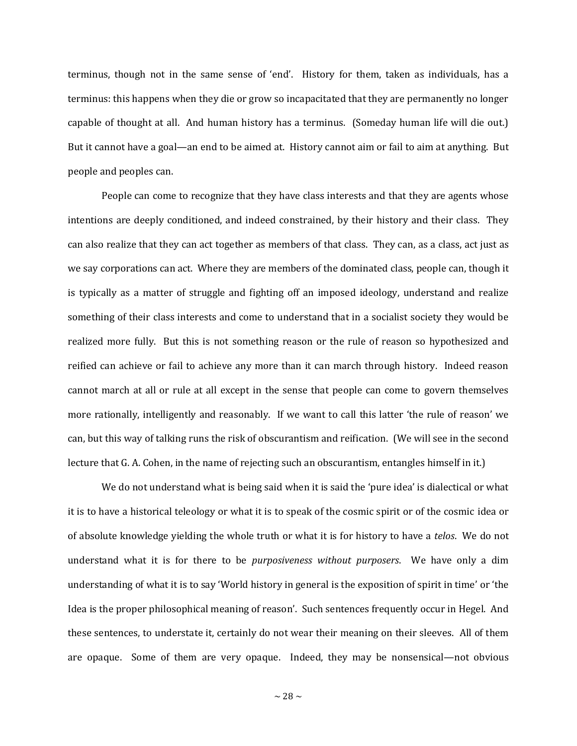terminus, though not in the same sense of 'end'. History for them, taken as individuals, has a terminus: this happens when they die or grow so incapacitated that they are permanently no longer capable of thought at all. And human history has a terminus. (Someday human life will die out.) But it cannot have a goal—an end to be aimed at. History cannot aim or fail to aim at anything. But people and peoples can.

People can come to recognize that they have class interests and that they are agents whose intentions are deeply conditioned, and indeed constrained, by their history and their class. They can also realize that they can act together as members of that class. They can, as a class, act just as we say corporations can act. Where they are members of the dominated class, people can, though it is typically as a matter of struggle and fighting off an imposed ideology, understand and realize something of their class interests and come to understand that in a socialist society they would be realized more fully. But this is not something reason or the rule of reason so hypothesized and reified can achieve or fail to achieve any more than it can march through history. Indeed reason cannot march at all or rule at all except in the sense that people can come to govern themselves more rationally, intelligently and reasonably. If we want to call this latter 'the rule of reason' we can, but this way of talking runs the risk of obscurantism and reification. (We will see in the second lecture that G. A. Cohen, in the name of rejecting such an obscurantism, entangles himself in it.)

We do not understand what is being said when it is said the 'pure idea' is dialectical or what it is to have a historical teleology or what it is to speak of the cosmic spirit or of the cosmic idea or of absolute knowledge yielding the whole truth or what it is for history to have a *telos*. We do not understand what it is for there to be *purposiveness without purposers*. We have only a dim understanding of what it is to say 'World history in general is the exposition of spirit in time' or 'the Idea is the proper philosophical meaning of reason'. Such sentences frequently occur in Hegel. And these sentences, to understate it, certainly do not wear their meaning on their sleeves. All of them are opaque. Some of them are very opaque. Indeed, they may be nonsensical—not obvious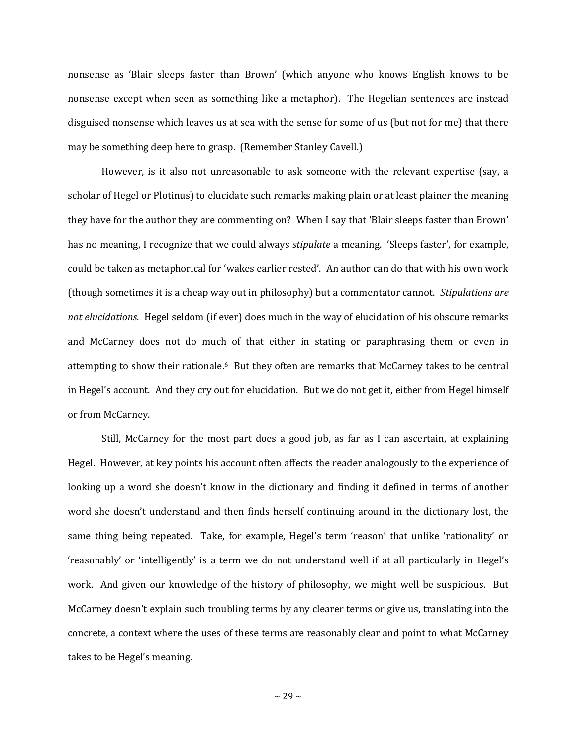nonsense as 'Blair sleeps faster than Brown' (which anyone who knows English knows to be nonsense except when seen as something like a metaphor). The Hegelian sentences are instead disguised nonsense which leaves us at sea with the sense for some of us (but not for me) that there may be something deep here to grasp. (Remember Stanley Cavell.)

However, is it also not unreasonable to ask someone with the relevant expertise (say, a scholar of Hegel or Plotinus) to elucidate such remarks making plain or at least plainer the meaning they have for the author they are commenting on? When I say that 'Blair sleeps faster than Brown' has no meaning, I recognize that we could always *stipulate* a meaning. 'Sleeps faster', for example, could be taken as metaphorical for 'wakes earlier rested'. An author can do that with his own work (though sometimes it is a cheap way out in philosophy) but a commentator cannot. *Stipulations are not elucidations*. Hegel seldom (if ever) does much in the way of elucidation of his obscure remarks and McCarney does not do much of that either in stating or paraphrasing them or even in attempting to show their rationale. <sup>6</sup> But they often are remarks that McCarney takes to be central in Hegel's account. And they cry out for elucidation. But we do not get it, either from Hegel himself or from McCarney.

Still, McCarney for the most part does a good job, as far as I can ascertain, at explaining Hegel. However, at key points his account often affects the reader analogously to the experience of looking up a word she doesn't know in the dictionary and finding it defined in terms of another word she doesn't understand and then finds herself continuing around in the dictionary lost, the same thing being repeated. Take, for example, Hegel's term 'reason' that unlike 'rationality' or 'reasonably' or 'intelligently' is a term we do not understand well if at all particularly in Hegel's work. And given our knowledge of the history of philosophy, we might well be suspicious. But McCarney doesn't explain such troubling terms by any clearer terms or give us, translating into the concrete, a context where the uses of these terms are reasonably clear and point to what McCarney takes to be Hegel's meaning.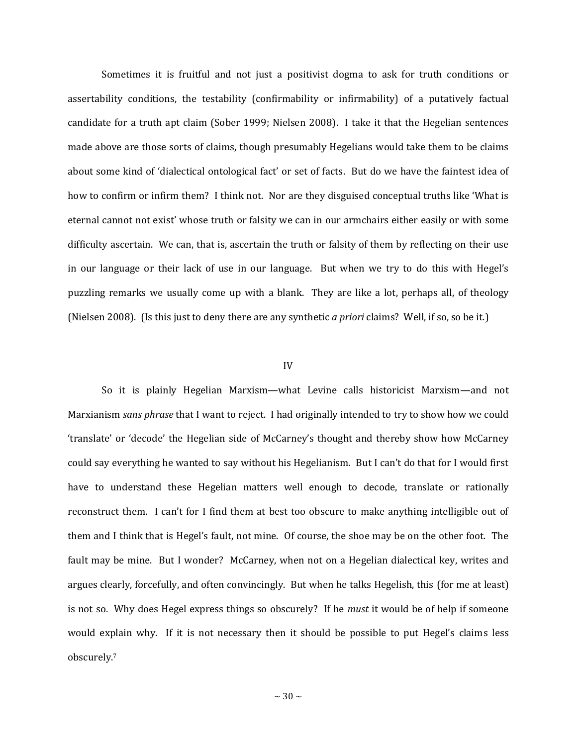Sometimes it is fruitful and not just a positivist dogma to ask for truth conditions or assertability conditions, the testability (confirmability or infirmability) of a putatively factual candidate for a truth apt claim (Sober 1999; Nielsen 2008). I take it that the Hegelian sentences made above are those sorts of claims, though presumably Hegelians would take them to be claims about some kind of 'dialectical ontological fact' or set of facts. But do we have the faintest idea of how to confirm or infirm them? I think not. Nor are they disguised conceptual truths like 'What is eternal cannot not exist' whose truth or falsity we can in our armchairs either easily or with some difficulty ascertain. We can, that is, ascertain the truth or falsity of them by reflecting on their use in our language or their lack of use in our language. But when we try to do this with Hegel's puzzling remarks we usually come up with a blank. They are like a lot, perhaps all, of theology (Nielsen 2008). (Is this just to deny there are any synthetic *a priori* claims? Well, if so, so be it.)

## IV

So it is plainly Hegelian Marxism—what Levine calls historicist Marxism—and not Marxianism *sans phrase* that I want to reject. I had originally intended to try to show how we could 'translate' or 'decode' the Hegelian side of McCarney's thought and thereby show how McCarney could say everything he wanted to say without his Hegelianism. But I can't do that for I would first have to understand these Hegelian matters well enough to decode, translate or rationally reconstruct them. I can't for I find them at best too obscure to make anything intelligible out of them and I think that is Hegel's fault, not mine. Of course, the shoe may be on the other foot. The fault may be mine. But I wonder? McCarney, when not on a Hegelian dialectical key, writes and argues clearly, forcefully, and often convincingly. But when he talks Hegelish, this (for me at least) is not so. Why does Hegel express things so obscurely? If he *must* it would be of help if someone would explain why. If it is not necessary then it should be possible to put Hegel's claims less obscurely.7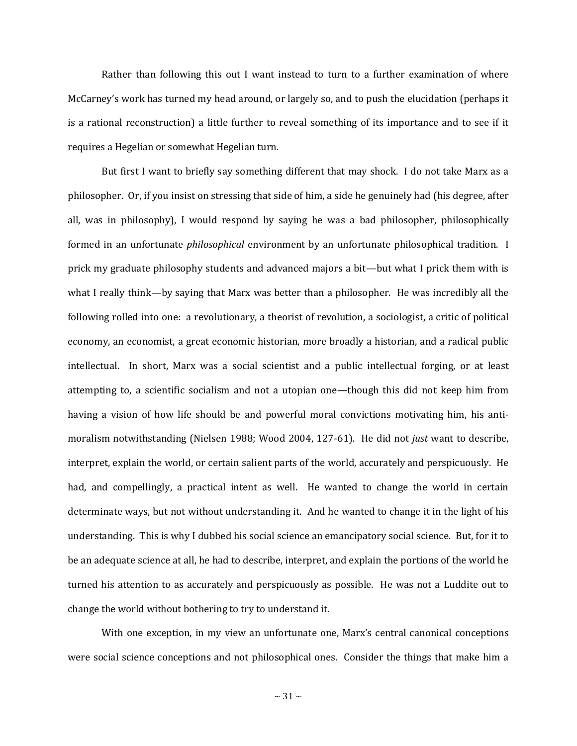Rather than following this out I want instead to turn to a further examination of where McCarney's work has turned my head around, or largely so, and to push the elucidation (perhaps it is a rational reconstruction) a little further to reveal something of its importance and to see if it requires a Hegelian or somewhat Hegelian turn.

But first I want to briefly say something different that may shock. I do not take Marx as a philosopher. Or, if you insist on stressing that side of him, a side he genuinely had (his degree, after all, was in philosophy), I would respond by saying he was a bad philosopher, philosophically formed in an unfortunate *philosophical* environment by an unfortunate philosophical tradition. I prick my graduate philosophy students and advanced majors a bit—but what I prick them with is what I really think—by saying that Marx was better than a philosopher. He was incredibly all the following rolled into one: a revolutionary, a theorist of revolution, a sociologist, a critic of political economy, an economist, a great economic historian, more broadly a historian, and a radical public intellectual. In short, Marx was a social scientist and a public intellectual forging, or at least attempting to, a scientific socialism and not a utopian one—though this did not keep him from having a vision of how life should be and powerful moral convictions motivating him, his antimoralism notwithstanding (Nielsen 1988; Wood 2004, 127-61). He did not *just* want to describe, interpret, explain the world, or certain salient parts of the world, accurately and perspicuously. He had, and compellingly, a practical intent as well. He wanted to change the world in certain determinate ways, but not without understanding it. And he wanted to change it in the light of his understanding. This is why I dubbed his social science an emancipatory social science. But, for it to be an adequate science at all, he had to describe, interpret, and explain the portions of the world he turned his attention to as accurately and perspicuously as possible. He was not a Luddite out to change the world without bothering to try to understand it.

With one exception, in my view an unfortunate one, Marx's central canonical conceptions were social science conceptions and not philosophical ones. Consider the things that make him a

 $\sim$  31  $\sim$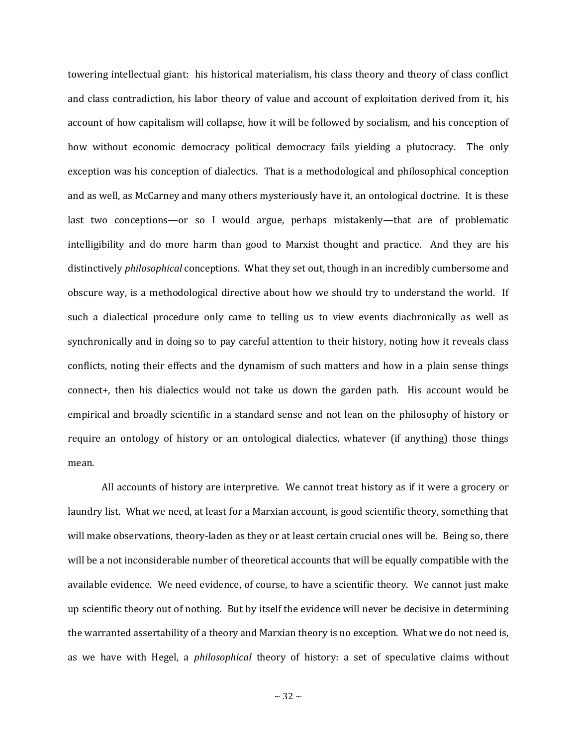towering intellectual giant: his historical materialism, his class theory and theory of class conflict and class contradiction, his labor theory of value and account of exploitation derived from it, his account of how capitalism will collapse, how it will be followed by socialism, and his conception of how without economic democracy political democracy fails yielding a plutocracy. The only exception was his conception of dialectics. That is a methodological and philosophical conception and as well, as McCarney and many others mysteriously have it, an ontological doctrine. It is these last two conceptions—or so I would argue, perhaps mistakenly—that are of problematic intelligibility and do more harm than good to Marxist thought and practice. And they are his distinctively *philosophical* conceptions. What they set out, though in an incredibly cumbersome and obscure way, is a methodological directive about how we should try to understand the world. If such a dialectical procedure only came to telling us to view events diachronically as well as synchronically and in doing so to pay careful attention to their history, noting how it reveals class conflicts, noting their effects and the dynamism of such matters and how in a plain sense things connect+, then his dialectics would not take us down the garden path. His account would be empirical and broadly scientific in a standard sense and not lean on the philosophy of history or require an ontology of history or an ontological dialectics, whatever (if anything) those things mean.

All accounts of history are interpretive. We cannot treat history as if it were a grocery or laundry list. What we need, at least for a Marxian account, is good scientific theory, something that will make observations, theory-laden as they or at least certain crucial ones will be. Being so, there will be a not inconsiderable number of theoretical accounts that will be equally compatible with the available evidence. We need evidence, of course, to have a scientific theory. We cannot just make up scientific theory out of nothing. But by itself the evidence will never be decisive in determining the warranted assertability of a theory and Marxian theory is no exception. What we do not need is, as we have with Hegel, a *philosophical* theory of history: a set of speculative claims without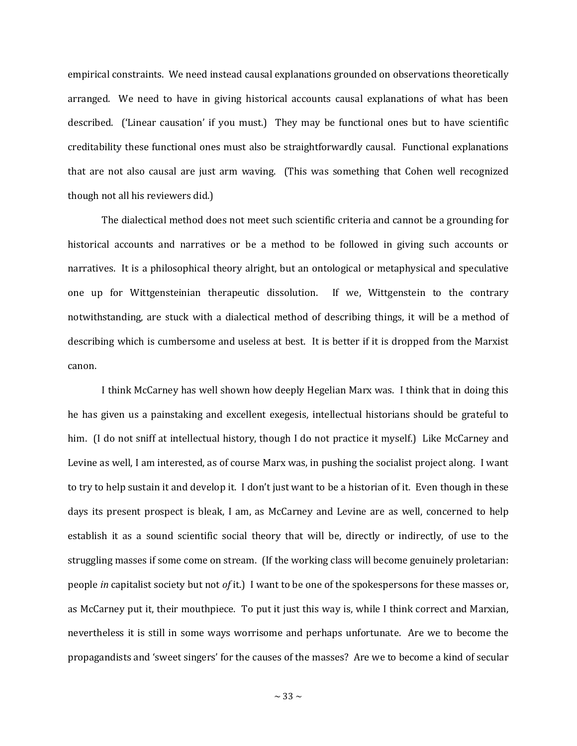empirical constraints. We need instead causal explanations grounded on observations theoretically arranged. We need to have in giving historical accounts causal explanations of what has been described. ('Linear causation' if you must.) They may be functional ones but to have scientific creditability these functional ones must also be straightforwardly causal. Functional explanations that are not also causal are just arm waving. (This was something that Cohen well recognized though not all his reviewers did.)

The dialectical method does not meet such scientific criteria and cannot be a grounding for historical accounts and narratives or be a method to be followed in giving such accounts or narratives. It is a philosophical theory alright, but an ontological or metaphysical and speculative one up for Wittgensteinian therapeutic dissolution. If we, Wittgenstein to the contrary notwithstanding, are stuck with a dialectical method of describing things, it will be a method of describing which is cumbersome and useless at best. It is better if it is dropped from the Marxist canon.

I think McCarney has well shown how deeply Hegelian Marx was. I think that in doing this he has given us a painstaking and excellent exegesis, intellectual historians should be grateful to him. (I do not sniff at intellectual history, though I do not practice it myself.) Like McCarney and Levine as well, I am interested, as of course Marx was, in pushing the socialist project along. I want to try to help sustain it and develop it. I don't just want to be a historian of it. Even though in these days its present prospect is bleak, I am, as McCarney and Levine are as well, concerned to help establish it as a sound scientific social theory that will be, directly or indirectly, of use to the struggling masses if some come on stream. (If the working class will become genuinely proletarian: people *in* capitalist society but not *of* it.) I want to be one of the spokespersons for these masses or, as McCarney put it, their mouthpiece. To put it just this way is, while I think correct and Marxian, nevertheless it is still in some ways worrisome and perhaps unfortunate. Are we to become the propagandists and 'sweet singers' for the causes of the masses? Are we to become a kind of secular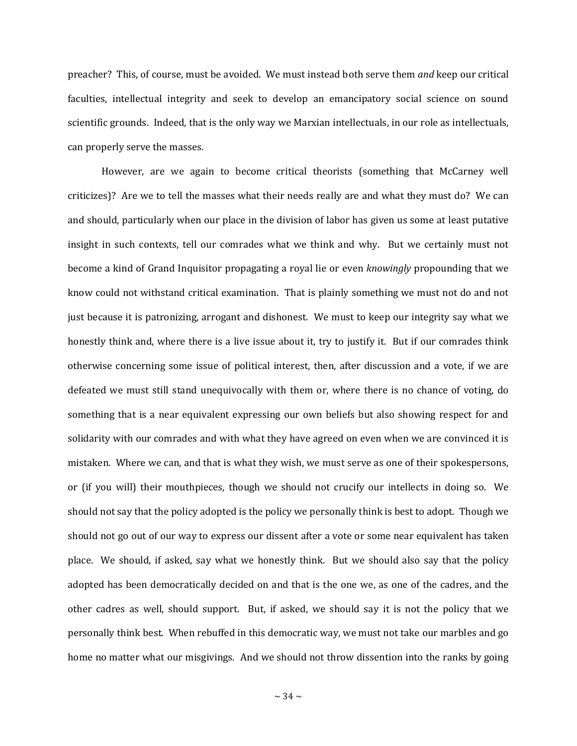preacher? This, of course, must be avoided. We must instead both serve them *and* keep our critical faculties, intellectual integrity and seek to develop an emancipatory social science on sound scientific grounds. Indeed, that is the only way we Marxian intellectuals, in our role as intellectuals, can properly serve the masses.

However, are we again to become critical theorists (something that McCarney well criticizes)? Are we to tell the masses what their needs really are and what they must do? We can and should, particularly when our place in the division of labor has given us some at least putative insight in such contexts, tell our comrades what we think and why. But we certainly must not become a kind of Grand Inquisitor propagating a royal lie or even *knowingly* propounding that we know could not withstand critical examination. That is plainly something we must not do and not just because it is patronizing, arrogant and dishonest. We must to keep our integrity say what we honestly think and, where there is a live issue about it, try to justify it. But if our comrades think otherwise concerning some issue of political interest, then, after discussion and a vote, if we are defeated we must still stand unequivocally with them or, where there is no chance of voting, do something that is a near equivalent expressing our own beliefs but also showing respect for and solidarity with our comrades and with what they have agreed on even when we are convinced it is mistaken. Where we can, and that is what they wish, we must serve as one of their spokespersons, or (if you will) their mouthpieces, though we should not crucify our intellects in doing so. We should not say that the policy adopted is the policy we personally think is best to adopt. Though we should not go out of our way to express our dissent after a vote or some near equivalent has taken place. We should, if asked, say what we honestly think. But we should also say that the policy adopted has been democratically decided on and that is the one we, as one of the cadres, and the other cadres as well, should support. But, if asked, we should say it is not the policy that we personally think best. When rebuffed in this democratic way, we must not take our marbles and go home no matter what our misgivings. And we should not throw dissention into the ranks by going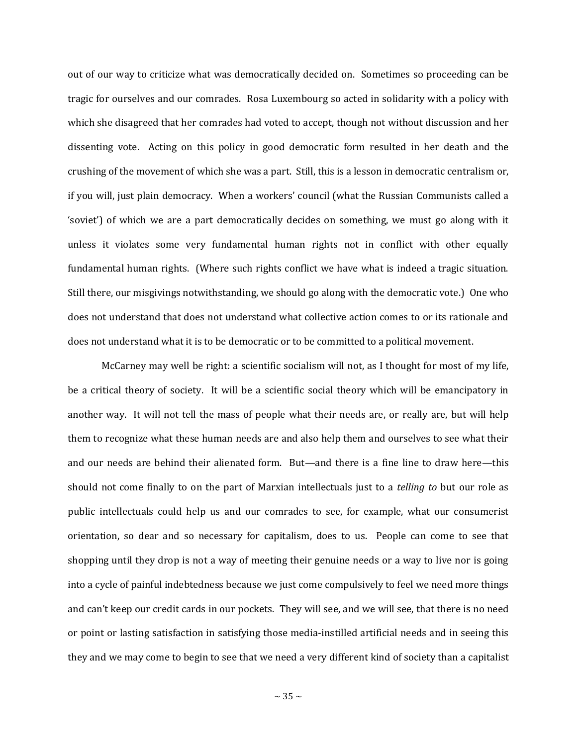out of our way to criticize what was democratically decided on. Sometimes so proceeding can be tragic for ourselves and our comrades. Rosa Luxembourg so acted in solidarity with a policy with which she disagreed that her comrades had voted to accept, though not without discussion and her dissenting vote. Acting on this policy in good democratic form resulted in her death and the crushing of the movement of which she was a part. Still, this is a lesson in democratic centralism or, if you will, just plain democracy. When a workers' council (what the Russian Communists called a 'soviet') of which we are a part democratically decides on something, we must go along with it unless it violates some very fundamental human rights not in conflict with other equally fundamental human rights. (Where such rights conflict we have what is indeed a tragic situation. Still there, our misgivings notwithstanding, we should go along with the democratic vote.) One who does not understand that does not understand what collective action comes to or its rationale and does not understand what it is to be democratic or to be committed to a political movement.

McCarney may well be right: a scientific socialism will not, as I thought for most of my life, be a critical theory of society. It will be a scientific social theory which will be emancipatory in another way. It will not tell the mass of people what their needs are, or really are, but will help them to recognize what these human needs are and also help them and ourselves to see what their and our needs are behind their alienated form. But—and there is a fine line to draw here—this should not come finally to on the part of Marxian intellectuals just to a *telling to* but our role as public intellectuals could help us and our comrades to see, for example, what our consumerist orientation, so dear and so necessary for capitalism, does to us. People can come to see that shopping until they drop is not a way of meeting their genuine needs or a way to live nor is going into a cycle of painful indebtedness because we just come compulsively to feel we need more things and can't keep our credit cards in our pockets. They will see, and we will see, that there is no need or point or lasting satisfaction in satisfying those media-instilled artificial needs and in seeing this they and we may come to begin to see that we need a very different kind of society than a capitalist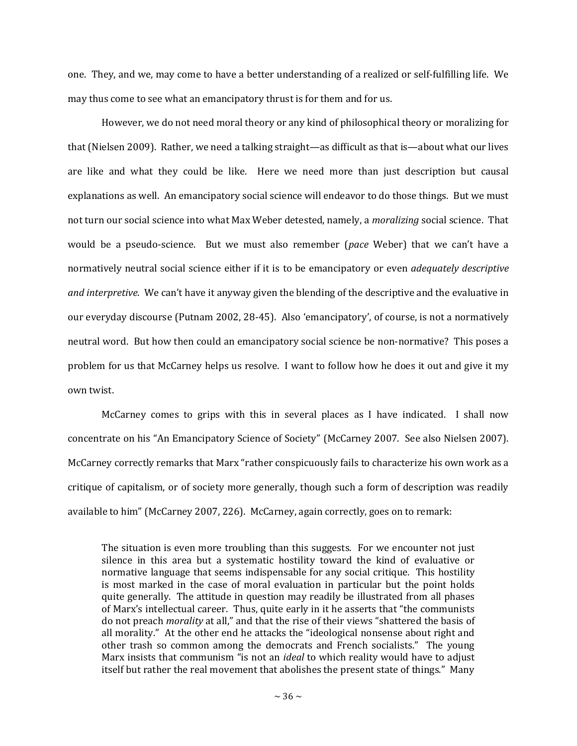one. They, and we, may come to have a better understanding of a realized or self-fulfilling life. We may thus come to see what an emancipatory thrust is for them and for us.

However, we do not need moral theory or any kind of philosophical theory or moralizing for that (Nielsen 2009). Rather, we need a talking straight—as difficult as that is—about what our lives are like and what they could be like. Here we need more than just description but causal explanations as well. An emancipatory social science will endeavor to do those things. But we must not turn our social science into what Max Weber detested, namely, a *moralizing* social science. That would be a pseudo-science. But we must also remember (*pace* Weber) that we can't have a normatively neutral social science either if it is to be emancipatory or even *adequately descriptive and interpretive*. We can't have it anyway given the blending of the descriptive and the evaluative in our everyday discourse (Putnam 2002, 28-45). Also 'emancipatory', of course, is not a normatively neutral word. But how then could an emancipatory social science be non-normative? This poses a problem for us that McCarney helps us resolve. I want to follow how he does it out and give it my own twist.

McCarney comes to grips with this in several places as I have indicated. I shall now concentrate on his "An Emancipatory Science of Society" (McCarney 2007. See also Nielsen 2007). McCarney correctly remarks that Marx "rather conspicuously fails to characterize his own work as a critique of capitalism, or of society more generally, though such a form of description was readily available to him" (McCarney 2007, 226). McCarney, again correctly, goes on to remark:

The situation is even more troubling than this suggests. For we encounter not just silence in this area but a systematic hostility toward the kind of evaluative or normative language that seems indispensable for any social critique. This hostility is most marked in the case of moral evaluation in particular but the point holds quite generally. The attitude in question may readily be illustrated from all phases of Marx's intellectual career. Thus, quite early in it he asserts that "the communists do not preach *morality* at all," and that the rise of their views "shattered the basis of all morality." At the other end he attacks the "ideological nonsense about right and other trash so common among the democrats and French socialists." The young Marx insists that communism "is not an *ideal* to which reality would have to adjust itself but rather the real movement that abolishes the present state of things." Many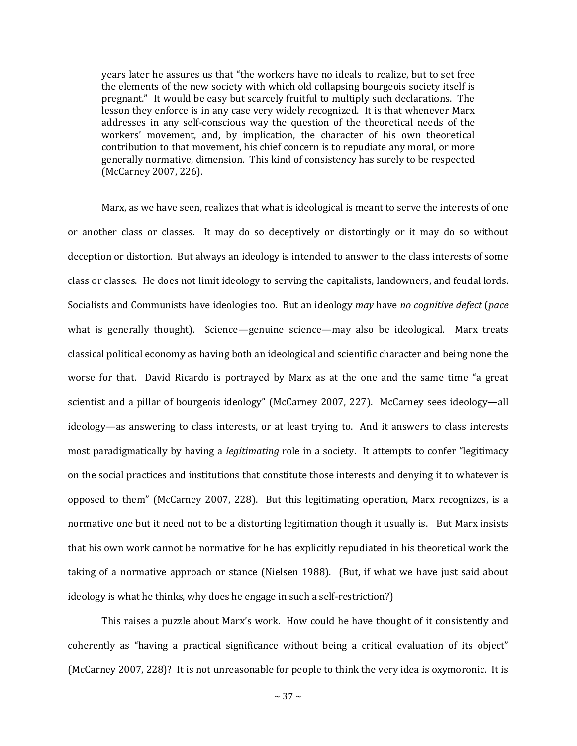years later he assures us that "the workers have no ideals to realize, but to set free the elements of the new society with which old collapsing bourgeois society itself is pregnant." It would be easy but scarcely fruitful to multiply such declarations. The lesson they enforce is in any case very widely recognized. It is that whenever Marx addresses in any self-conscious way the question of the theoretical needs of the workers' movement, and, by implication, the character of his own theoretical contribution to that movement, his chief concern is to repudiate any moral, or more generally normative, dimension. This kind of consistency has surely to be respected (McCarney 2007, 226).

Marx, as we have seen, realizes that what is ideological is meant to serve the interests of one or another class or classes. It may do so deceptively or distortingly or it may do so without deception or distortion. But always an ideology is intended to answer to the class interests of some class or classes. He does not limit ideology to serving the capitalists, landowners, and feudal lords. Socialists and Communists have ideologies too. But an ideology *may* have *no cognitive defect* (*pace*  what is generally thought). Science—genuine science—may also be ideological. Marx treats classical political economy as having both an ideological and scientific character and being none the worse for that. David Ricardo is portrayed by Marx as at the one and the same time "a great scientist and a pillar of bourgeois ideology" (McCarney 2007, 227). McCarney sees ideology—all ideology—as answering to class interests, or at least trying to. And it answers to class interests most paradigmatically by having a *legitimating* role in a society. It attempts to confer "legitimacy on the social practices and institutions that constitute those interests and denying it to whatever is opposed to them" (McCarney 2007, 228). But this legitimating operation, Marx recognizes, is a normative one but it need not to be a distorting legitimation though it usually is. But Marx insists that his own work cannot be normative for he has explicitly repudiated in his theoretical work the taking of a normative approach or stance (Nielsen 1988). (But, if what we have just said about ideology is what he thinks, why does he engage in such a self-restriction?)

This raises a puzzle about Marx's work. How could he have thought of it consistently and coherently as "having a practical significance without being a critical evaluation of its object" (McCarney 2007, 228)? It is not unreasonable for people to think the very idea is oxymoronic. It is

 $\sim$  37  $\sim$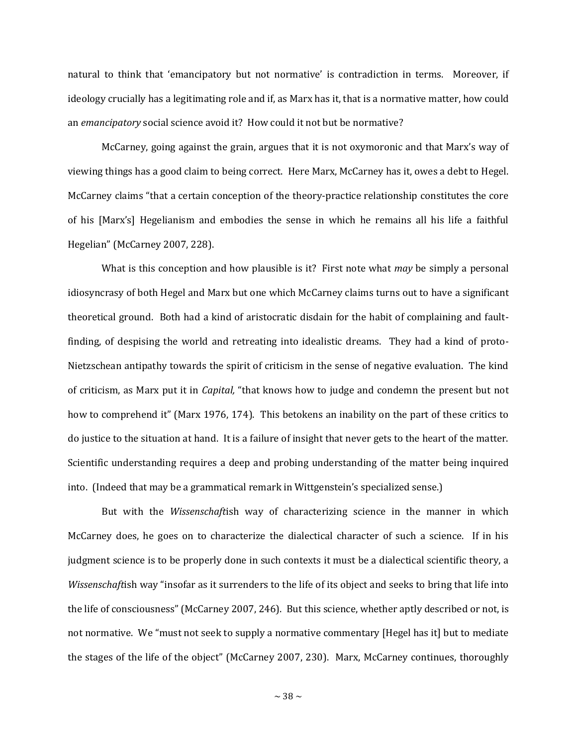natural to think that 'emancipatory but not normative' is contradiction in terms. Moreover, if ideology crucially has a legitimating role and if, as Marx has it, that is a normative matter, how could an *emancipatory* social science avoid it? How could it not but be normative?

McCarney, going against the grain, argues that it is not oxymoronic and that Marx's way of viewing things has a good claim to being correct. Here Marx, McCarney has it, owes a debt to Hegel. McCarney claims "that a certain conception of the theory-practice relationship constitutes the core of his [Marx's] Hegelianism and embodies the sense in which he remains all his life a faithful Hegelian" (McCarney 2007, 228).

What is this conception and how plausible is it? First note what *may* be simply a personal idiosyncrasy of both Hegel and Marx but one which McCarney claims turns out to have a significant theoretical ground. Both had a kind of aristocratic disdain for the habit of complaining and faultfinding, of despising the world and retreating into idealistic dreams. They had a kind of proto-Nietzschean antipathy towards the spirit of criticism in the sense of negative evaluation. The kind of criticism, as Marx put it in *Capital,* "that knows how to judge and condemn the present but not how to comprehend it" (Marx 1976, 174). This betokens an inability on the part of these critics to do justice to the situation at hand. It is a failure of insight that never gets to the heart of the matter. Scientific understanding requires a deep and probing understanding of the matter being inquired into. (Indeed that may be a grammatical remark in Wittgenstein's specialized sense.)

But with the *Wissenschaft*ish way of characterizing science in the manner in which McCarney does, he goes on to characterize the dialectical character of such a science. If in his judgment science is to be properly done in such contexts it must be a dialectical scientific theory, a *Wissenschaft*ish way "insofar as it surrenders to the life of its object and seeks to bring that life into the life of consciousness" (McCarney 2007, 246). But this science, whether aptly described or not, is not normative. We "must not seek to supply a normative commentary [Hegel has it] but to mediate the stages of the life of the object" (McCarney 2007, 230). Marx, McCarney continues, thoroughly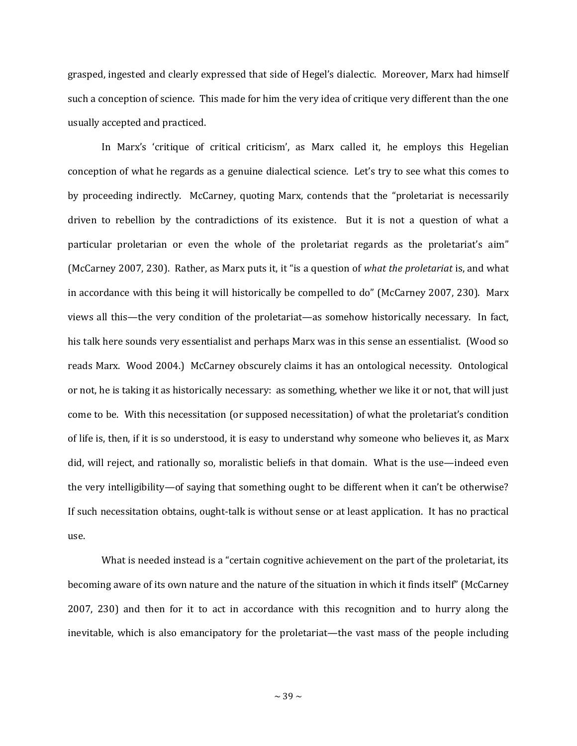grasped, ingested and clearly expressed that side of Hegel's dialectic. Moreover, Marx had himself such a conception of science. This made for him the very idea of critique very different than the one usually accepted and practiced.

In Marx's 'critique of critical criticism', as Marx called it, he employs this Hegelian conception of what he regards as a genuine dialectical science. Let's try to see what this comes to by proceeding indirectly. McCarney, quoting Marx, contends that the "proletariat is necessarily driven to rebellion by the contradictions of its existence. But it is not a question of what a particular proletarian or even the whole of the proletariat regards as the proletariat's aim" (McCarney 2007, 230). Rather, as Marx puts it, it "is a question of *what the proletariat* is, and what in accordance with this being it will historically be compelled to do" (McCarney 2007, 230). Marx views all this—the very condition of the proletariat—as somehow historically necessary. In fact, his talk here sounds very essentialist and perhaps Marx was in this sense an essentialist. (Wood so reads Marx. Wood 2004.) McCarney obscurely claims it has an ontological necessity. Ontological or not, he is taking it as historically necessary: as something, whether we like it or not, that will just come to be. With this necessitation (or supposed necessitation) of what the proletariat's condition of life is, then, if it is so understood, it is easy to understand why someone who believes it, as Marx did, will reject, and rationally so, moralistic beliefs in that domain. What is the use—indeed even the very intelligibility—of saying that something ought to be different when it can't be otherwise? If such necessitation obtains, ought-talk is without sense or at least application. It has no practical use.

What is needed instead is a "certain cognitive achievement on the part of the proletariat, its becoming aware of its own nature and the nature of the situation in which it finds itself" (McCarney 2007, 230) and then for it to act in accordance with this recognition and to hurry along the inevitable, which is also emancipatory for the proletariat—the vast mass of the people including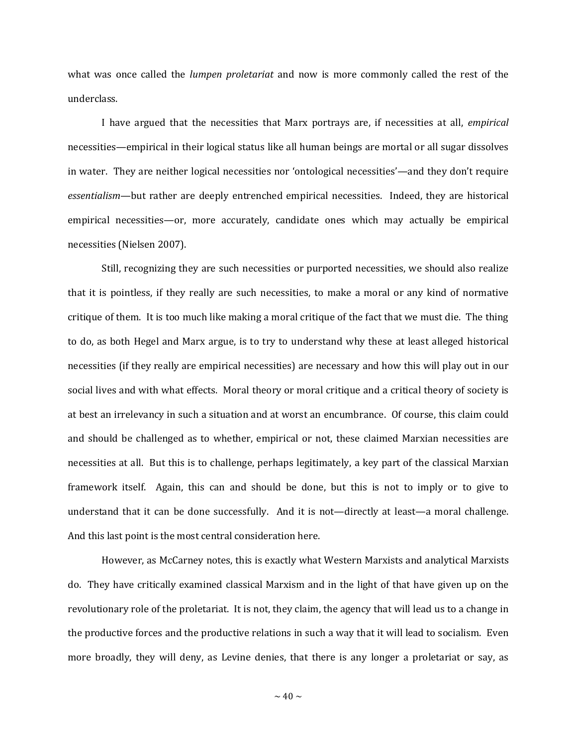what was once called the *lumpen proletariat* and now is more commonly called the rest of the underclass.

I have argued that the necessities that Marx portrays are, if necessities at all, *empirical* necessities—empirical in their logical status like all human beings are mortal or all sugar dissolves in water. They are neither logical necessities nor 'ontological necessities'—and they don't require *essentialism*—but rather are deeply entrenched empirical necessities. Indeed, they are historical empirical necessities—or, more accurately, candidate ones which may actually be empirical necessities (Nielsen 2007).

Still, recognizing they are such necessities or purported necessities, we should also realize that it is pointless, if they really are such necessities, to make a moral or any kind of normative critique of them. It is too much like making a moral critique of the fact that we must die. The thing to do, as both Hegel and Marx argue, is to try to understand why these at least alleged historical necessities (if they really are empirical necessities) are necessary and how this will play out in our social lives and with what effects. Moral theory or moral critique and a critical theory of society is at best an irrelevancy in such a situation and at worst an encumbrance. Of course, this claim could and should be challenged as to whether, empirical or not, these claimed Marxian necessities are necessities at all. But this is to challenge, perhaps legitimately, a key part of the classical Marxian framework itself. Again, this can and should be done, but this is not to imply or to give to understand that it can be done successfully. And it is not—directly at least—a moral challenge. And this last point is the most central consideration here.

However, as McCarney notes, this is exactly what Western Marxists and analytical Marxists do. They have critically examined classical Marxism and in the light of that have given up on the revolutionary role of the proletariat. It is not, they claim, the agency that will lead us to a change in the productive forces and the productive relations in such a way that it will lead to socialism. Even more broadly, they will deny, as Levine denies, that there is any longer a proletariat or say, as

 $\sim$  40  $\sim$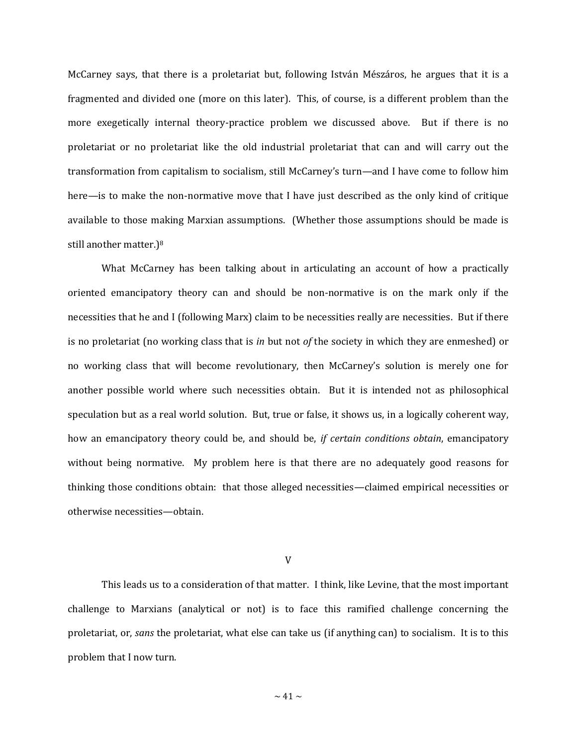McCarney says, that there is a proletariat but, following István Mészáros, he argues that it is a fragmented and divided one (more on this later). This, of course, is a different problem than the more exegetically internal theory-practice problem we discussed above. But if there is no proletariat or no proletariat like the old industrial proletariat that can and will carry out the transformation from capitalism to socialism, still McCarney's turn—and I have come to follow him here—is to make the non-normative move that I have just described as the only kind of critique available to those making Marxian assumptions. (Whether those assumptions should be made is still another matter.)<sup>8</sup>

What McCarney has been talking about in articulating an account of how a practically oriented emancipatory theory can and should be non-normative is on the mark only if the necessities that he and I (following Marx) claim to be necessities really are necessities. But if there is no proletariat (no working class that is *in* but not *of* the society in which they are enmeshed) or no working class that will become revolutionary, then McCarney's solution is merely one for another possible world where such necessities obtain. But it is intended not as philosophical speculation but as a real world solution. But, true or false, it shows us, in a logically coherent way, how an emancipatory theory could be, and should be, *if certain conditions obtain*, emancipatory without being normative. My problem here is that there are no adequately good reasons for thinking those conditions obtain: that those alleged necessities—claimed empirical necessities or otherwise necessities—obtain.

V

This leads us to a consideration of that matter. I think, like Levine, that the most important challenge to Marxians (analytical or not) is to face this ramified challenge concerning the proletariat, or, *sans* the proletariat, what else can take us (if anything can) to socialism. It is to this problem that I now turn.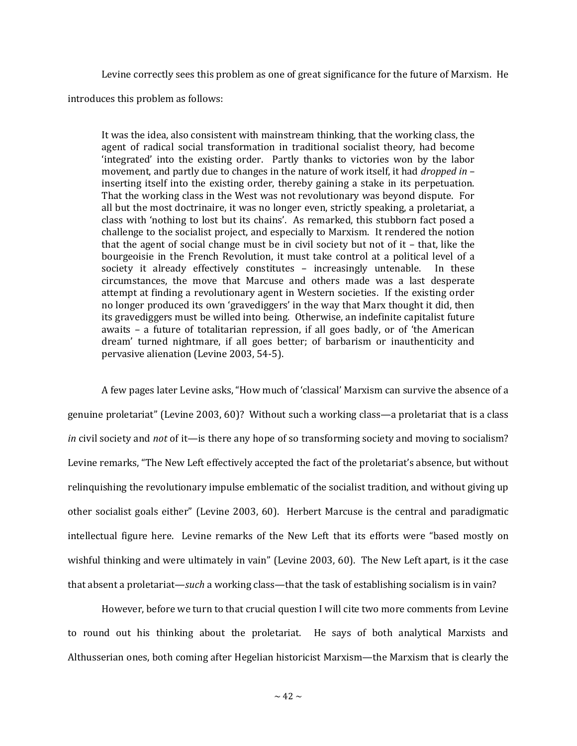Levine correctly sees this problem as one of great significance for the future of Marxism. He introduces this problem as follows:

It was the idea, also consistent with mainstream thinking, that the working class, the agent of radical social transformation in traditional socialist theory, had become 'integrated' into the existing order. Partly thanks to victories won by the labor movement, and partly due to changes in the nature of work itself, it had *dropped in* – inserting itself into the existing order, thereby gaining a stake in its perpetuation. That the working class in the West was not revolutionary was beyond dispute. For all but the most doctrinaire, it was no longer even, strictly speaking, a proletariat, a class with 'nothing to lost but its chains'. As remarked, this stubborn fact posed a challenge to the socialist project, and especially to Marxism. It rendered the notion that the agent of social change must be in civil society but not of it – that, like the bourgeoisie in the French Revolution, it must take control at a political level of a society it already effectively constitutes – increasingly untenable. In these circumstances, the move that Marcuse and others made was a last desperate attempt at finding a revolutionary agent in Western societies. If the existing order no longer produced its own 'gravediggers' in the way that Marx thought it did, then its gravediggers must be willed into being. Otherwise, an indefinite capitalist future awaits – a future of totalitarian repression, if all goes badly, or of 'the American dream' turned nightmare, if all goes better; of barbarism or inauthenticity and pervasive alienation (Levine 2003, 54-5).

A few pages later Levine asks, "How much of 'classical' Marxism can survive the absence of a genuine proletariat" (Levine 2003, 60)? Without such a working class—a proletariat that is a class *in* civil society and *not* of it—is there any hope of so transforming society and moving to socialism? Levine remarks, "The New Left effectively accepted the fact of the proletariat's absence, but without relinquishing the revolutionary impulse emblematic of the socialist tradition, and without giving up other socialist goals either" (Levine 2003, 60). Herbert Marcuse is the central and paradigmatic intellectual figure here. Levine remarks of the New Left that its efforts were "based mostly on wishful thinking and were ultimately in vain" (Levine 2003, 60). The New Left apart, is it the case that absent a proletariat—*such* a working class—that the task of establishing socialism is in vain?

However, before we turn to that crucial question I will cite two more comments from Levine to round out his thinking about the proletariat. He says of both analytical Marxists and Althusserian ones, both coming after Hegelian historicist Marxism—the Marxism that is clearly the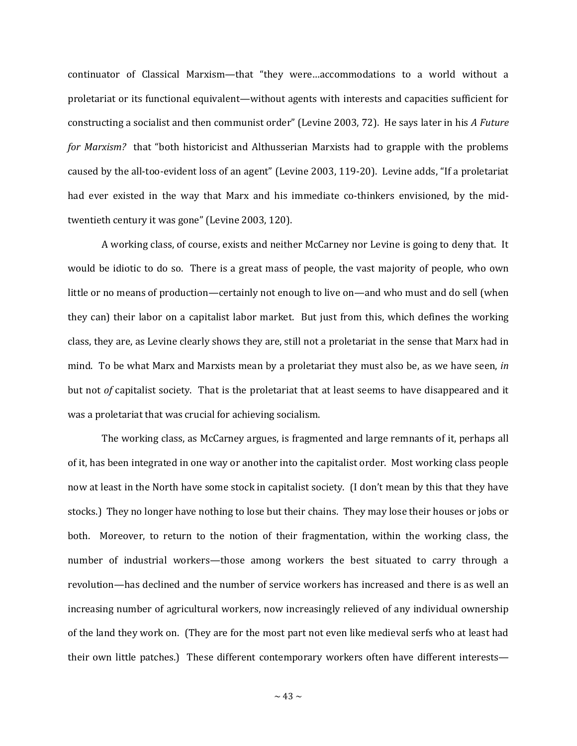continuator of Classical Marxism—that "they were…accommodations to a world without a proletariat or its functional equivalent—without agents with interests and capacities sufficient for constructing a socialist and then communist order" (Levine 2003, 72). He says later in his *A Future for Marxism?* that "both historicist and Althusserian Marxists had to grapple with the problems caused by the all-too-evident loss of an agent" (Levine 2003, 119-20). Levine adds, "If a proletariat had ever existed in the way that Marx and his immediate co-thinkers envisioned, by the midtwentieth century it was gone" (Levine 2003, 120).

A working class, of course, exists and neither McCarney nor Levine is going to deny that. It would be idiotic to do so. There is a great mass of people, the vast majority of people, who own little or no means of production—certainly not enough to live on—and who must and do sell (when they can) their labor on a capitalist labor market. But just from this, which defines the working class, they are, as Levine clearly shows they are, still not a proletariat in the sense that Marx had in mind. To be what Marx and Marxists mean by a proletariat they must also be, as we have seen, *in* but not *of* capitalist society. That is the proletariat that at least seems to have disappeared and it was a proletariat that was crucial for achieving socialism.

The working class, as McCarney argues, is fragmented and large remnants of it, perhaps all of it, has been integrated in one way or another into the capitalist order. Most working class people now at least in the North have some stock in capitalist society. (I don't mean by this that they have stocks.) They no longer have nothing to lose but their chains. They may lose their houses or jobs or both. Moreover, to return to the notion of their fragmentation, within the working class, the number of industrial workers—those among workers the best situated to carry through a revolution—has declined and the number of service workers has increased and there is as well an increasing number of agricultural workers, now increasingly relieved of any individual ownership of the land they work on. (They are for the most part not even like medieval serfs who at least had their own little patches.) These different contemporary workers often have different interests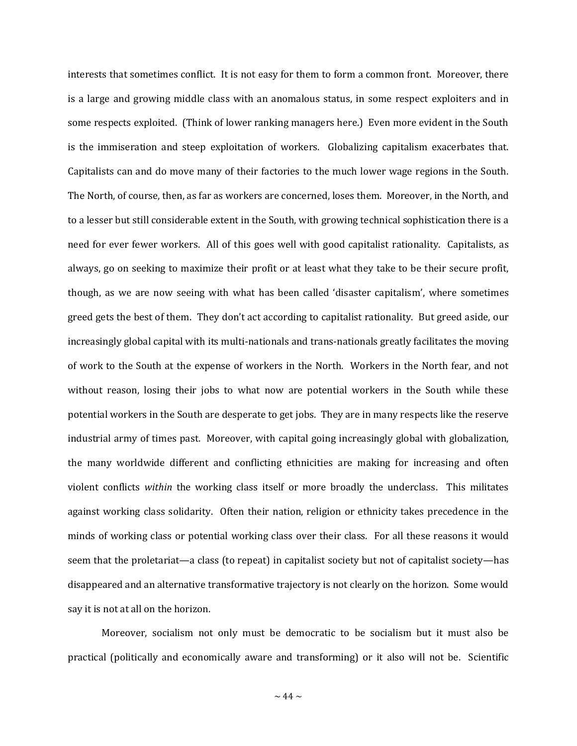interests that sometimes conflict. It is not easy for them to form a common front. Moreover, there is a large and growing middle class with an anomalous status, in some respect exploiters and in some respects exploited. (Think of lower ranking managers here.) Even more evident in the South is the immiseration and steep exploitation of workers. Globalizing capitalism exacerbates that. Capitalists can and do move many of their factories to the much lower wage regions in the South. The North, of course, then, as far as workers are concerned, loses them. Moreover, in the North, and to a lesser but still considerable extent in the South, with growing technical sophistication there is a need for ever fewer workers. All of this goes well with good capitalist rationality. Capitalists, as always, go on seeking to maximize their profit or at least what they take to be their secure profit, though, as we are now seeing with what has been called 'disaster capitalism', where sometimes greed gets the best of them. They don't act according to capitalist rationality. But greed aside, our increasingly global capital with its multi-nationals and trans-nationals greatly facilitates the moving of work to the South at the expense of workers in the North. Workers in the North fear, and not without reason, losing their jobs to what now are potential workers in the South while these potential workers in the South are desperate to get jobs. They are in many respects like the reserve industrial army of times past. Moreover, with capital going increasingly global with globalization, the many worldwide different and conflicting ethnicities are making for increasing and often violent conflicts *within* the working class itself or more broadly the underclass. This militates against working class solidarity. Often their nation, religion or ethnicity takes precedence in the minds of working class or potential working class over their class. For all these reasons it would seem that the proletariat—a class (to repeat) in capitalist society but not of capitalist society—has disappeared and an alternative transformative trajectory is not clearly on the horizon. Some would say it is not at all on the horizon.

Moreover, socialism not only must be democratic to be socialism but it must also be practical (politically and economically aware and transforming) or it also will not be. Scientific

 $\sim$  44  $\sim$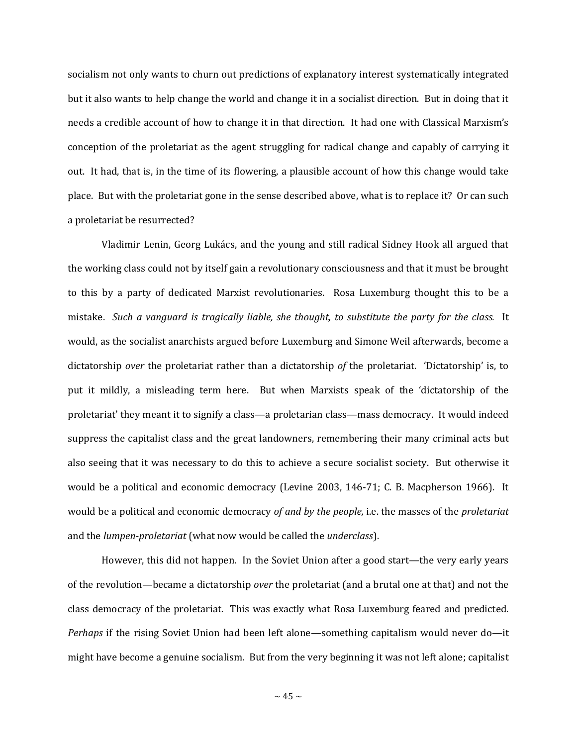socialism not only wants to churn out predictions of explanatory interest systematically integrated but it also wants to help change the world and change it in a socialist direction. But in doing that it needs a credible account of how to change it in that direction. It had one with Classical Marxism's conception of the proletariat as the agent struggling for radical change and capably of carrying it out. It had, that is, in the time of its flowering, a plausible account of how this change would take place. But with the proletariat gone in the sense described above, what is to replace it? Or can such a proletariat be resurrected?

Vladimir Lenin, Georg Lukács, and the young and still radical Sidney Hook all argued that the working class could not by itself gain a revolutionary consciousness and that it must be brought to this by a party of dedicated Marxist revolutionaries. Rosa Luxemburg thought this to be a mistake. *Such a vanguard is tragically liable, she thought, to substitute the party for the class.* It would, as the socialist anarchists argued before Luxemburg and Simone Weil afterwards, become a dictatorship *over* the proletariat rather than a dictatorship *of* the proletariat. 'Dictatorship' is, to put it mildly, a misleading term here. But when Marxists speak of the 'dictatorship of the proletariat' they meant it to signify a class—a proletarian class—mass democracy. It would indeed suppress the capitalist class and the great landowners, remembering their many criminal acts but also seeing that it was necessary to do this to achieve a secure socialist society. But otherwise it would be a political and economic democracy (Levine 2003, 146-71; C. B. Macpherson 1966). It would be a political and economic democracy *of and by the people,* i.e. the masses of the *proletariat* and the *lumpen-proletariat* (what now would be called the *underclass*).

However, this did not happen. In the Soviet Union after a good start—the very early years of the revolution—became a dictatorship *over* the proletariat (and a brutal one at that) and not the class democracy of the proletariat. This was exactly what Rosa Luxemburg feared and predicted. *Perhaps* if the rising Soviet Union had been left alone—something capitalism would never do—it might have become a genuine socialism. But from the very beginning it was not left alone; capitalist

 $\sim$  45  $\sim$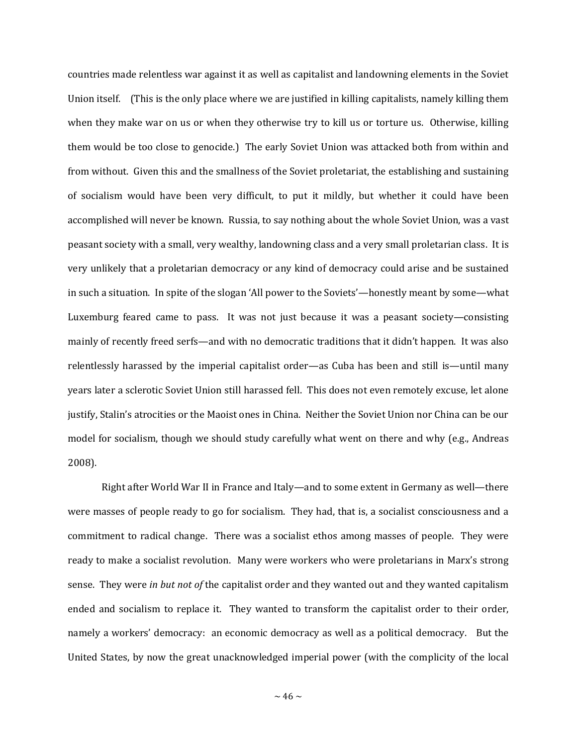countries made relentless war against it as well as capitalist and landowning elements in the Soviet Union itself. (This is the only place where we are justified in killing capitalists, namely killing them when they make war on us or when they otherwise try to kill us or torture us. Otherwise, killing them would be too close to genocide.) The early Soviet Union was attacked both from within and from without. Given this and the smallness of the Soviet proletariat, the establishing and sustaining of socialism would have been very difficult, to put it mildly, but whether it could have been accomplished will never be known. Russia, to say nothing about the whole Soviet Union, was a vast peasant society with a small, very wealthy, landowning class and a very small proletarian class. It is very unlikely that a proletarian democracy or any kind of democracy could arise and be sustained in such a situation. In spite of the slogan 'All power to the Soviets'—honestly meant by some—what Luxemburg feared came to pass. It was not just because it was a peasant society—consisting mainly of recently freed serfs—and with no democratic traditions that it didn't happen. It was also relentlessly harassed by the imperial capitalist order—as Cuba has been and still is—until many years later a sclerotic Soviet Union still harassed fell. This does not even remotely excuse, let alone justify, Stalin's atrocities or the Maoist ones in China. Neither the Soviet Union nor China can be our model for socialism, though we should study carefully what went on there and why (e.g., Andreas 2008).

Right after World War II in France and Italy—and to some extent in Germany as well—there were masses of people ready to go for socialism. They had, that is, a socialist consciousness and a commitment to radical change. There was a socialist ethos among masses of people. They were ready to make a socialist revolution. Many were workers who were proletarians in Marx's strong sense. They were *in but not of* the capitalist order and they wanted out and they wanted capitalism ended and socialism to replace it. They wanted to transform the capitalist order to their order, namely a workers' democracy: an economic democracy as well as a political democracy. But the United States, by now the great unacknowledged imperial power (with the complicity of the local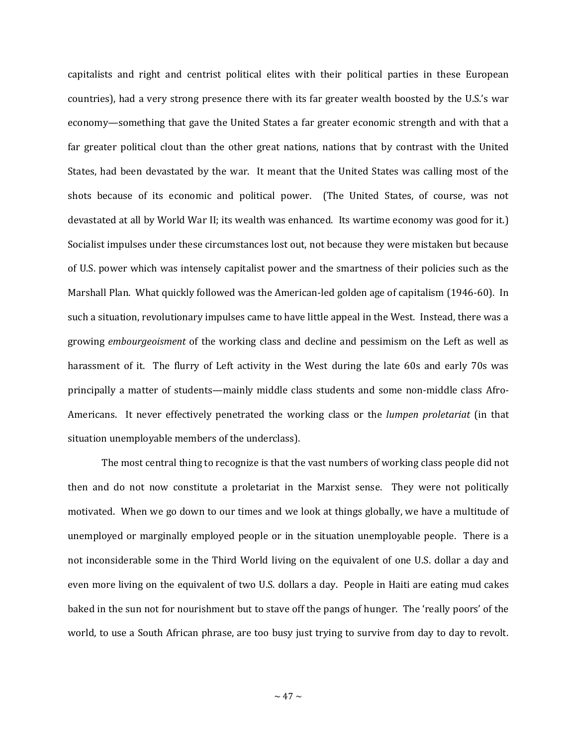capitalists and right and centrist political elites with their political parties in these European countries), had a very strong presence there with its far greater wealth boosted by the U.S.'s war economy—something that gave the United States a far greater economic strength and with that a far greater political clout than the other great nations, nations that by contrast with the United States, had been devastated by the war. It meant that the United States was calling most of the shots because of its economic and political power. (The United States, of course, was not devastated at all by World War II; its wealth was enhanced. Its wartime economy was good for it.) Socialist impulses under these circumstances lost out, not because they were mistaken but because of U.S. power which was intensely capitalist power and the smartness of their policies such as the Marshall Plan. What quickly followed was the American-led golden age of capitalism (1946-60). In such a situation, revolutionary impulses came to have little appeal in the West. Instead, there was a growing *embourgeoisment* of the working class and decline and pessimism on the Left as well as harassment of it. The flurry of Left activity in the West during the late 60s and early 70s was principally a matter of students—mainly middle class students and some non-middle class Afro-Americans. It never effectively penetrated the working class or the *lumpen proletariat* (in that situation unemployable members of the underclass).

The most central thing to recognize is that the vast numbers of working class people did not then and do not now constitute a proletariat in the Marxist sense. They were not politically motivated. When we go down to our times and we look at things globally, we have a multitude of unemployed or marginally employed people or in the situation unemployable people. There is a not inconsiderable some in the Third World living on the equivalent of one U.S. dollar a day and even more living on the equivalent of two U.S. dollars a day. People in Haiti are eating mud cakes baked in the sun not for nourishment but to stave off the pangs of hunger. The 'really poors' of the world, to use a South African phrase, are too busy just trying to survive from day to day to revolt.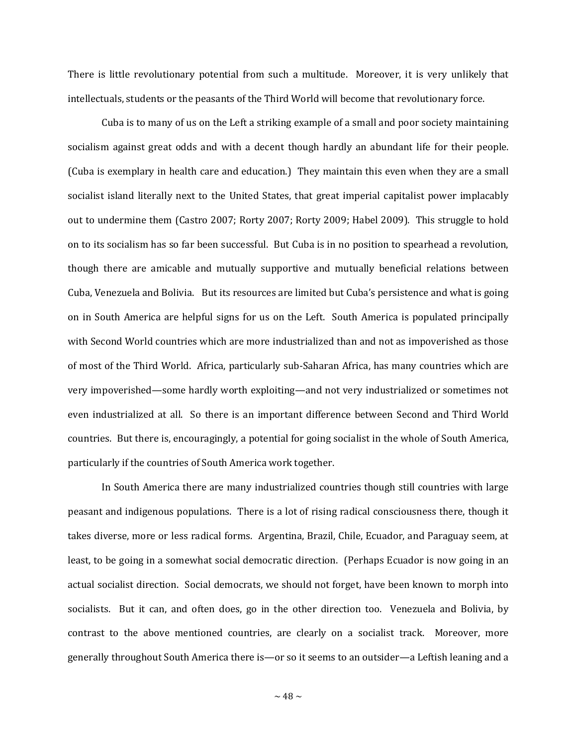There is little revolutionary potential from such a multitude. Moreover, it is very unlikely that intellectuals, students or the peasants of the Third World will become that revolutionary force.

Cuba is to many of us on the Left a striking example of a small and poor society maintaining socialism against great odds and with a decent though hardly an abundant life for their people. (Cuba is exemplary in health care and education.) They maintain this even when they are a small socialist island literally next to the United States, that great imperial capitalist power implacably out to undermine them (Castro 2007; Rorty 2007; Rorty 2009; Habel 2009). This struggle to hold on to its socialism has so far been successful. But Cuba is in no position to spearhead a revolution, though there are amicable and mutually supportive and mutually beneficial relations between Cuba, Venezuela and Bolivia. But its resources are limited but Cuba's persistence and what is going on in South America are helpful signs for us on the Left. South America is populated principally with Second World countries which are more industrialized than and not as impoverished as those of most of the Third World. Africa, particularly sub-Saharan Africa, has many countries which are very impoverished—some hardly worth exploiting—and not very industrialized or sometimes not even industrialized at all. So there is an important difference between Second and Third World countries. But there is, encouragingly, a potential for going socialist in the whole of South America, particularly if the countries of South America work together.

In South America there are many industrialized countries though still countries with large peasant and indigenous populations. There is a lot of rising radical consciousness there, though it takes diverse, more or less radical forms. Argentina, Brazil, Chile, Ecuador, and Paraguay seem, at least, to be going in a somewhat social democratic direction. (Perhaps Ecuador is now going in an actual socialist direction. Social democrats, we should not forget, have been known to morph into socialists. But it can, and often does, go in the other direction too. Venezuela and Bolivia, by contrast to the above mentioned countries, are clearly on a socialist track. Moreover, more generally throughout South America there is—or so it seems to an outsider—a Leftish leaning and a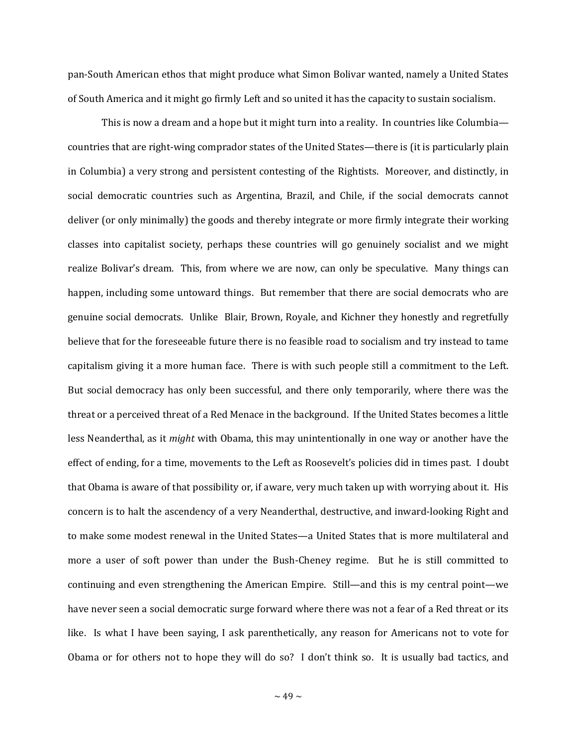pan-South American ethos that might produce what Simon Bolivar wanted, namely a United States of South America and it might go firmly Left and so united it has the capacity to sustain socialism.

This is now a dream and a hope but it might turn into a reality. In countries like Columbia countries that are right-wing comprador states of the United States—there is (it is particularly plain in Columbia) a very strong and persistent contesting of the Rightists. Moreover, and distinctly, in social democratic countries such as Argentina, Brazil, and Chile, if the social democrats cannot deliver (or only minimally) the goods and thereby integrate or more firmly integrate their working classes into capitalist society, perhaps these countries will go genuinely socialist and we might realize Bolivar's dream. This, from where we are now, can only be speculative. Many things can happen, including some untoward things. But remember that there are social democrats who are genuine social democrats. Unlike Blair, Brown, Royale, and Kichner they honestly and regretfully believe that for the foreseeable future there is no feasible road to socialism and try instead to tame capitalism giving it a more human face. There is with such people still a commitment to the Left. But social democracy has only been successful, and there only temporarily, where there was the threat or a perceived threat of a Red Menace in the background. If the United States becomes a little less Neanderthal, as it *might* with Obama, this may unintentionally in one way or another have the effect of ending, for a time, movements to the Left as Roosevelt's policies did in times past. I doubt that Obama is aware of that possibility or, if aware, very much taken up with worrying about it. His concern is to halt the ascendency of a very Neanderthal, destructive, and inward-looking Right and to make some modest renewal in the United States—a United States that is more multilateral and more a user of soft power than under the Bush-Cheney regime. But he is still committed to continuing and even strengthening the American Empire. Still—and this is my central point—we have never seen a social democratic surge forward where there was not a fear of a Red threat or its like. Is what I have been saying, I ask parenthetically, any reason for Americans not to vote for Obama or for others not to hope they will do so? I don't think so. It is usually bad tactics, and

 $\sim$  49  $\sim$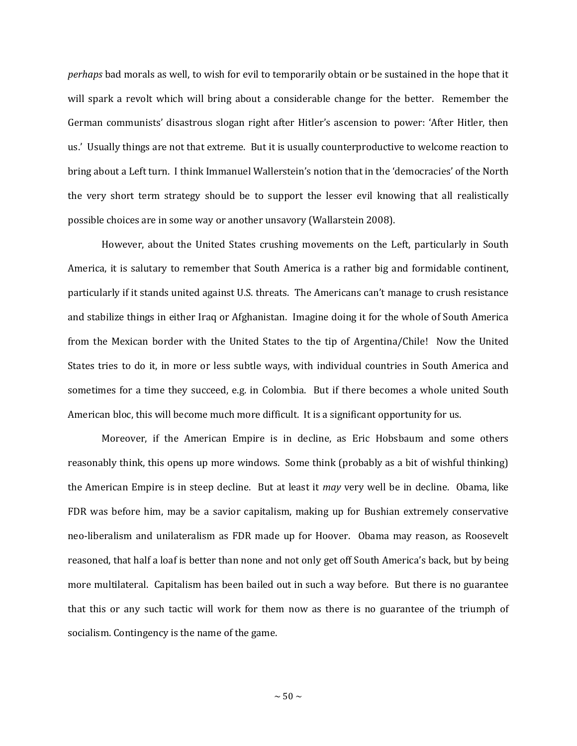*perhaps* bad morals as well, to wish for evil to temporarily obtain or be sustained in the hope that it will spark a revolt which will bring about a considerable change for the better. Remember the German communists' disastrous slogan right after Hitler's ascension to power: 'After Hitler, then us.' Usually things are not that extreme. But it is usually counterproductive to welcome reaction to bring about a Left turn. I think Immanuel Wallerstein's notion that in the 'democracies' of the North the very short term strategy should be to support the lesser evil knowing that all realistically possible choices are in some way or another unsavory (Wallarstein 2008).

However, about the United States crushing movements on the Left, particularly in South America, it is salutary to remember that South America is a rather big and formidable continent, particularly if it stands united against U.S. threats. The Americans can't manage to crush resistance and stabilize things in either Iraq or Afghanistan. Imagine doing it for the whole of South America from the Mexican border with the United States to the tip of Argentina/Chile! Now the United States tries to do it, in more or less subtle ways, with individual countries in South America and sometimes for a time they succeed, e.g. in Colombia. But if there becomes a whole united South American bloc, this will become much more difficult. It is a significant opportunity for us.

Moreover, if the American Empire is in decline, as Eric Hobsbaum and some others reasonably think, this opens up more windows. Some think (probably as a bit of wishful thinking) the American Empire is in steep decline. But at least it *may* very well be in decline. Obama, like FDR was before him, may be a savior capitalism, making up for Bushian extremely conservative neo-liberalism and unilateralism as FDR made up for Hoover. Obama may reason, as Roosevelt reasoned, that half a loaf is better than none and not only get off South America's back, but by being more multilateral. Capitalism has been bailed out in such a way before. But there is no guarantee that this or any such tactic will work for them now as there is no guarantee of the triumph of socialism. Contingency is the name of the game.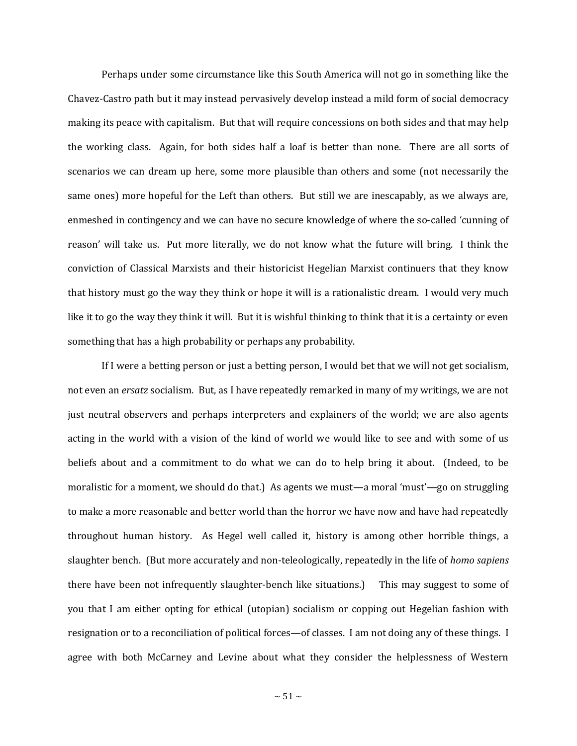Perhaps under some circumstance like this South America will not go in something like the Chavez-Castro path but it may instead pervasively develop instead a mild form of social democracy making its peace with capitalism. But that will require concessions on both sides and that may help the working class. Again, for both sides half a loaf is better than none. There are all sorts of scenarios we can dream up here, some more plausible than others and some (not necessarily the same ones) more hopeful for the Left than others. But still we are inescapably, as we always are, enmeshed in contingency and we can have no secure knowledge of where the so-called 'cunning of reason' will take us. Put more literally, we do not know what the future will bring. I think the conviction of Classical Marxists and their historicist Hegelian Marxist continuers that they know that history must go the way they think or hope it will is a rationalistic dream. I would very much like it to go the way they think it will. But it is wishful thinking to think that it is a certainty or even something that has a high probability or perhaps any probability.

If I were a betting person or just a betting person, I would bet that we will not get socialism, not even an *ersatz* socialism. But, as I have repeatedly remarked in many of my writings, we are not just neutral observers and perhaps interpreters and explainers of the world; we are also agents acting in the world with a vision of the kind of world we would like to see and with some of us beliefs about and a commitment to do what we can do to help bring it about. (Indeed, to be moralistic for a moment, we should do that.) As agents we must—a moral 'must'—go on struggling to make a more reasonable and better world than the horror we have now and have had repeatedly throughout human history. As Hegel well called it, history is among other horrible things, a slaughter bench. (But more accurately and non-teleologically, repeatedly in the life of *homo sapiens* there have been not infrequently slaughter-bench like situations.) This may suggest to some of you that I am either opting for ethical (utopian) socialism or copping out Hegelian fashion with resignation or to a reconciliation of political forces—of classes. I am not doing any of these things. I agree with both McCarney and Levine about what they consider the helplessness of Western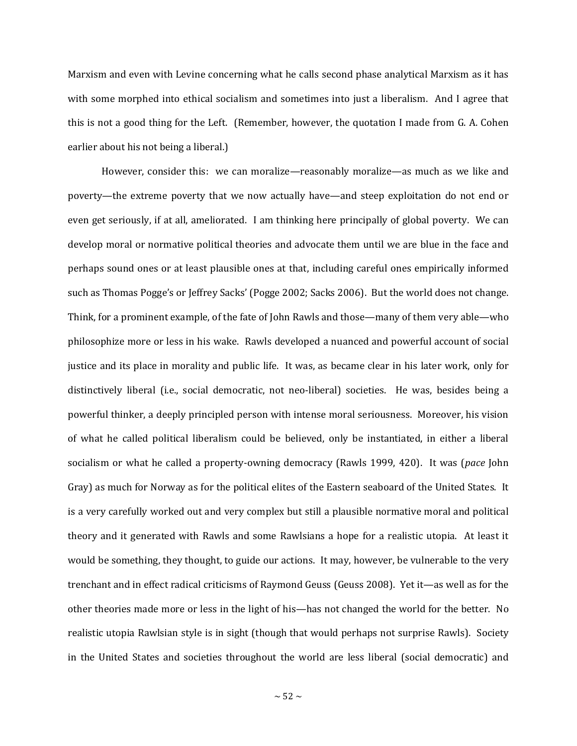Marxism and even with Levine concerning what he calls second phase analytical Marxism as it has with some morphed into ethical socialism and sometimes into just a liberalism. And I agree that this is not a good thing for the Left. (Remember, however, the quotation I made from G. A. Cohen earlier about his not being a liberal.)

However, consider this: we can moralize—reasonably moralize—as much as we like and poverty—the extreme poverty that we now actually have—and steep exploitation do not end or even get seriously, if at all, ameliorated. I am thinking here principally of global poverty. We can develop moral or normative political theories and advocate them until we are blue in the face and perhaps sound ones or at least plausible ones at that, including careful ones empirically informed such as Thomas Pogge's or Jeffrey Sacks' (Pogge 2002; Sacks 2006). But the world does not change. Think, for a prominent example, of the fate of John Rawls and those—many of them very able—who philosophize more or less in his wake. Rawls developed a nuanced and powerful account of social justice and its place in morality and public life. It was, as became clear in his later work, only for distinctively liberal (i.e., social democratic, not neo-liberal) societies. He was, besides being a powerful thinker, a deeply principled person with intense moral seriousness. Moreover, his vision of what he called political liberalism could be believed, only be instantiated, in either a liberal socialism or what he called a property-owning democracy (Rawls 1999, 420). It was (*pace* John Gray) as much for Norway as for the political elites of the Eastern seaboard of the United States. It is a very carefully worked out and very complex but still a plausible normative moral and political theory and it generated with Rawls and some Rawlsians a hope for a realistic utopia. At least it would be something, they thought, to guide our actions. It may, however, be vulnerable to the very trenchant and in effect radical criticisms of Raymond Geuss (Geuss 2008). Yet it—as well as for the other theories made more or less in the light of his—has not changed the world for the better. No realistic utopia Rawlsian style is in sight (though that would perhaps not surprise Rawls). Society in the United States and societies throughout the world are less liberal (social democratic) and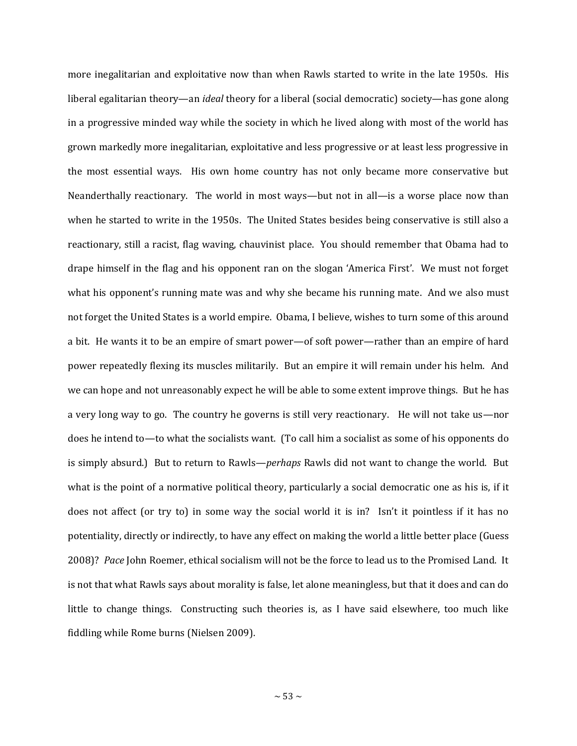more inegalitarian and exploitative now than when Rawls started to write in the late 1950s. His liberal egalitarian theory—an *ideal* theory for a liberal (social democratic) society—has gone along in a progressive minded way while the society in which he lived along with most of the world has grown markedly more inegalitarian, exploitative and less progressive or at least less progressive in the most essential ways. His own home country has not only became more conservative but Neanderthally reactionary. The world in most ways—but not in all—is a worse place now than when he started to write in the 1950s. The United States besides being conservative is still also a reactionary, still a racist, flag waving, chauvinist place. You should remember that Obama had to drape himself in the flag and his opponent ran on the slogan 'America First'. We must not forget what his opponent's running mate was and why she became his running mate. And we also must not forget the United States is a world empire. Obama, I believe, wishes to turn some of this around a bit. He wants it to be an empire of smart power—of soft power—rather than an empire of hard power repeatedly flexing its muscles militarily. But an empire it will remain under his helm. And we can hope and not unreasonably expect he will be able to some extent improve things. But he has a very long way to go. The country he governs is still very reactionary. He will not take us—nor does he intend to—to what the socialists want. (To call him a socialist as some of his opponents do is simply absurd.) But to return to Rawls—*perhaps* Rawls did not want to change the world. But what is the point of a normative political theory, particularly a social democratic one as his is, if it does not affect (or try to) in some way the social world it is in? Isn't it pointless if it has no potentiality, directly or indirectly, to have any effect on making the world a little better place (Guess 2008)? *Pace* John Roemer, ethical socialism will not be the force to lead us to the Promised Land. It is not that what Rawls says about morality is false, let alone meaningless, but that it does and can do little to change things. Constructing such theories is, as I have said elsewhere, too much like fiddling while Rome burns (Nielsen 2009).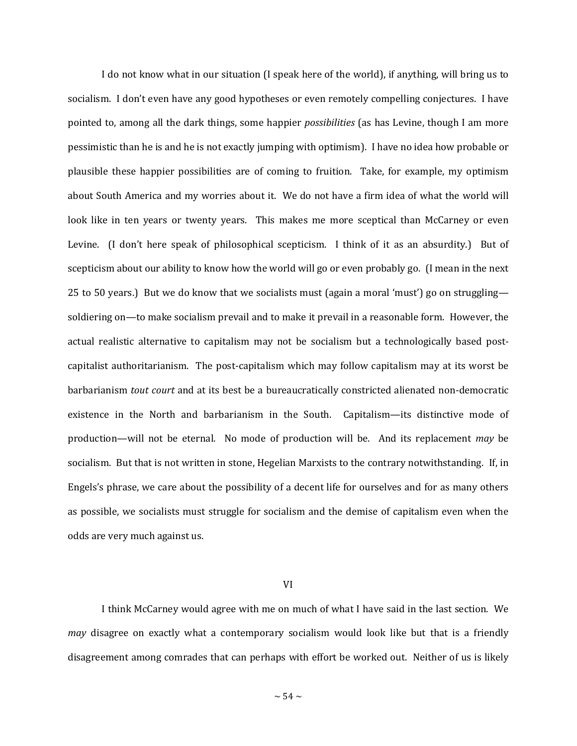I do not know what in our situation (I speak here of the world), if anything, will bring us to socialism. I don't even have any good hypotheses or even remotely compelling conjectures. I have pointed to, among all the dark things, some happier *possibilities* (as has Levine, though I am more pessimistic than he is and he is not exactly jumping with optimism). I have no idea how probable or plausible these happier possibilities are of coming to fruition. Take, for example, my optimism about South America and my worries about it. We do not have a firm idea of what the world will look like in ten years or twenty years. This makes me more sceptical than McCarney or even Levine. (I don't here speak of philosophical scepticism. I think of it as an absurdity.) But of scepticism about our ability to know how the world will go or even probably go. (I mean in the next 25 to 50 years.) But we do know that we socialists must (again a moral 'must') go on struggling soldiering on—to make socialism prevail and to make it prevail in a reasonable form. However, the actual realistic alternative to capitalism may not be socialism but a technologically based postcapitalist authoritarianism. The post-capitalism which may follow capitalism may at its worst be barbarianism *tout court* and at its best be a bureaucratically constricted alienated non-democratic existence in the North and barbarianism in the South. Capitalism—its distinctive mode of production—will not be eternal. No mode of production will be. And its replacement *may* be socialism. But that is not written in stone, Hegelian Marxists to the contrary notwithstanding. If, in Engels's phrase, we care about the possibility of a decent life for ourselves and for as many others as possible, we socialists must struggle for socialism and the demise of capitalism even when the odds are very much against us.

VI

I think McCarney would agree with me on much of what I have said in the last section. We *may* disagree on exactly what a contemporary socialism would look like but that is a friendly disagreement among comrades that can perhaps with effort be worked out. Neither of us is likely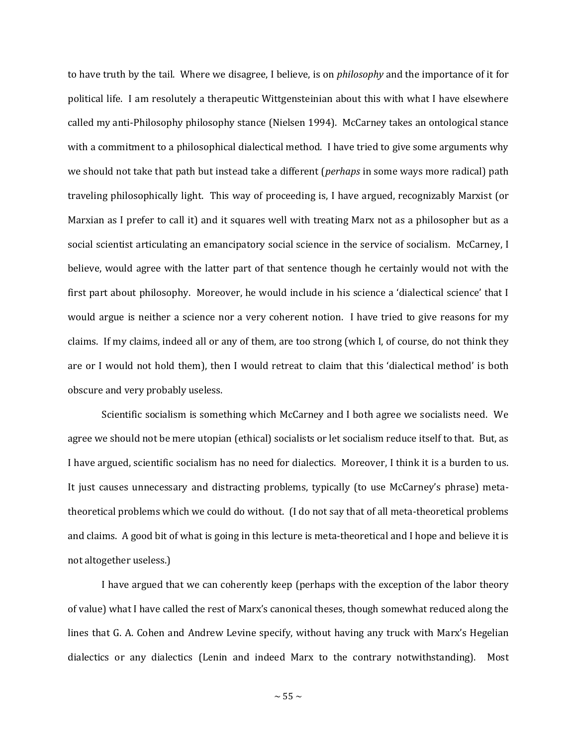to have truth by the tail. Where we disagree, I believe, is on *philosophy* and the importance of it for political life. I am resolutely a therapeutic Wittgensteinian about this with what I have elsewhere called my anti-Philosophy philosophy stance (Nielsen 1994). McCarney takes an ontological stance with a commitment to a philosophical dialectical method. I have tried to give some arguments why we should not take that path but instead take a different (*perhaps* in some ways more radical) path traveling philosophically light. This way of proceeding is, I have argued, recognizably Marxist (or Marxian as I prefer to call it) and it squares well with treating Marx not as a philosopher but as a social scientist articulating an emancipatory social science in the service of socialism. McCarney, I believe, would agree with the latter part of that sentence though he certainly would not with the first part about philosophy. Moreover, he would include in his science a 'dialectical science' that I would argue is neither a science nor a very coherent notion. I have tried to give reasons for my claims. If my claims, indeed all or any of them, are too strong (which I, of course, do not think they are or I would not hold them), then I would retreat to claim that this 'dialectical method' is both obscure and very probably useless.

Scientific socialism is something which McCarney and I both agree we socialists need. We agree we should not be mere utopian (ethical) socialists or let socialism reduce itself to that. But, as I have argued, scientific socialism has no need for dialectics. Moreover, I think it is a burden to us. It just causes unnecessary and distracting problems, typically (to use McCarney's phrase) metatheoretical problems which we could do without. (I do not say that of all meta-theoretical problems and claims. A good bit of what is going in this lecture is meta-theoretical and I hope and believe it is not altogether useless.)

I have argued that we can coherently keep (perhaps with the exception of the labor theory of value) what I have called the rest of Marx's canonical theses, though somewhat reduced along the lines that G. A. Cohen and Andrew Levine specify, without having any truck with Marx's Hegelian dialectics or any dialectics (Lenin and indeed Marx to the contrary notwithstanding). Most

 $\sim$  55  $\sim$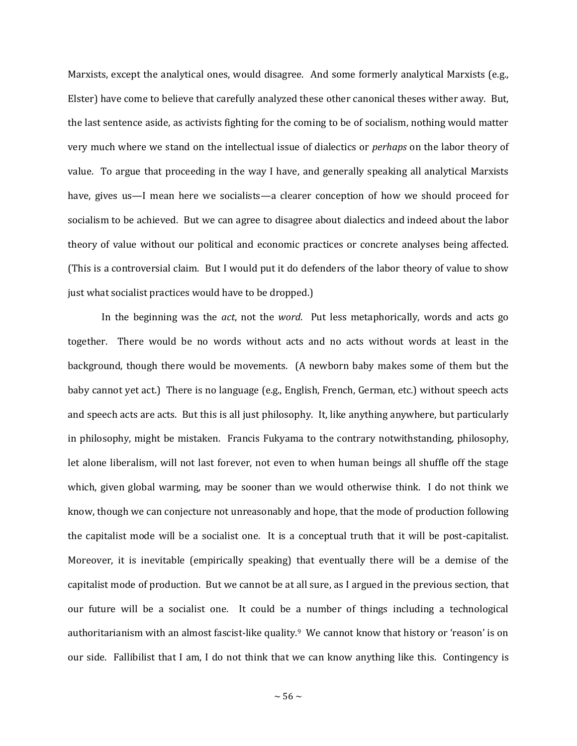Marxists, except the analytical ones, would disagree. And some formerly analytical Marxists (e.g., Elster) have come to believe that carefully analyzed these other canonical theses wither away. But, the last sentence aside, as activists fighting for the coming to be of socialism, nothing would matter very much where we stand on the intellectual issue of dialectics or *perhaps* on the labor theory of value. To argue that proceeding in the way I have, and generally speaking all analytical Marxists have, gives us—I mean here we socialists—a clearer conception of how we should proceed for socialism to be achieved. But we can agree to disagree about dialectics and indeed about the labor theory of value without our political and economic practices or concrete analyses being affected. (This is a controversial claim. But I would put it do defenders of the labor theory of value to show just what socialist practices would have to be dropped.)

In the beginning was the *act*, not the *word*. Put less metaphorically, words and acts go together. There would be no words without acts and no acts without words at least in the background, though there would be movements. (A newborn baby makes some of them but the baby cannot yet act.) There is no language (e.g., English, French, German, etc.) without speech acts and speech acts are acts. But this is all just philosophy. It, like anything anywhere, but particularly in philosophy, might be mistaken. Francis Fukyama to the contrary notwithstanding, philosophy, let alone liberalism, will not last forever, not even to when human beings all shuffle off the stage which, given global warming, may be sooner than we would otherwise think. I do not think we know, though we can conjecture not unreasonably and hope, that the mode of production following the capitalist mode will be a socialist one. It is a conceptual truth that it will be post-capitalist. Moreover, it is inevitable (empirically speaking) that eventually there will be a demise of the capitalist mode of production. But we cannot be at all sure, as I argued in the previous section, that our future will be a socialist one. It could be a number of things including a technological authoritarianism with an almost fascist-like quality.<sup>9</sup> We cannot know that history or 'reason' is on our side. Fallibilist that I am, I do not think that we can know anything like this. Contingency is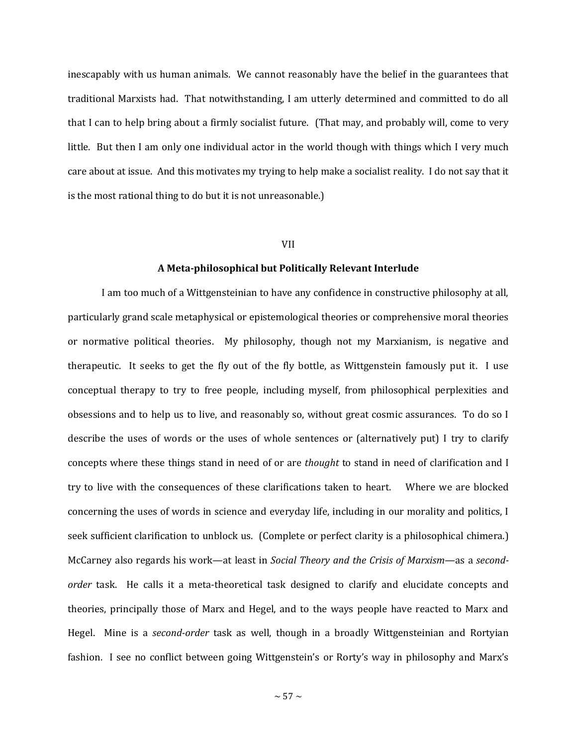inescapably with us human animals. We cannot reasonably have the belief in the guarantees that traditional Marxists had. That notwithstanding, I am utterly determined and committed to do all that I can to help bring about a firmly socialist future. (That may, and probably will, come to very little. But then I am only one individual actor in the world though with things which I very much care about at issue. And this motivates my trying to help make a socialist reality. I do not say that it is the most rational thing to do but it is not unreasonable.)

## VII

## **A Meta-philosophical but Politically Relevant Interlude**

I am too much of a Wittgensteinian to have any confidence in constructive philosophy at all, particularly grand scale metaphysical or epistemological theories or comprehensive moral theories or normative political theories. My philosophy, though not my Marxianism, is negative and therapeutic. It seeks to get the fly out of the fly bottle, as Wittgenstein famously put it. I use conceptual therapy to try to free people, including myself, from philosophical perplexities and obsessions and to help us to live, and reasonably so, without great cosmic assurances. To do so I describe the uses of words or the uses of whole sentences or (alternatively put) I try to clarify concepts where these things stand in need of or are *thought* to stand in need of clarification and I try to live with the consequences of these clarifications taken to heart. Where we are blocked concerning the uses of words in science and everyday life, including in our morality and politics, I seek sufficient clarification to unblock us. (Complete or perfect clarity is a philosophical chimera.) McCarney also regards his work—at least in *Social Theory and the Crisis of Marxism*—as a *secondorder* task. He calls it a meta-theoretical task designed to clarify and elucidate concepts and theories, principally those of Marx and Hegel, and to the ways people have reacted to Marx and Hegel. Mine is a *second-order* task as well, though in a broadly Wittgensteinian and Rortyian fashion. I see no conflict between going Wittgenstein's or Rorty's way in philosophy and Marx's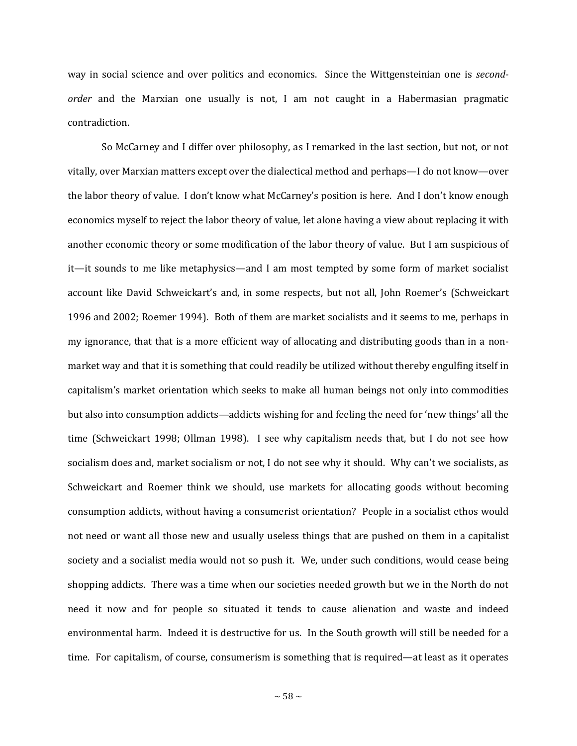way in social science and over politics and economics. Since the Wittgensteinian one is *secondorder* and the Marxian one usually is not, I am not caught in a Habermasian pragmatic contradiction.

So McCarney and I differ over philosophy, as I remarked in the last section, but not, or not vitally, over Marxian matters except over the dialectical method and perhaps—I do not know—over the labor theory of value. I don't know what McCarney's position is here. And I don't know enough economics myself to reject the labor theory of value, let alone having a view about replacing it with another economic theory or some modification of the labor theory of value. But I am suspicious of it—it sounds to me like metaphysics—and I am most tempted by some form of market socialist account like David Schweickart's and, in some respects, but not all, John Roemer's (Schweickart 1996 and 2002; Roemer 1994). Both of them are market socialists and it seems to me, perhaps in my ignorance, that that is a more efficient way of allocating and distributing goods than in a nonmarket way and that it is something that could readily be utilized without thereby engulfing itself in capitalism's market orientation which seeks to make all human beings not only into commodities but also into consumption addicts—addicts wishing for and feeling the need for 'new things' all the time (Schweickart 1998; Ollman 1998). I see why capitalism needs that, but I do not see how socialism does and, market socialism or not, I do not see why it should. Why can't we socialists, as Schweickart and Roemer think we should, use markets for allocating goods without becoming consumption addicts, without having a consumerist orientation? People in a socialist ethos would not need or want all those new and usually useless things that are pushed on them in a capitalist society and a socialist media would not so push it. We, under such conditions, would cease being shopping addicts. There was a time when our societies needed growth but we in the North do not need it now and for people so situated it tends to cause alienation and waste and indeed environmental harm. Indeed it is destructive for us. In the South growth will still be needed for a time. For capitalism, of course, consumerism is something that is required—at least as it operates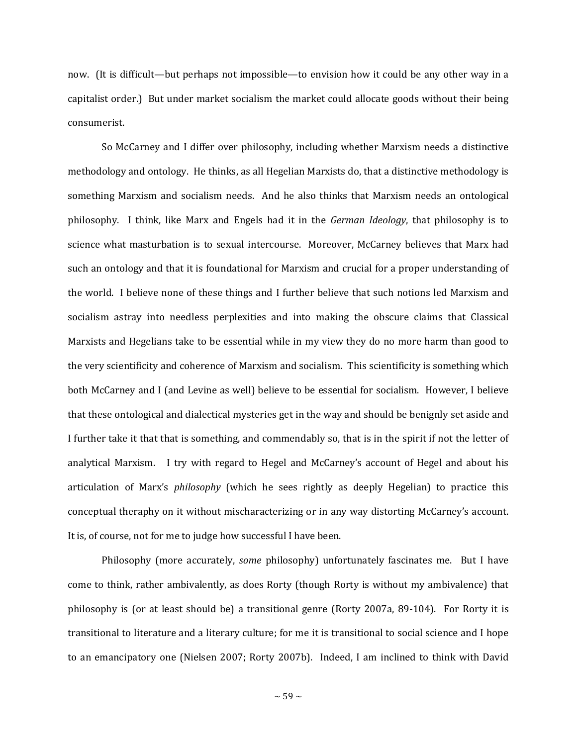now. (It is difficult—but perhaps not impossible—to envision how it could be any other way in a capitalist order.) But under market socialism the market could allocate goods without their being consumerist.

So McCarney and I differ over philosophy, including whether Marxism needs a distinctive methodology and ontology. He thinks, as all Hegelian Marxists do, that a distinctive methodology is something Marxism and socialism needs. And he also thinks that Marxism needs an ontological philosophy. I think, like Marx and Engels had it in the *German Ideology*, that philosophy is to science what masturbation is to sexual intercourse. Moreover, McCarney believes that Marx had such an ontology and that it is foundational for Marxism and crucial for a proper understanding of the world. I believe none of these things and I further believe that such notions led Marxism and socialism astray into needless perplexities and into making the obscure claims that Classical Marxists and Hegelians take to be essential while in my view they do no more harm than good to the very scientificity and coherence of Marxism and socialism. This scientificity is something which both McCarney and I (and Levine as well) believe to be essential for socialism. However, I believe that these ontological and dialectical mysteries get in the way and should be benignly set aside and I further take it that that is something, and commendably so, that is in the spirit if not the letter of analytical Marxism. I try with regard to Hegel and McCarney's account of Hegel and about his articulation of Marx's *philosophy* (which he sees rightly as deeply Hegelian) to practice this conceptual theraphy on it without mischaracterizing or in any way distorting McCarney's account. It is, of course, not for me to judge how successful I have been.

Philosophy (more accurately, *some* philosophy) unfortunately fascinates me. But I have come to think, rather ambivalently, as does Rorty (though Rorty is without my ambivalence) that philosophy is (or at least should be) a transitional genre (Rorty 2007a, 89-104). For Rorty it is transitional to literature and a literary culture; for me it is transitional to social science and I hope to an emancipatory one (Nielsen 2007; Rorty 2007b). Indeed, I am inclined to think with David

 $\sim$  59  $\sim$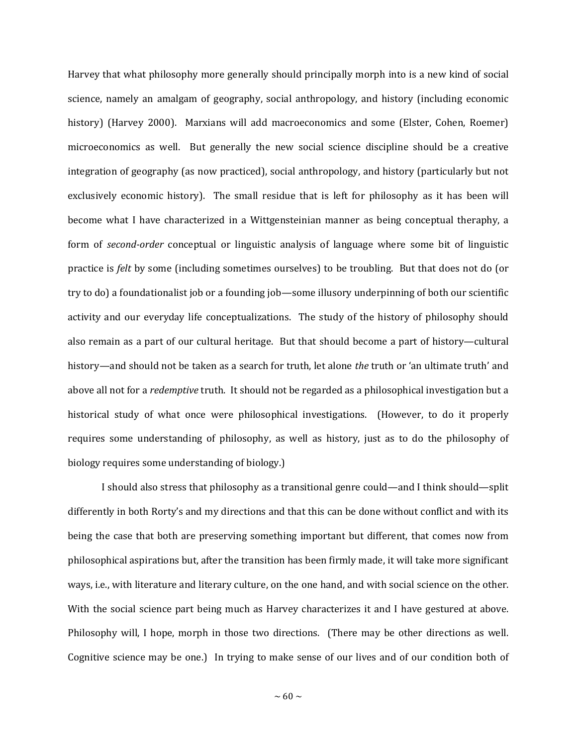Harvey that what philosophy more generally should principally morph into is a new kind of social science, namely an amalgam of geography, social anthropology, and history (including economic history) (Harvey 2000). Marxians will add macroeconomics and some (Elster, Cohen, Roemer) microeconomics as well. But generally the new social science discipline should be a creative integration of geography (as now practiced), social anthropology, and history (particularly but not exclusively economic history). The small residue that is left for philosophy as it has been will become what I have characterized in a Wittgensteinian manner as being conceptual theraphy, a form of *second-order* conceptual or linguistic analysis of language where some bit of linguistic practice is *felt* by some (including sometimes ourselves) to be troubling. But that does not do (or try to do) a foundationalist job or a founding job—some illusory underpinning of both our scientific activity and our everyday life conceptualizations. The study of the history of philosophy should also remain as a part of our cultural heritage. But that should become a part of history—cultural history—and should not be taken as a search for truth, let alone *the* truth or 'an ultimate truth' and above all not for a *redemptive* truth. It should not be regarded as a philosophical investigation but a historical study of what once were philosophical investigations. (However, to do it properly requires some understanding of philosophy, as well as history, just as to do the philosophy of biology requires some understanding of biology.)

I should also stress that philosophy as a transitional genre could—and I think should—split differently in both Rorty's and my directions and that this can be done without conflict and with its being the case that both are preserving something important but different, that comes now from philosophical aspirations but, after the transition has been firmly made, it will take more significant ways, i.e., with literature and literary culture, on the one hand, and with social science on the other. With the social science part being much as Harvey characterizes it and I have gestured at above. Philosophy will, I hope, morph in those two directions. (There may be other directions as well. Cognitive science may be one.) In trying to make sense of our lives and of our condition both of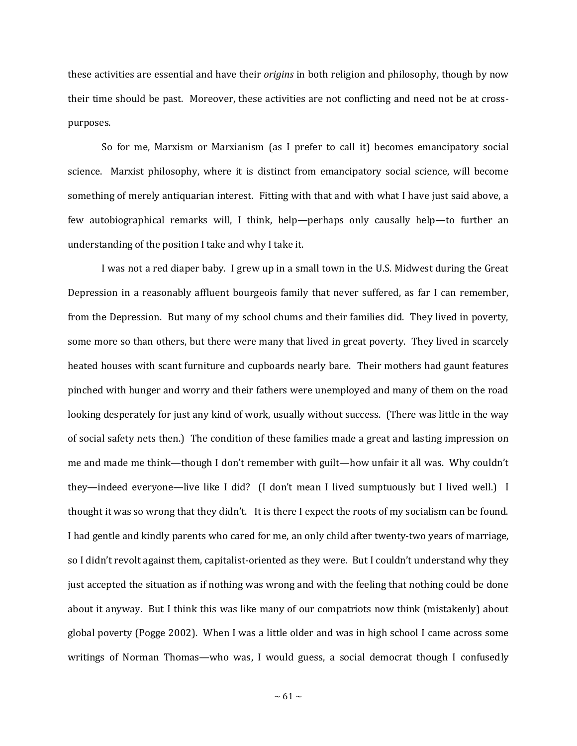these activities are essential and have their *origins* in both religion and philosophy, though by now their time should be past. Moreover, these activities are not conflicting and need not be at crosspurposes.

So for me, Marxism or Marxianism (as I prefer to call it) becomes emancipatory social science. Marxist philosophy, where it is distinct from emancipatory social science, will become something of merely antiquarian interest. Fitting with that and with what I have just said above, a few autobiographical remarks will, I think, help—perhaps only causally help—to further an understanding of the position I take and why I take it.

I was not a red diaper baby. I grew up in a small town in the U.S. Midwest during the Great Depression in a reasonably affluent bourgeois family that never suffered, as far I can remember, from the Depression. But many of my school chums and their families did. They lived in poverty, some more so than others, but there were many that lived in great poverty. They lived in scarcely heated houses with scant furniture and cupboards nearly bare. Their mothers had gaunt features pinched with hunger and worry and their fathers were unemployed and many of them on the road looking desperately for just any kind of work, usually without success. (There was little in the way of social safety nets then.) The condition of these families made a great and lasting impression on me and made me think—though I don't remember with guilt—how unfair it all was. Why couldn't they—indeed everyone—live like I did? (I don't mean I lived sumptuously but I lived well.) I thought it was so wrong that they didn't. It is there I expect the roots of my socialism can be found. I had gentle and kindly parents who cared for me, an only child after twenty-two years of marriage, so I didn't revolt against them, capitalist-oriented as they were. But I couldn't understand why they just accepted the situation as if nothing was wrong and with the feeling that nothing could be done about it anyway. But I think this was like many of our compatriots now think (mistakenly) about global poverty (Pogge 2002). When I was a little older and was in high school I came across some writings of Norman Thomas—who was, I would guess, a social democrat though I confusedly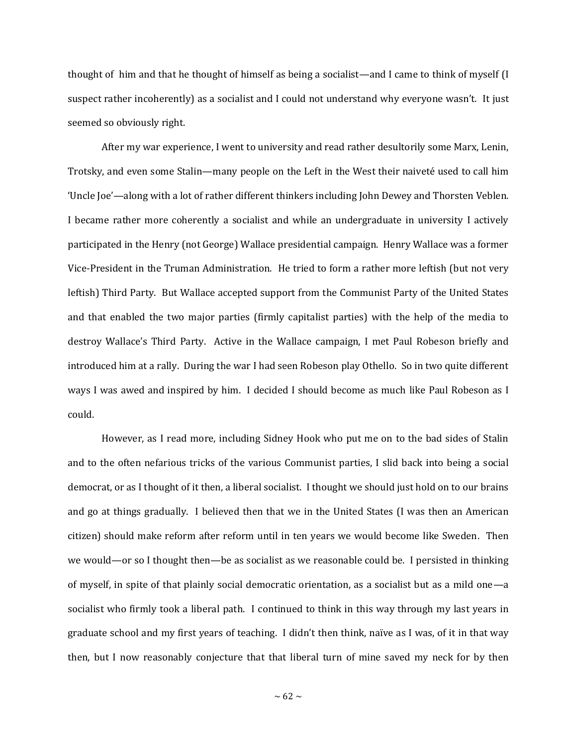thought of him and that he thought of himself as being a socialist—and I came to think of myself (I suspect rather incoherently) as a socialist and I could not understand why everyone wasn't. It just seemed so obviously right.

After my war experience, I went to university and read rather desultorily some Marx, Lenin, Trotsky, and even some Stalin—many people on the Left in the West their naiveté used to call him 'Uncle Joe'—along with a lot of rather different thinkers including John Dewey and Thorsten Veblen. I became rather more coherently a socialist and while an undergraduate in university I actively participated in the Henry (not George) Wallace presidential campaign. Henry Wallace was a former Vice-President in the Truman Administration. He tried to form a rather more leftish (but not very leftish) Third Party. But Wallace accepted support from the Communist Party of the United States and that enabled the two major parties (firmly capitalist parties) with the help of the media to destroy Wallace's Third Party. Active in the Wallace campaign, I met Paul Robeson briefly and introduced him at a rally. During the war I had seen Robeson play Othello. So in two quite different ways I was awed and inspired by him. I decided I should become as much like Paul Robeson as I could.

However, as I read more, including Sidney Hook who put me on to the bad sides of Stalin and to the often nefarious tricks of the various Communist parties, I slid back into being a social democrat, or as I thought of it then, a liberal socialist. I thought we should just hold on to our brains and go at things gradually. I believed then that we in the United States (I was then an American citizen) should make reform after reform until in ten years we would become like Sweden. Then we would—or so I thought then—be as socialist as we reasonable could be. I persisted in thinking of myself, in spite of that plainly social democratic orientation, as a socialist but as a mild one—a socialist who firmly took a liberal path. I continued to think in this way through my last years in graduate school and my first years of teaching. I didn't then think, naïve as I was, of it in that way then, but I now reasonably conjecture that that liberal turn of mine saved my neck for by then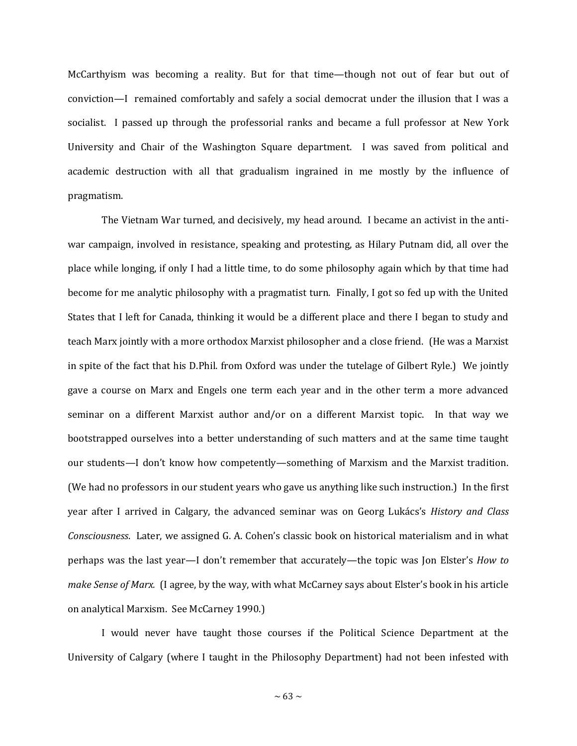McCarthyism was becoming a reality. But for that time—though not out of fear but out of conviction—I remained comfortably and safely a social democrat under the illusion that I was a socialist. I passed up through the professorial ranks and became a full professor at New York University and Chair of the Washington Square department. I was saved from political and academic destruction with all that gradualism ingrained in me mostly by the influence of pragmatism.

The Vietnam War turned, and decisively, my head around. I became an activist in the antiwar campaign, involved in resistance, speaking and protesting, as Hilary Putnam did, all over the place while longing, if only I had a little time, to do some philosophy again which by that time had become for me analytic philosophy with a pragmatist turn. Finally, I got so fed up with the United States that I left for Canada, thinking it would be a different place and there I began to study and teach Marx jointly with a more orthodox Marxist philosopher and a close friend. (He was a Marxist in spite of the fact that his D.Phil. from Oxford was under the tutelage of Gilbert Ryle.) We jointly gave a course on Marx and Engels one term each year and in the other term a more advanced seminar on a different Marxist author and/or on a different Marxist topic. In that way we bootstrapped ourselves into a better understanding of such matters and at the same time taught our students—I don't know how competently—something of Marxism and the Marxist tradition. (We had no professors in our student years who gave us anything like such instruction.) In the first year after I arrived in Calgary, the advanced seminar was on Georg Lukács's *History and Class Consciousness*. Later, we assigned G. A. Cohen's classic book on historical materialism and in what perhaps was the last year—I don't remember that accurately—the topic was Jon Elster's *How to make Sense of Marx.* (I agree, by the way, with what McCarney says about Elster's book in his article on analytical Marxism. See McCarney 1990.)

I would never have taught those courses if the Political Science Department at the University of Calgary (where I taught in the Philosophy Department) had not been infested with

 $\sim 63 \sim$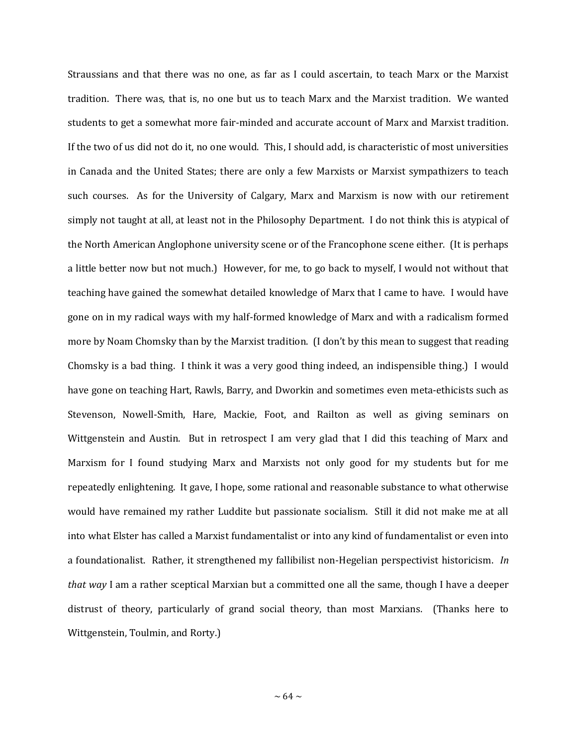Straussians and that there was no one, as far as I could ascertain, to teach Marx or the Marxist tradition. There was, that is, no one but us to teach Marx and the Marxist tradition. We wanted students to get a somewhat more fair-minded and accurate account of Marx and Marxist tradition. If the two of us did not do it, no one would. This, I should add, is characteristic of most universities in Canada and the United States; there are only a few Marxists or Marxist sympathizers to teach such courses. As for the University of Calgary, Marx and Marxism is now with our retirement simply not taught at all, at least not in the Philosophy Department. I do not think this is atypical of the North American Anglophone university scene or of the Francophone scene either. (It is perhaps a little better now but not much.) However, for me, to go back to myself, I would not without that teaching have gained the somewhat detailed knowledge of Marx that I came to have. I would have gone on in my radical ways with my half-formed knowledge of Marx and with a radicalism formed more by Noam Chomsky than by the Marxist tradition. (I don't by this mean to suggest that reading Chomsky is a bad thing. I think it was a very good thing indeed, an indispensible thing.) I would have gone on teaching Hart, Rawls, Barry, and Dworkin and sometimes even meta-ethicists such as Stevenson, Nowell-Smith, Hare, Mackie, Foot, and Railton as well as giving seminars on Wittgenstein and Austin. But in retrospect I am very glad that I did this teaching of Marx and Marxism for I found studying Marx and Marxists not only good for my students but for me repeatedly enlightening. It gave, I hope, some rational and reasonable substance to what otherwise would have remained my rather Luddite but passionate socialism. Still it did not make me at all into what Elster has called a Marxist fundamentalist or into any kind of fundamentalist or even into a foundationalist. Rather, it strengthened my fallibilist non-Hegelian perspectivist historicism. *In that way* I am a rather sceptical Marxian but a committed one all the same, though I have a deeper distrust of theory, particularly of grand social theory, than most Marxians. (Thanks here to Wittgenstein, Toulmin, and Rorty.)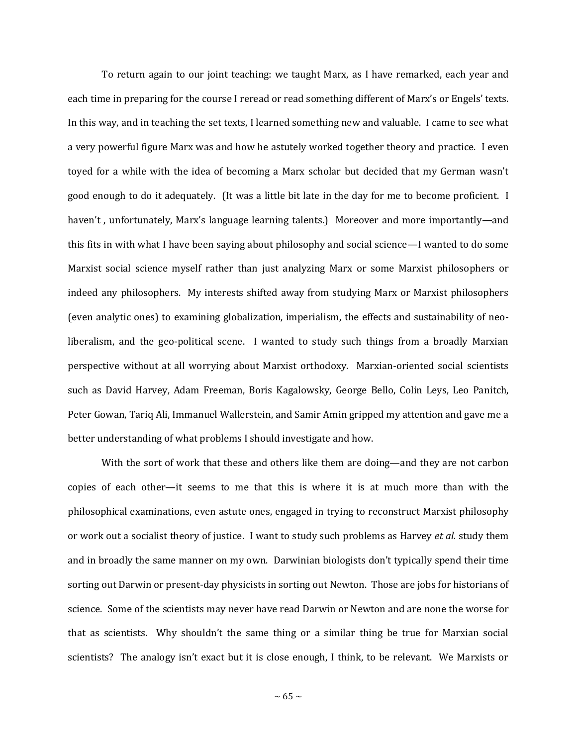To return again to our joint teaching: we taught Marx, as I have remarked, each year and each time in preparing for the course I reread or read something different of Marx's or Engels' texts. In this way, and in teaching the set texts, I learned something new and valuable. I came to see what a very powerful figure Marx was and how he astutely worked together theory and practice. I even toyed for a while with the idea of becoming a Marx scholar but decided that my German wasn't good enough to do it adequately. (It was a little bit late in the day for me to become proficient. I haven't, unfortunately, Marx's language learning talents.) Moreover and more importantly—and this fits in with what I have been saying about philosophy and social science—I wanted to do some Marxist social science myself rather than just analyzing Marx or some Marxist philosophers or indeed any philosophers. My interests shifted away from studying Marx or Marxist philosophers (even analytic ones) to examining globalization, imperialism, the effects and sustainability of neoliberalism, and the geo-political scene. I wanted to study such things from a broadly Marxian perspective without at all worrying about Marxist orthodoxy. Marxian-oriented social scientists such as David Harvey, Adam Freeman, Boris Kagalowsky, George Bello, Colin Leys, Leo Panitch, Peter Gowan, Tariq Ali, Immanuel Wallerstein, and Samir Amin gripped my attention and gave me a better understanding of what problems I should investigate and how.

With the sort of work that these and others like them are doing—and they are not carbon copies of each other—it seems to me that this is where it is at much more than with the philosophical examinations, even astute ones, engaged in trying to reconstruct Marxist philosophy or work out a socialist theory of justice. I want to study such problems as Harvey *et al.* study them and in broadly the same manner on my own. Darwinian biologists don't typically spend their time sorting out Darwin or present-day physicists in sorting out Newton. Those are jobs for historians of science. Some of the scientists may never have read Darwin or Newton and are none the worse for that as scientists. Why shouldn't the same thing or a similar thing be true for Marxian social scientists? The analogy isn't exact but it is close enough, I think, to be relevant. We Marxists or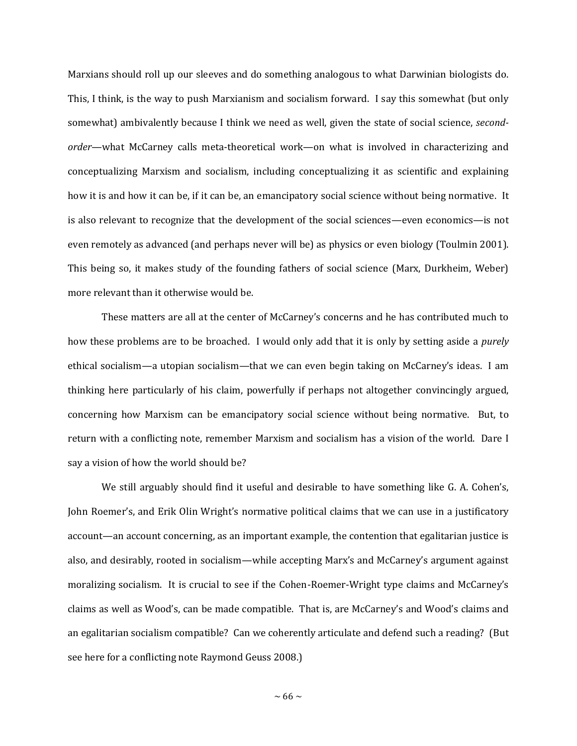Marxians should roll up our sleeves and do something analogous to what Darwinian biologists do. This, I think, is the way to push Marxianism and socialism forward. I say this somewhat (but only somewhat) ambivalently because I think we need as well, given the state of social science, *secondorder*—what McCarney calls meta-theoretical work—on what is involved in characterizing and conceptualizing Marxism and socialism, including conceptualizing it as scientific and explaining how it is and how it can be, if it can be, an emancipatory social science without being normative. It is also relevant to recognize that the development of the social sciences—even economics—is not even remotely as advanced (and perhaps never will be) as physics or even biology (Toulmin 2001). This being so, it makes study of the founding fathers of social science (Marx, Durkheim, Weber) more relevant than it otherwise would be.

These matters are all at the center of McCarney's concerns and he has contributed much to how these problems are to be broached. I would only add that it is only by setting aside a *purely* ethical socialism—a utopian socialism—that we can even begin taking on McCarney's ideas. I am thinking here particularly of his claim, powerfully if perhaps not altogether convincingly argued, concerning how Marxism can be emancipatory social science without being normative. But, to return with a conflicting note, remember Marxism and socialism has a vision of the world. Dare I say a vision of how the world should be?

We still arguably should find it useful and desirable to have something like G. A. Cohen's, John Roemer's, and Erik Olin Wright's normative political claims that we can use in a justificatory account—an account concerning, as an important example, the contention that egalitarian justice is also, and desirably, rooted in socialism—while accepting Marx's and McCarney's argument against moralizing socialism. It is crucial to see if the Cohen-Roemer-Wright type claims and McCarney's claims as well as Wood's, can be made compatible. That is, are McCarney's and Wood's claims and an egalitarian socialism compatible? Can we coherently articulate and defend such a reading? (But see here for a conflicting note Raymond Geuss 2008.)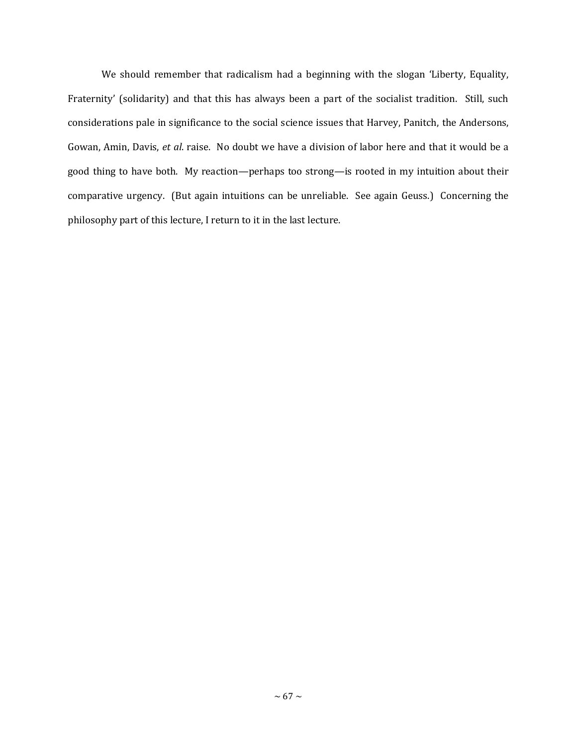We should remember that radicalism had a beginning with the slogan 'Liberty, Equality, Fraternity' (solidarity) and that this has always been a part of the socialist tradition. Still, such considerations pale in significance to the social science issues that Harvey, Panitch, the Andersons, Gowan, Amin, Davis, *et al*. raise. No doubt we have a division of labor here and that it would be a good thing to have both. My reaction—perhaps too strong—is rooted in my intuition about their comparative urgency. (But again intuitions can be unreliable. See again Geuss.) Concerning the philosophy part of this lecture, I return to it in the last lecture.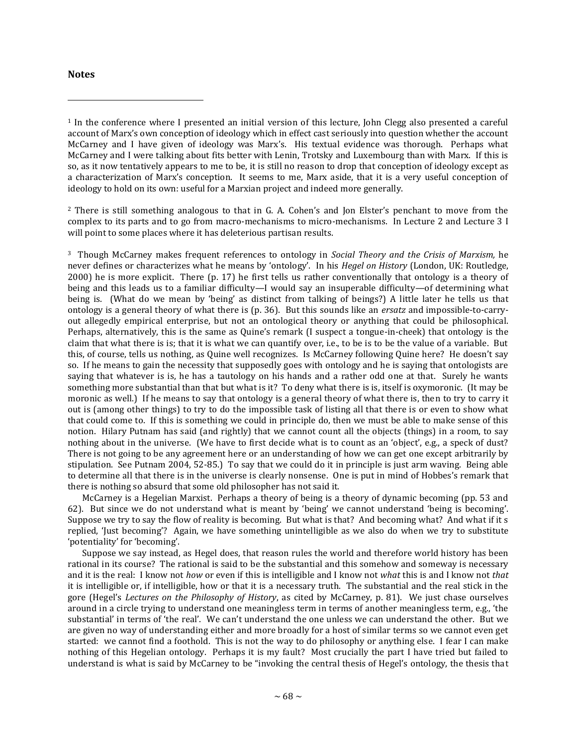## **Notes**

 $\overline{\phantom{a}}$ 

<sup>2</sup> There is still something analogous to that in G. A. Cohen's and Jon Elster's penchant to move from the complex to its parts and to go from macro-mechanisms to micro-mechanisms. In Lecture 2 and Lecture 3 I will point to some places where it has deleterious partisan results.

<sup>3</sup> Though McCarney makes frequent references to ontology in *Social Theory and the Crisis of Marxism,* he never defines or characterizes what he means by 'ontology'. In his *Hegel on History* (London, UK: Routledge, 2000) he is more explicit. There (p. 17) he first tells us rather conventionally that ontology is a theory of being and this leads us to a familiar difficulty—I would say an insuperable difficulty—of determining what being is. (What do we mean by 'being' as distinct from talking of beings?) A little later he tells us that ontology is a general theory of what there is (p. 36). But this sounds like an *ersatz* and impossible-to-carryout allegedly empirical enterprise, but not an ontological theory or anything that could be philosophical. Perhaps, alternatively, this is the same as Quine's remark (I suspect a tongue-in-cheek) that ontology is the claim that what there is is; that it is what we can quantify over, i.e., to be is to be the value of a variable. But this, of course, tells us nothing, as Quine well recognizes. Is McCarney following Quine here? He doesn't say so. If he means to gain the necessity that supposedly goes with ontology and he is saying that ontologists are saying that whatever is is, he has a tautology on his hands and a rather odd one at that. Surely he wants something more substantial than that but what is it? To deny what there is is, itself is oxymoronic. (It may be moronic as well.) If he means to say that ontology is a general theory of what there is, then to try to carry it out is (among other things) to try to do the impossible task of listing all that there is or even to show what that could come to. If this is something we could in principle do, then we must be able to make sense of this notion. Hilary Putnam has said (and rightly) that we cannot count all the objects (things) in a room, to say nothing about in the universe. (We have to first decide what is to count as an 'object', e.g., a speck of dust? There is not going to be any agreement here or an understanding of how we can get one except arbitrarily by stipulation. See Putnam 2004, 52-85.) To say that we could do it in principle is just arm waving. Being able to determine all that there is in the universe is clearly nonsense. One is put in mind of Hobbes's remark that there is nothing so absurd that some old philosopher has not said it.

 McCarney is a Hegelian Marxist. Perhaps a theory of being is a theory of dynamic becoming (pp. 53 and 62). But since we do not understand what is meant by 'being' we cannot understand 'being is becoming'. Suppose we try to say the flow of reality is becoming. But what is that? And becoming what? And what if it s replied, 'Just becoming'? Again, we have something unintelligible as we also do when we try to substitute 'potentiality' for 'becoming'.

 Suppose we say instead, as Hegel does, that reason rules the world and therefore world history has been rational in its course? The rational is said to be the substantial and this somehow and someway is necessary and it is the real: I know not *how* or even if this is intelligible and I know not *what* this is and I know not *that* it is intelligible or, if intelligible, how or that it is a necessary truth. The substantial and the real stick in the gore (Hegel's *Lectures on the Philosophy of History*, as cited by McCarney, p. 81). We just chase ourselves around in a circle trying to understand one meaningless term in terms of another meaningless term, e.g., 'the substantial' in terms of 'the real'. We can't understand the one unless we can understand the other. But we are given no way of understanding either and more broadly for a host of similar terms so we cannot even get started: we cannot find a foothold. This is not the way to do philosophy or anything else. I fear I can make nothing of this Hegelian ontology. Perhaps it is my fault? Most crucially the part I have tried but failed to understand is what is said by McCarney to be "invoking the central thesis of Hegel's ontology, the thesis that

<sup>1</sup> In the conference where I presented an initial version of this lecture, John Clegg also presented a careful account of Marx's own conception of ideology which in effect cast seriously into question whether the account McCarney and I have given of ideology was Marx's. His textual evidence was thorough. Perhaps what McCarney and I were talking about fits better with Lenin, Trotsky and Luxembourg than with Marx. If this is so, as it now tentatively appears to me to be, it is still no reason to drop that conception of ideology except as a characterization of Marx's conception. It seems to me, Marx aside, that it is a very useful conception of ideology to hold on its own: useful for a Marxian project and indeed more generally.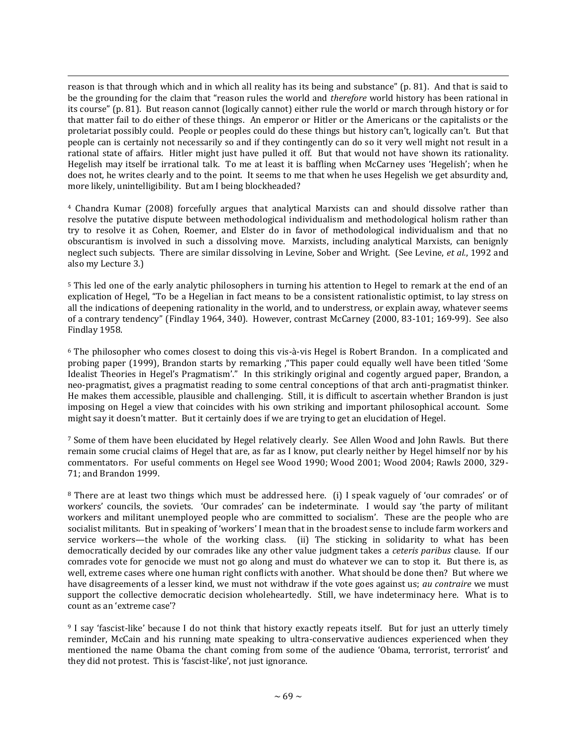$\overline{\phantom{a}}$ reason is that through which and in which all reality has its being and substance" (p. 81). And that is said to be the grounding for the claim that "reason rules the world and *therefore* world history has been rational in its course" (p. 81). But reason cannot (logically cannot) either rule the world or march through history or for that matter fail to do either of these things. An emperor or Hitler or the Americans or the capitalists or the proletariat possibly could. People or peoples could do these things but history can't, logically can't. But that people can is certainly not necessarily so and if they contingently can do so it very well might not result in a rational state of affairs. Hitler might just have pulled it off. But that would not have shown its rationality. Hegelish may itself be irrational talk. To me at least it is baffling when McCarney uses 'Hegelish'; when he does not, he writes clearly and to the point. It seems to me that when he uses Hegelish we get absurdity and, more likely, unintelligibility. But am I being blockheaded?

<sup>4</sup> Chandra Kumar (2008) forcefully argues that analytical Marxists can and should dissolve rather than resolve the putative dispute between methodological individualism and methodological holism rather than try to resolve it as Cohen, Roemer, and Elster do in favor of methodological individualism and that no obscurantism is involved in such a dissolving move. Marxists, including analytical Marxists, can benignly neglect such subjects. There are similar dissolving in Levine, Sober and Wright. (See Levine, *et al.*, 1992 and also my Lecture 3.)

<sup>5</sup> This led one of the early analytic philosophers in turning his attention to Hegel to remark at the end of an explication of Hegel, "To be a Hegelian in fact means to be a consistent rationalistic optimist, to lay stress on all the indications of deepening rationality in the world, and to understress, or explain away, whatever seems of a contrary tendency" (Findlay 1964, 340). However, contrast McCarney (2000, 83-101; 169-99). See also Findlay 1958.

<sup>6</sup> The philosopher who comes closest to doing this vis-à-vis Hegel is Robert Brandon. In a complicated and probing paper (1999), Brandon starts by remarking ,"This paper could equally well have been titled 'Some Idealist Theories in Hegel's Pragmatism'." In this strikingly original and cogently argued paper, Brandon, a neo-pragmatist, gives a pragmatist reading to some central conceptions of that arch anti-pragmatist thinker. He makes them accessible, plausible and challenging. Still, it is difficult to ascertain whether Brandon is just imposing on Hegel a view that coincides with his own striking and important philosophical account. Some might say it doesn't matter. But it certainly does if we are trying to get an elucidation of Hegel.

<sup>7</sup> Some of them have been elucidated by Hegel relatively clearly. See Allen Wood and John Rawls. But there remain some crucial claims of Hegel that are, as far as I know, put clearly neither by Hegel himself nor by his commentators. For useful comments on Hegel see Wood 1990; Wood 2001; Wood 2004; Rawls 2000, 329- 71; and Brandon 1999.

<sup>8</sup> There are at least two things which must be addressed here. (i) I speak vaguely of 'our comrades' or of workers' councils, the soviets. 'Our comrades' can be indeterminate. I would say 'the party of militant workers and militant unemployed people who are committed to socialism'. These are the people who are socialist militants. But in speaking of 'workers' I mean that in the broadest sense to include farm workers and service workers—the whole of the working class. (ii) The sticking in solidarity to what has been democratically decided by our comrades like any other value judgment takes a *ceteris paribus* clause. If our comrades vote for genocide we must not go along and must do whatever we can to stop it. But there is, as well, extreme cases where one human right conflicts with another. What should be done then? But where we have disagreements of a lesser kind, we must not withdraw if the vote goes against us; *au contraire* we must support the collective democratic decision wholeheartedly. Still, we have indeterminacy here. What is to count as an 'extreme case'?

<sup>9</sup> I say 'fascist-like' because I do not think that history exactly repeats itself. But for just an utterly timely reminder, McCain and his running mate speaking to ultra-conservative audiences experienced when they mentioned the name Obama the chant coming from some of the audience 'Obama, terrorist, terrorist' and they did not protest. This is 'fascist-like', not just ignorance.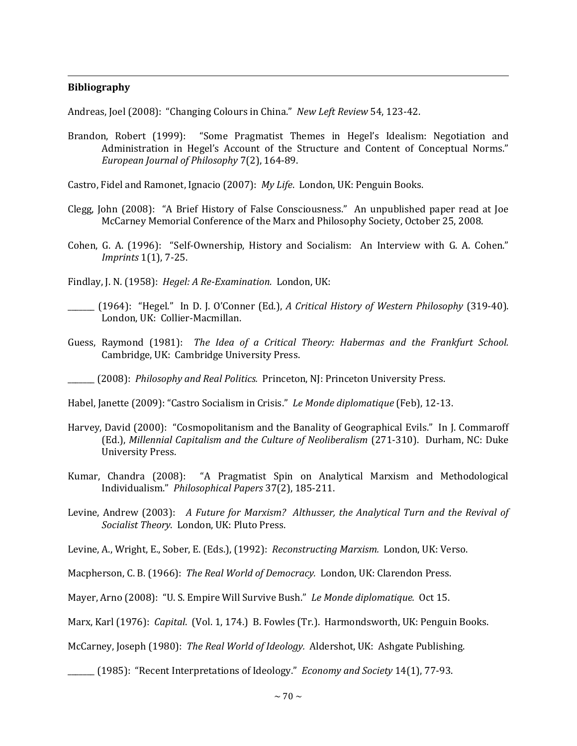## **Bibliography**

 $\overline{\phantom{a}}$ 

Andreas, Joel (2008): "Changing Colours in China." *New Left Review* 54, 123-42.

- Brandon, Robert (1999): "Some Pragmatist Themes in Hegel's Idealism: Negotiation and Administration in Hegel's Account of the Structure and Content of Conceptual Norms." *European Journal of Philosophy* 7(2), 164-89.
- Castro, Fidel and Ramonet, Ignacio (2007): *My Life*. London, UK: Penguin Books.
- Clegg, John (2008): "A Brief History of False Consciousness." An unpublished paper read at Joe McCarney Memorial Conference of the Marx and Philosophy Society, October 25, 2008.
- Cohen, G. A. (1996): "Self-Ownership, History and Socialism: An Interview with G. A. Cohen." *Imprints* 1(1), 7-25.
- Findlay, J. N. (1958): *Hegel: A Re-Examination.* London, UK:
- \_\_\_\_\_\_\_ (1964): "Hegel." In D. J. O'Conner (Ed.), *A Critical History of Western Philosophy* (319-40). London, UK: Collier-Macmillan.
- Guess, Raymond (1981): *The Idea of a Critical Theory: Habermas and the Frankfurt School.*  Cambridge, UK: Cambridge University Press.

Habel, Janette (2009): "Castro Socialism in Crisis." *Le Monde diplomatique* (Feb), 12-13.

- Harvey, David (2000): "Cosmopolitanism and the Banality of Geographical Evils." In J. Commaroff (Ed.), *Millennial Capitalism and the Culture of Neoliberalism* (271-310). Durham, NC: Duke University Press.
- Kumar, Chandra (2008): "A Pragmatist Spin on Analytical Marxism and Methodological Individualism." *Philosophical Papers* 37(2), 185-211.
- Levine, Andrew (2003): *A Future for Marxism? Althusser, the Analytical Turn and the Revival of Socialist Theory*. London, UK: Pluto Press.

Levine, A., Wright, E., Sober, E. (Eds.), (1992): *Reconstructing Marxism.* London, UK: Verso.

- Macpherson, C. B. (1966): *The Real World of Democracy.* London, UK: Clarendon Press.
- Mayer, Arno (2008): "U. S. Empire Will Survive Bush." *Le Monde diplomatique.* Oct 15.

Marx, Karl (1976): *Capital*. (Vol. 1, 174.) B. Fowles (Tr.). Harmondsworth, UK: Penguin Books.

McCarney, Joseph (1980): *The Real World of Ideology.* Aldershot, UK: Ashgate Publishing.

\_\_\_\_\_\_\_ (1985): "Recent Interpretations of Ideology." *Economy and Society* 14(1), 77-93.

\_\_\_\_\_\_\_ (2008): *Philosophy and Real Politics.* Princeton, NJ: Princeton University Press.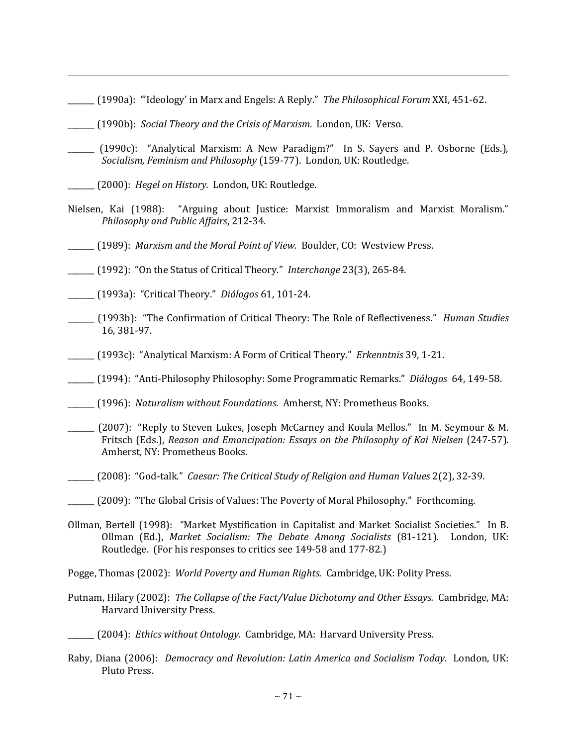- \_\_\_\_\_\_\_ (1990a): "'Ideology' in Marx and Engels: A Reply." *The Philosophical Forum* XXI, 451-62.
- \_\_\_\_\_\_\_ (1990b): *Social Theory and the Crisis of Marxism*. London, UK: Verso.
- \_\_\_\_\_\_\_ (1990c): "Analytical Marxism: A New Paradigm?" In S. Sayers and P. Osborne (Eds.), *Socialism, Feminism and Philosophy* (159-77). London, UK: Routledge.
- \_\_\_\_\_\_\_ (2000): *Hegel on History.* London, UK: Routledge.

 $\overline{\phantom{a}}$ 

- Nielsen, Kai (1988): "Arguing about Justice: Marxist Immoralism and Marxist Moralism." *Philosophy and Public Affairs*, 212-34.
- \_\_\_\_\_\_\_ (1989): *Marxism and the Moral Point of View.* Boulder, CO: Westview Press.
- \_\_\_\_\_\_\_ (1992): "On the Status of Critical Theory." *Interchange* 23(3), 265-84.
- \_\_\_\_\_\_\_ (1993a): "Critical Theory." *Diálogos* 61, 101-24.
- \_\_\_\_\_\_\_ (1993b): "The Confirmation of Critical Theory: The Role of Reflectiveness." *Human Studies*  16, 381-97.
- \_\_\_\_\_\_\_ (1993c): "Analytical Marxism: A Form of Critical Theory." *Erkenntnis* 39, 1-21.
- \_\_\_\_\_\_\_ (1994): "Anti-Philosophy Philosophy: Some Programmatic Remarks." *Diálogos* 64, 149-58.
- \_\_\_\_\_\_\_ (1996): *Naturalism without Foundations.* Amherst, NY: Prometheus Books.
- \_\_\_\_\_\_\_ (2007): "Reply to Steven Lukes, Joseph McCarney and Koula Mellos." In M. Seymour & M. Fritsch (Eds.), *Reason and Emancipation: Essays on the Philosophy of Kai Nielsen* (247-57). Amherst, NY: Prometheus Books.
- \_\_\_\_\_\_\_ (2008): "God-talk." *Caesar: The Critical Study of Religion and Human Values* 2(2), 32-39.
- \_\_\_\_\_\_\_ (2009): "The Global Crisis of Values: The Poverty of Moral Philosophy." Forthcoming.
- Ollman, Bertell (1998): "Market Mystification in Capitalist and Market Socialist Societies." In B. Ollman (Ed.), *Market Socialism: The Debate Among Socialists* (81-121). London, UK: Routledge. (For his responses to critics see 149-58 and 177-82.)
- Pogge, Thomas (2002): *World Poverty and Human Rights.* Cambridge, UK: Polity Press.
- Putnam, Hilary (2002): *The Collapse of the Fact/Value Dichotomy and Other Essays.* Cambridge, MA: Harvard University Press.

Raby, Diana (2006): *Democracy and Revolution: Latin America and Socialism Today.* London, UK: Pluto Press.

\_\_\_\_\_\_\_ (2004): *Ethics without Ontology.* Cambridge, MA: Harvard University Press.